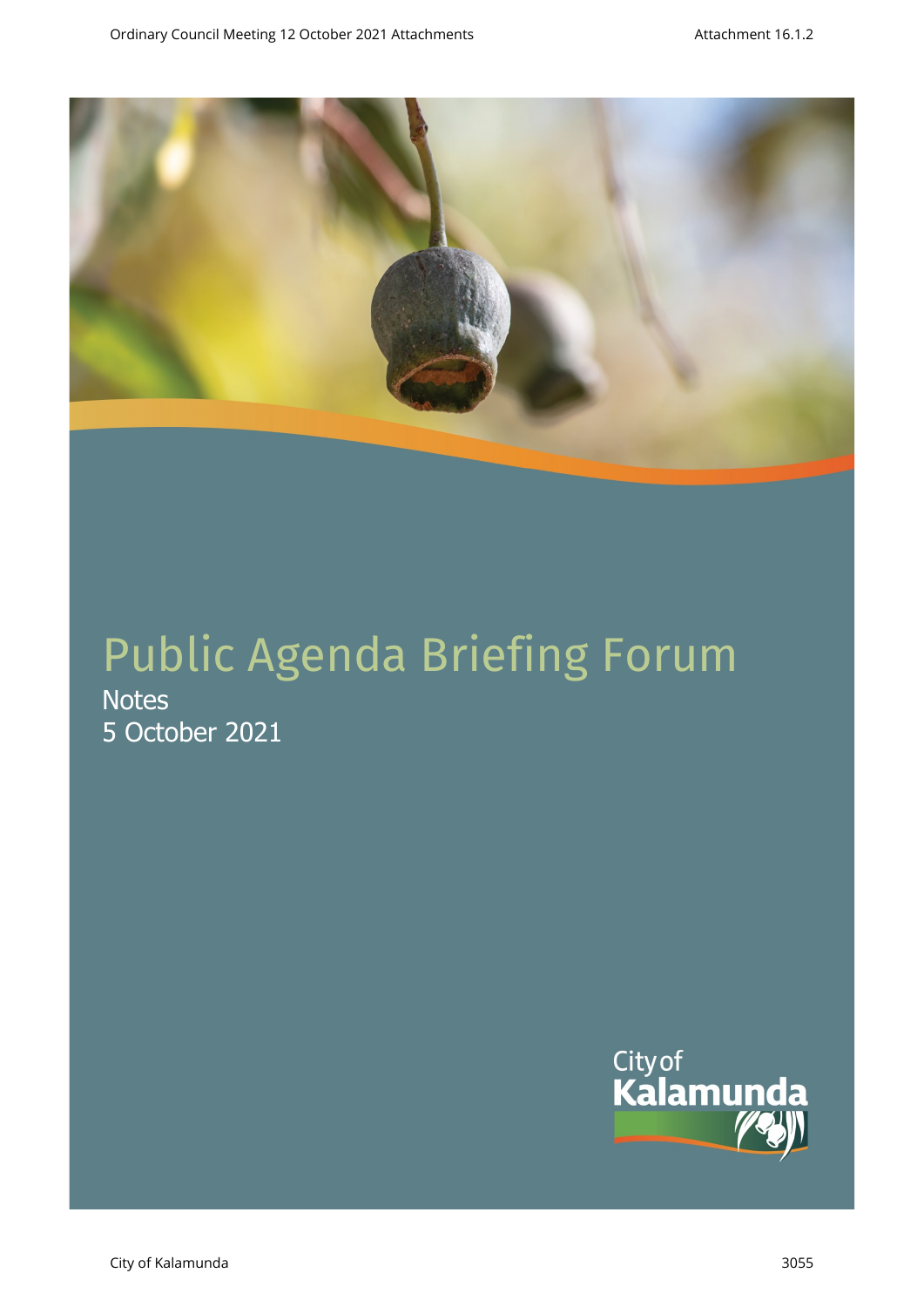

# Public Agenda Briefing Forum

**Notes** 5 October 2021

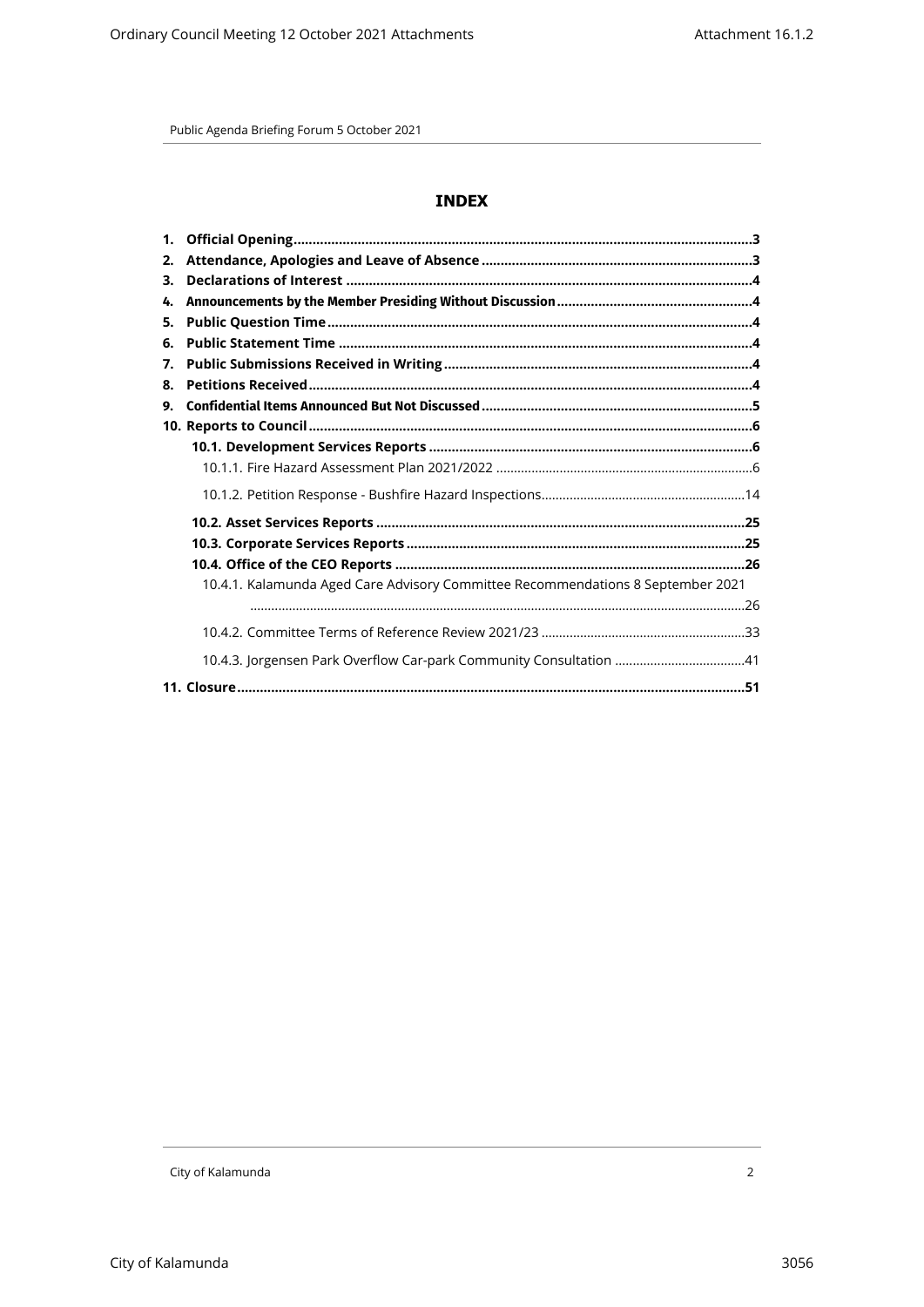# **INDEX**

| 2. |                                                                                 |  |
|----|---------------------------------------------------------------------------------|--|
| 3. |                                                                                 |  |
| 4. |                                                                                 |  |
| 5. |                                                                                 |  |
| 6. |                                                                                 |  |
| 7. |                                                                                 |  |
| 8. |                                                                                 |  |
| 9. |                                                                                 |  |
|    |                                                                                 |  |
|    |                                                                                 |  |
|    |                                                                                 |  |
|    |                                                                                 |  |
|    |                                                                                 |  |
|    |                                                                                 |  |
|    |                                                                                 |  |
|    | 10.4.1. Kalamunda Aged Care Advisory Committee Recommendations 8 September 2021 |  |
|    |                                                                                 |  |
|    |                                                                                 |  |
|    | 10.4.3. Jorgensen Park Overflow Car-park Community Consultation 41              |  |
|    |                                                                                 |  |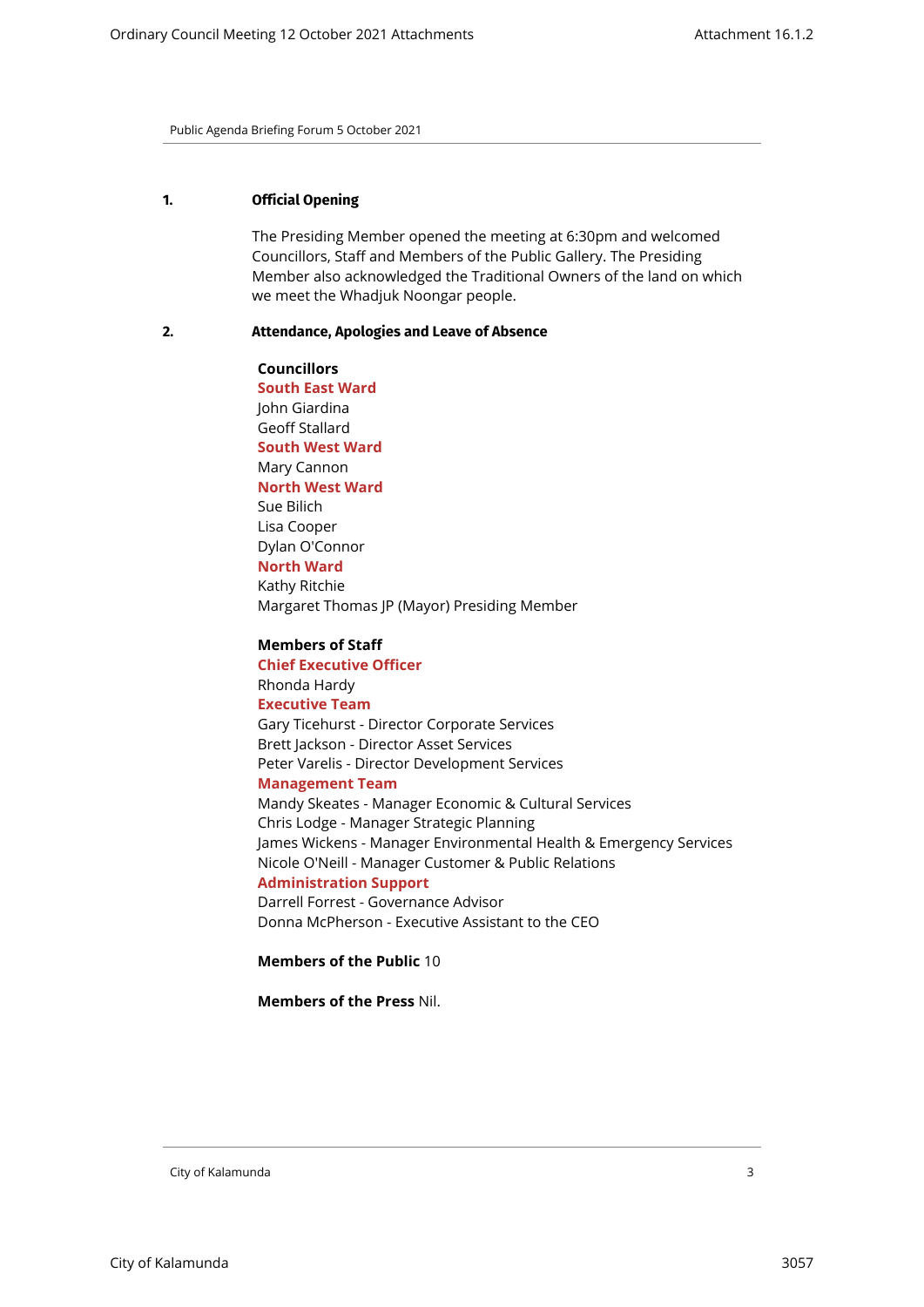# <span id="page-2-0"></span>**1. Official Opening**

The Presiding Member opened the meeting at 6:30pm and welcomed Councillors, Staff and Members of the Public Gallery. The Presiding Member also acknowledged the Traditional Owners of the land on which we meet the Whadjuk Noongar people.

#### <span id="page-2-1"></span>**2. Attendance, Apologies and Leave of Absence**

**Councillors South East Ward**  John Giardina Geoff Stallard **South West Ward** Mary Cannon **North West Ward** Sue Bilich Lisa Cooper Dylan O'Connor **North Ward** Kathy Ritchie Margaret Thomas JP (Mayor) Presiding Member

**Members of Staff Chief Executive Officer** Rhonda Hardy **Executive Team** Gary Ticehurst - Director Corporate Services Brett Jackson - Director Asset Services Peter Varelis - Director Development Services **Management Team** Mandy Skeates - Manager Economic & Cultural Services Chris Lodge - Manager Strategic Planning James Wickens - Manager Environmental Health & Emergency Services Nicole O'Neill - Manager Customer & Public Relations **Administration Support**

Darrell Forrest - Governance Advisor Donna McPherson - Executive Assistant to the CEO

**Members of the Public** 10

**Members of the Press** Nil.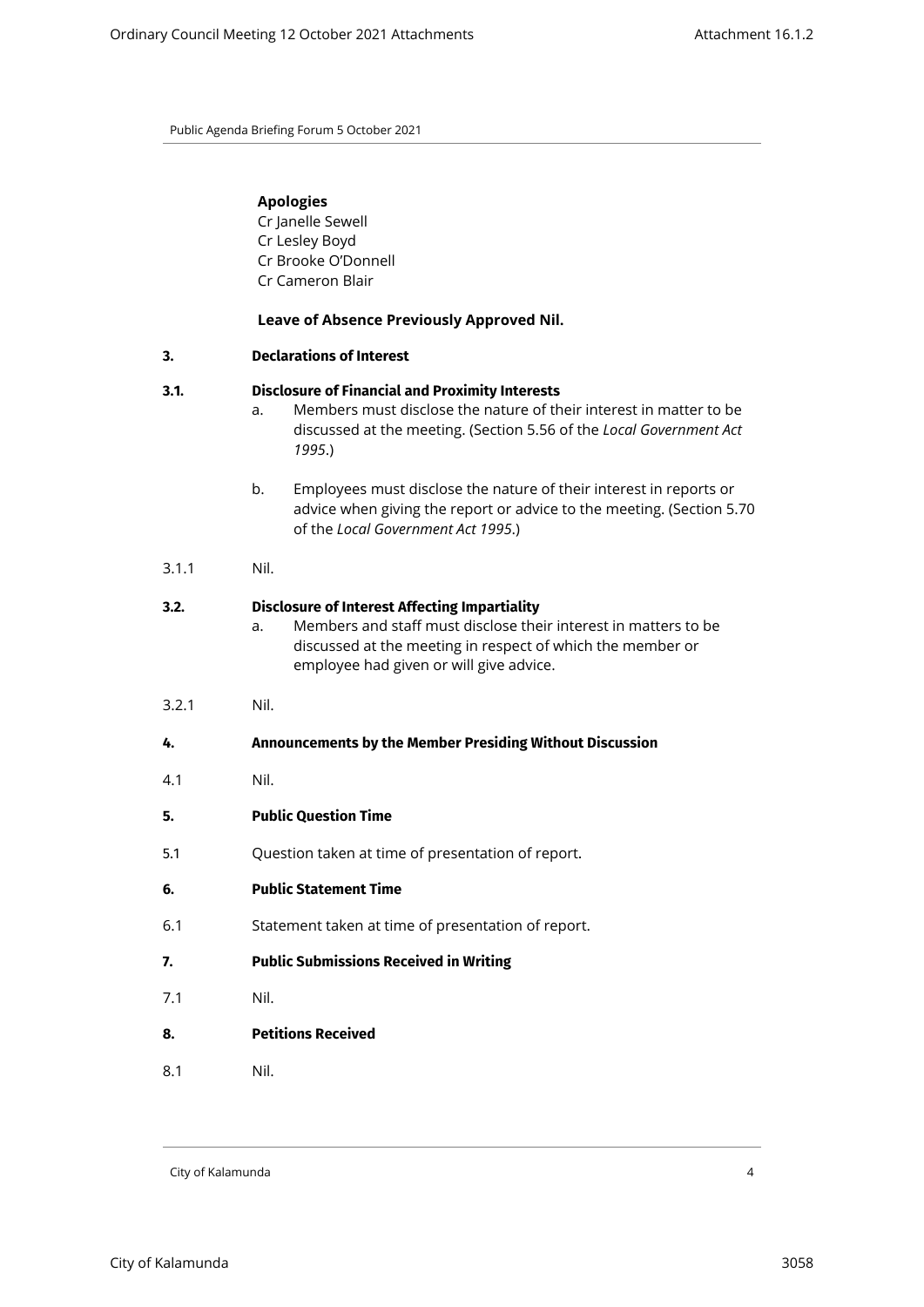| <b>Apologies</b> |
|------------------|
|                  |

Cr Janelle Sewell Cr Lesley Boyd Cr Brooke O'Donnell Cr Cameron Blair

# **Leave of Absence Previously Approved Nil.**

<span id="page-3-0"></span>

| 3.    | <b>Declarations of Interest</b>                                                                                                                                                                                                        |  |  |
|-------|----------------------------------------------------------------------------------------------------------------------------------------------------------------------------------------------------------------------------------------|--|--|
| 3.1.  | <b>Disclosure of Financial and Proximity Interests</b><br>Members must disclose the nature of their interest in matter to be<br>a.<br>discussed at the meeting. (Section 5.56 of the Local Government Act<br>1995.)                    |  |  |
|       | b.<br>Employees must disclose the nature of their interest in reports or<br>advice when giving the report or advice to the meeting. (Section 5.70<br>of the Local Government Act 1995.)                                                |  |  |
| 3.1.1 | Nil.                                                                                                                                                                                                                                   |  |  |
| 3.2.  | <b>Disclosure of Interest Affecting Impartiality</b><br>Members and staff must disclose their interest in matters to be<br>a.<br>discussed at the meeting in respect of which the member or<br>employee had given or will give advice. |  |  |
| 3.2.1 | Nil.                                                                                                                                                                                                                                   |  |  |
| 4.    | Announcements by the Member Presiding Without Discussion                                                                                                                                                                               |  |  |
| 4.1   | Nil.                                                                                                                                                                                                                                   |  |  |
| 5.    | <b>Public Question Time</b>                                                                                                                                                                                                            |  |  |
| 5.1   | Question taken at time of presentation of report.                                                                                                                                                                                      |  |  |
| 6.    | <b>Public Statement Time</b>                                                                                                                                                                                                           |  |  |
| 6.1   | Statement taken at time of presentation of report.                                                                                                                                                                                     |  |  |
| 7.    | <b>Public Submissions Received in Writing</b>                                                                                                                                                                                          |  |  |
| 7.1   | Nil.                                                                                                                                                                                                                                   |  |  |
| 8.    | <b>Petitions Received</b>                                                                                                                                                                                                              |  |  |
| 8.1   | Nil.                                                                                                                                                                                                                                   |  |  |

<span id="page-3-5"></span><span id="page-3-4"></span><span id="page-3-3"></span><span id="page-3-2"></span><span id="page-3-1"></span>City of Kalamunda 4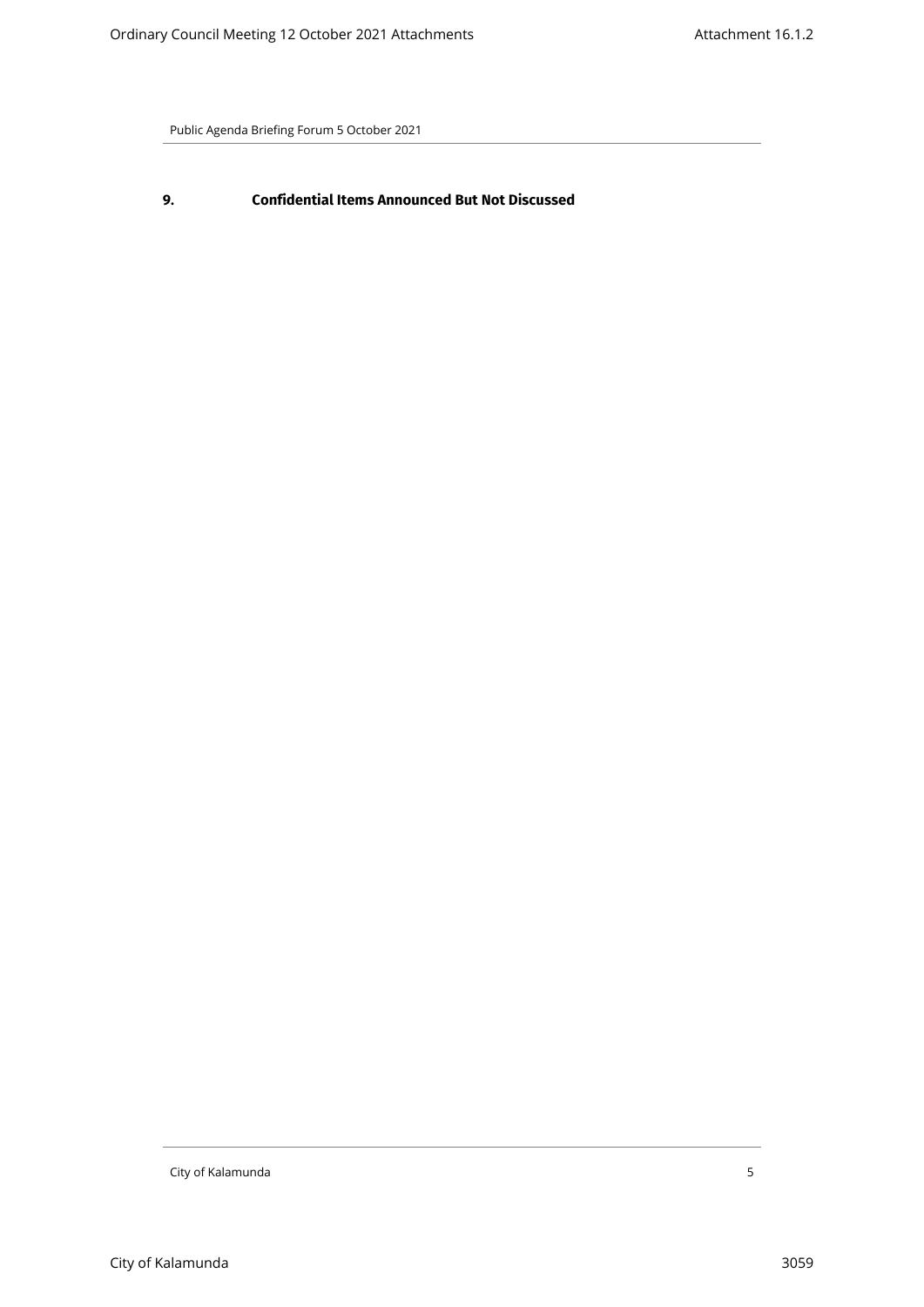<span id="page-4-0"></span>**9. Confidential Items Announced But Not Discussed**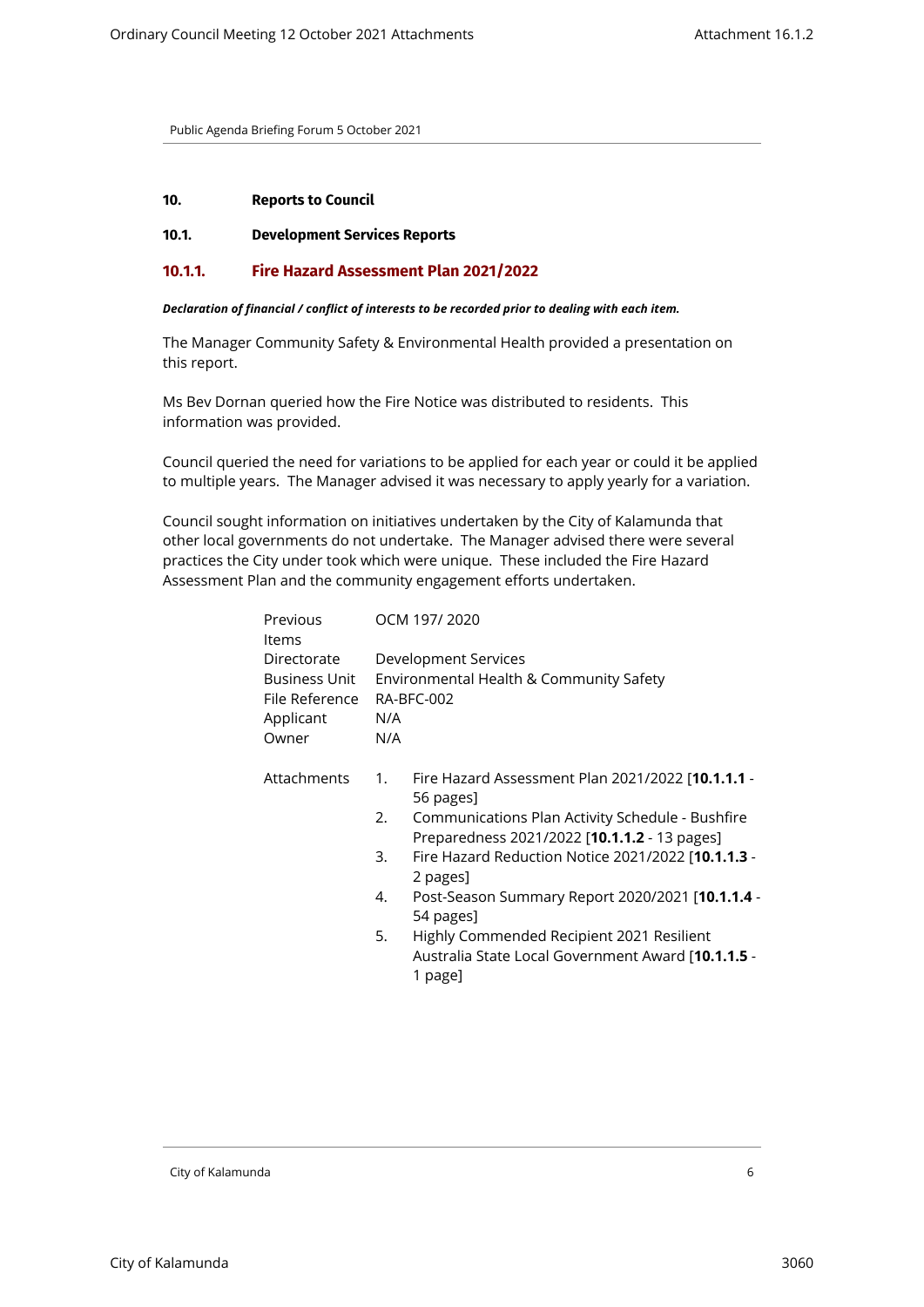#### <span id="page-5-2"></span><span id="page-5-1"></span><span id="page-5-0"></span>**10. Reports to Council**

#### **10.1. Development Services Reports**

#### **10.1.1. Fire Hazard Assessment Plan 2021/2022**

#### *Declaration of financial / conflict of interests to be recorded prior to dealing with each item.*

The Manager Community Safety & Environmental Health provided a presentation on this report.

Ms Bev Dornan queried how the Fire Notice was distributed to residents. This information was provided.

Council queried the need for variations to be applied for each year or could it be applied to multiple years. The Manager advised it was necessary to apply yearly for a variation.

Council sought information on initiatives undertaken by the City of Kalamunda that other local governments do not undertake. The Manager advised there were several practices the City under took which were unique. These included the Fire Hazard Assessment Plan and the community engagement efforts undertaken.

| Previous<br>Items | OCM 197/2020 |                                                                                                            |  |
|-------------------|--------------|------------------------------------------------------------------------------------------------------------|--|
| Directorate       |              | Development Services                                                                                       |  |
| Business Unit     |              | Environmental Health & Community Safety                                                                    |  |
| File Reference    |              | RA-BFC-002                                                                                                 |  |
| Applicant         | N/A          |                                                                                                            |  |
| Owner             | N/A          |                                                                                                            |  |
| Attachments       | 1.           | Fire Hazard Assessment Plan 2021/2022 [ <b>10.1.1.1</b> -<br>56 pages]                                     |  |
|                   | 2.           | Communications Plan Activity Schedule - Bushfire<br>Preparedness 2021/2022 [10.1.1.2 - 13 pages]           |  |
|                   | 3.           | Fire Hazard Reduction Notice 2021/2022 [10.1.1.3 -<br>2 pages]                                             |  |
|                   | 4.           | Post-Season Summary Report 2020/2021 [ <b>10.1.1.4</b> -<br>54 pages]                                      |  |
|                   | 5.           | Highly Commended Recipient 2021 Resilient<br>Australia State Local Government Award [10.1.1.5 -<br>1 page] |  |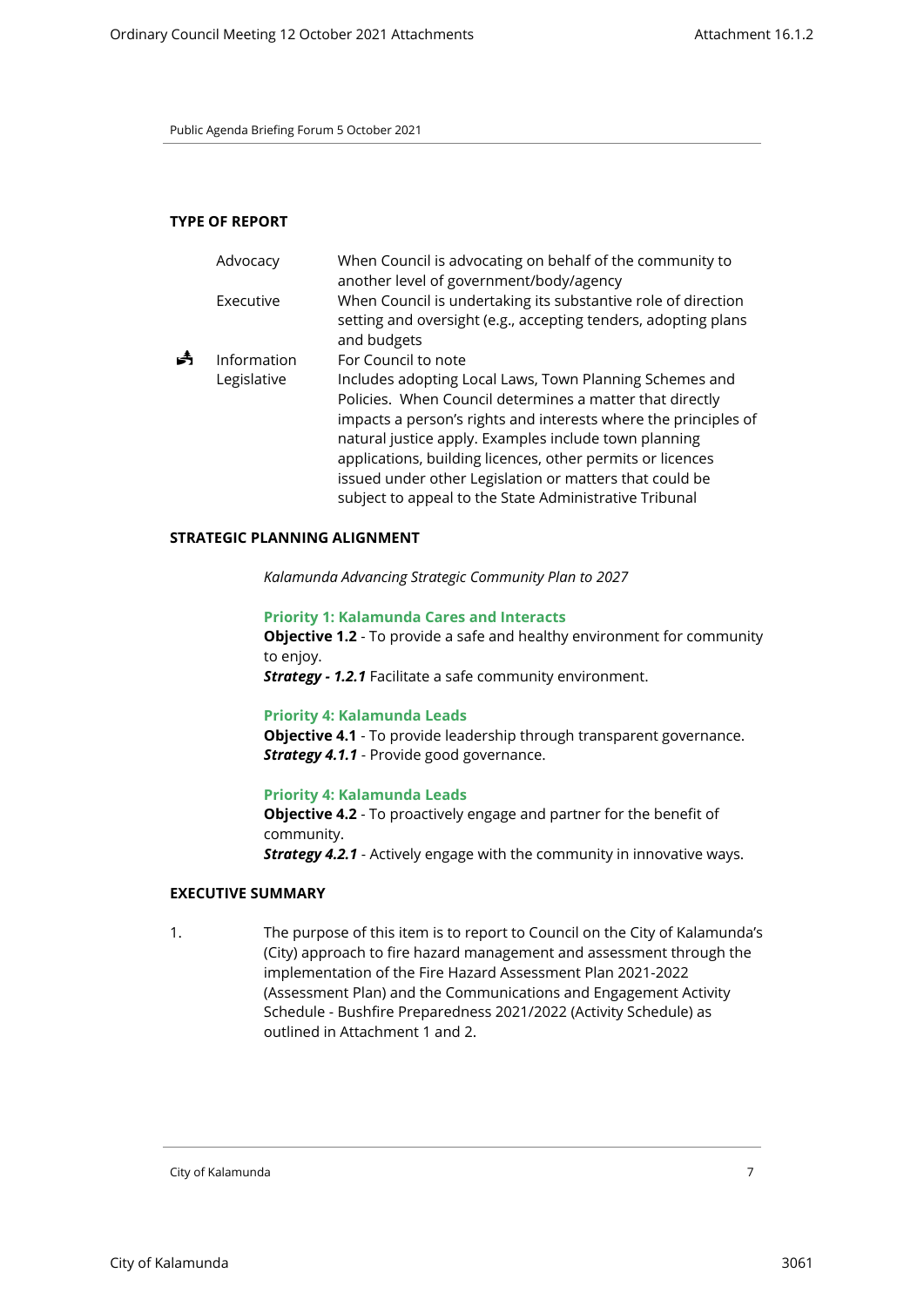#### **TYPE OF REPORT**

|   | Advocacy                   | When Council is advocating on behalf of the community to<br>another level of government/body/agency                                                                                                                                                                                                                                                                                             |
|---|----------------------------|-------------------------------------------------------------------------------------------------------------------------------------------------------------------------------------------------------------------------------------------------------------------------------------------------------------------------------------------------------------------------------------------------|
|   | Executive                  | When Council is undertaking its substantive role of direction<br>setting and oversight (e.g., accepting tenders, adopting plans<br>and budgets                                                                                                                                                                                                                                                  |
| Å | Information<br>Legislative | For Council to note<br>Includes adopting Local Laws, Town Planning Schemes and<br>Policies. When Council determines a matter that directly<br>impacts a person's rights and interests where the principles of<br>natural justice apply. Examples include town planning<br>applications, building licences, other permits or licences<br>issued under other Legislation or matters that could be |
|   |                            | subject to appeal to the State Administrative Tribunal                                                                                                                                                                                                                                                                                                                                          |

# **STRATEGIC PLANNING ALIGNMENT**

*Kalamunda Advancing Strategic Community Plan to 2027*

#### **Priority 1: Kalamunda Cares and Interacts**

**Objective 1.2** - To provide a safe and healthy environment for community to enjoy.

*Strategy - 1.2.1* Facilitate a safe community environment.

#### **Priority 4: Kalamunda Leads**

**Objective 4.1** - To provide leadership through transparent governance. **Strategy 4.1.1** - Provide good governance.

# **Priority 4: Kalamunda Leads**

**Objective 4.2** - To proactively engage and partner for the benefit of community. *Strategy 4.2.1* - Actively engage with the community in innovative ways.

#### **EXECUTIVE SUMMARY**

1. The purpose of this item is to report to Council on the City of Kalamunda's (City) approach to fire hazard management and assessment through the implementation of the Fire Hazard Assessment Plan 2021-2022 (Assessment Plan) and the Communications and Engagement Activity Schedule - Bushfire Preparedness 2021/2022 (Activity Schedule) as outlined in Attachment 1 and 2.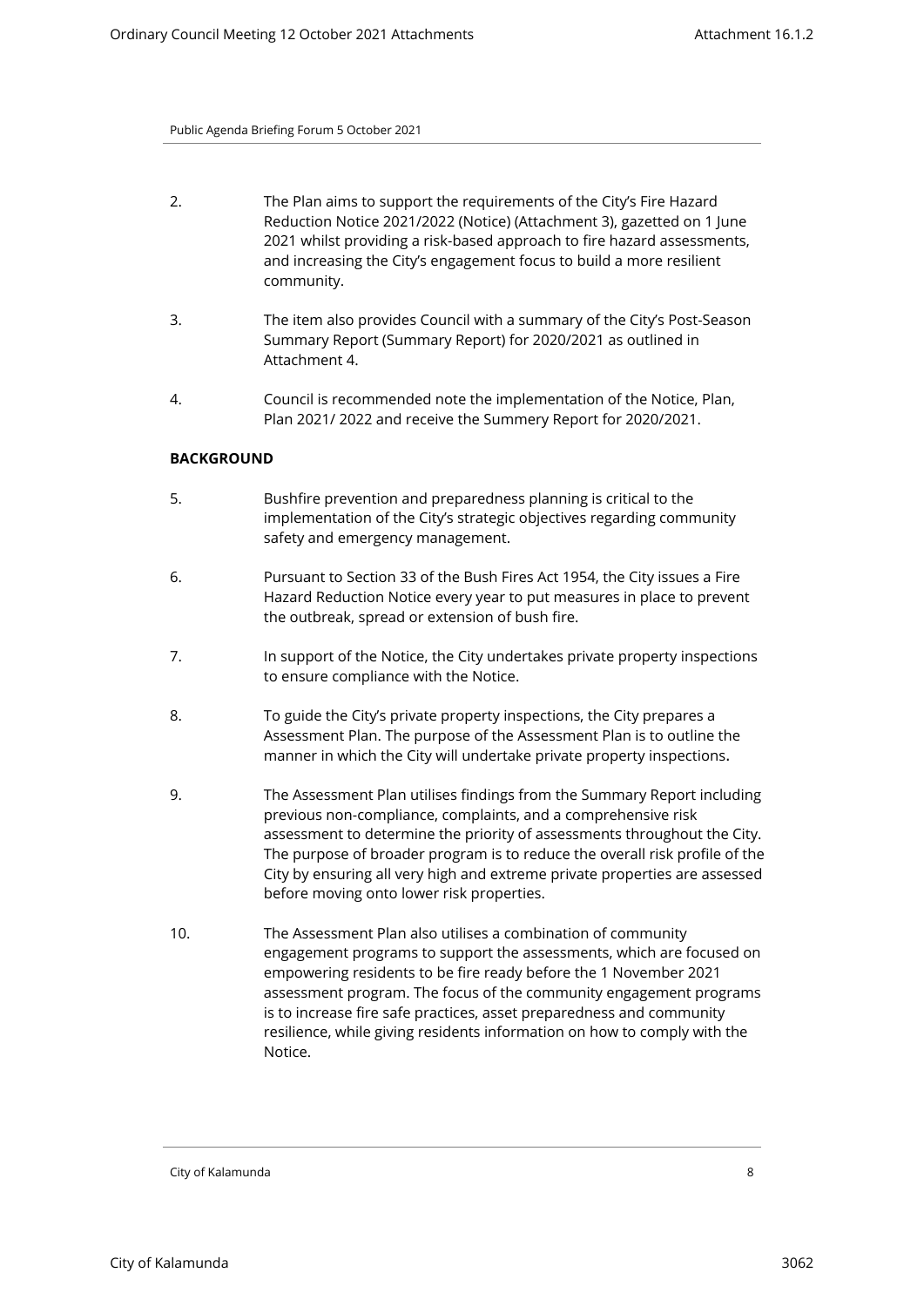- 2. The Plan aims to support the requirements of the City's Fire Hazard Reduction Notice 2021/2022 (Notice) (Attachment 3), gazetted on 1 June 2021 whilst providing a risk-based approach to fire hazard assessments, and increasing the City's engagement focus to build a more resilient community.
- 3. The item also provides Council with a summary of the City's Post-Season Summary Report (Summary Report) for 2020/2021 as outlined in Attachment 4.
- 4. Council is recommended note the implementation of the Notice, Plan, Plan 2021/ 2022 and receive the Summery Report for 2020/2021.

# **BACKGROUND**

- 5. Bushfire prevention and preparedness planning is critical to the implementation of the City's strategic objectives regarding community safety and emergency management.
- 6. Pursuant to Section 33 of the Bush Fires Act 1954, the City issues a Fire Hazard Reduction Notice every year to put measures in place to prevent the outbreak, spread or extension of bush fire.
- 7. In support of the Notice, the City undertakes private property inspections to ensure compliance with the Notice.
- 8. To guide the City's private property inspections, the City prepares a Assessment Plan. The purpose of the Assessment Plan is to outline the manner in which the City will undertake private property inspections.
- 9. The Assessment Plan utilises findings from the Summary Report including previous non-compliance, complaints, and a comprehensive risk assessment to determine the priority of assessments throughout the City. The purpose of broader program is to reduce the overall risk profile of the City by ensuring all very high and extreme private properties are assessed before moving onto lower risk properties.
- 10. The Assessment Plan also utilises a combination of community engagement programs to support the assessments, which are focused on empowering residents to be fire ready before the 1 November 2021 assessment program. The focus of the community engagement programs is to increase fire safe practices, asset preparedness and community resilience, while giving residents information on how to comply with the Notice.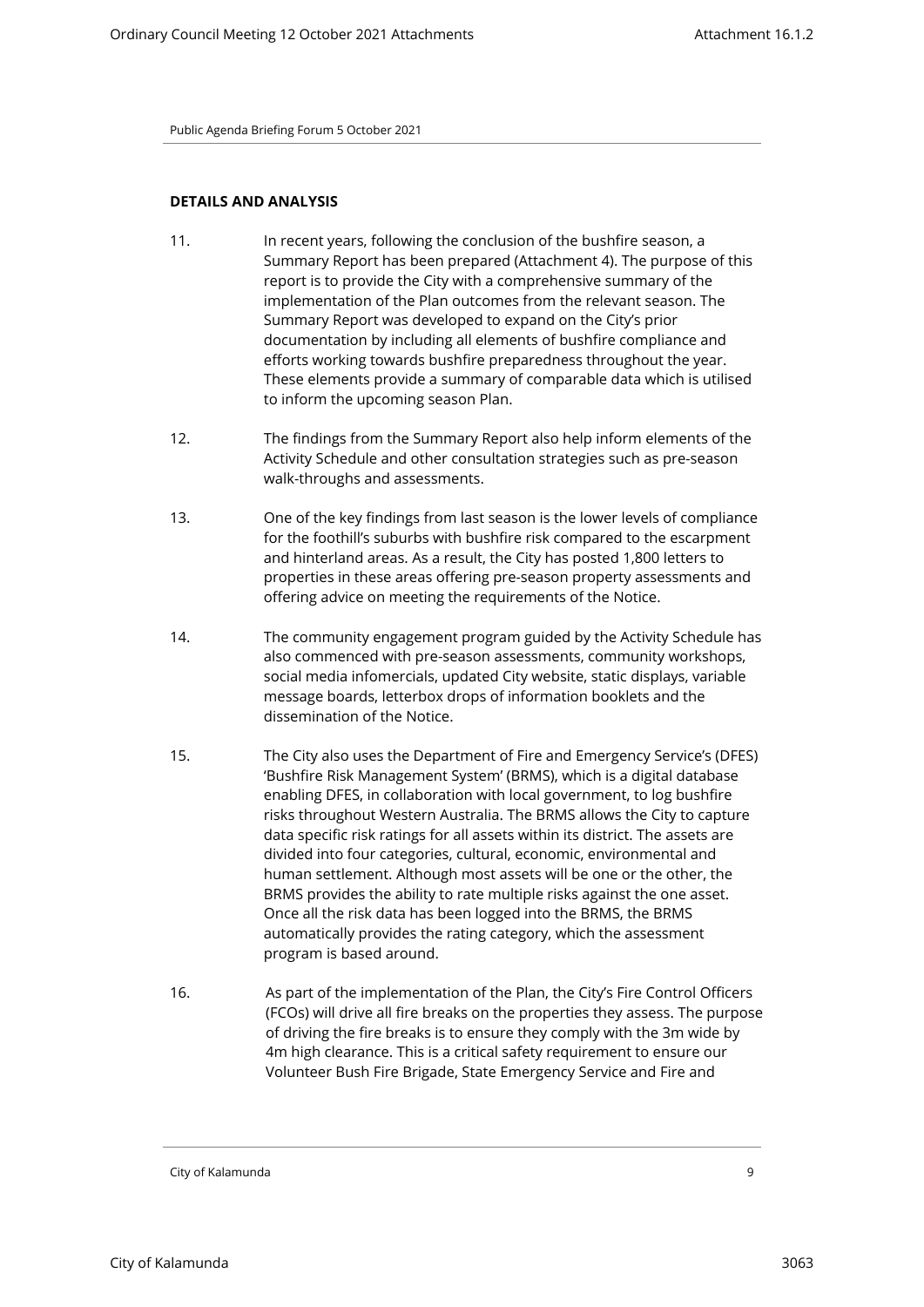# **DETAILS AND ANALYSIS**

- 11. In recent years, following the conclusion of the bushfire season, a Summary Report has been prepared (Attachment 4). The purpose of this report is to provide the City with a comprehensive summary of the implementation of the Plan outcomes from the relevant season. The Summary Report was developed to expand on the City's prior documentation by including all elements of bushfire compliance and efforts working towards bushfire preparedness throughout the year. These elements provide a summary of comparable data which is utilised to inform the upcoming season Plan.
- 12. The findings from the Summary Report also help inform elements of the Activity Schedule and other consultation strategies such as pre-season walk-throughs and assessments.
- 13. One of the key findings from last season is the lower levels of compliance for the foothill's suburbs with bushfire risk compared to the escarpment and hinterland areas. As a result, the City has posted 1,800 letters to properties in these areas offering pre-season property assessments and offering advice on meeting the requirements of the Notice.
- 14. The community engagement program guided by the Activity Schedule has also commenced with pre-season assessments, community workshops, social media infomercials, updated City website, static displays, variable message boards, letterbox drops of information booklets and the dissemination of the Notice.
- 15. The City also uses the Department of Fire and Emergency Service's (DFES) 'Bushfire Risk Management System' (BRMS), which is a digital database enabling DFES, in collaboration with local government, to log bushfire risks throughout Western Australia. The BRMS allows the City to capture data specific risk ratings for all assets within its district. The assets are divided into four categories, cultural, economic, environmental and human settlement. Although most assets will be one or the other, the BRMS provides the ability to rate multiple risks against the one asset. Once all the risk data has been logged into the BRMS, the BRMS automatically provides the rating category, which the assessment program is based around.
- 16. As part of the implementation of the Plan, the City's Fire Control Officers (FCOs) will drive all fire breaks on the properties they assess. The purpose of driving the fire breaks is to ensure they comply with the 3m wide by 4m high clearance. This is a critical safety requirement to ensure our Volunteer Bush Fire Brigade, State Emergency Service and Fire and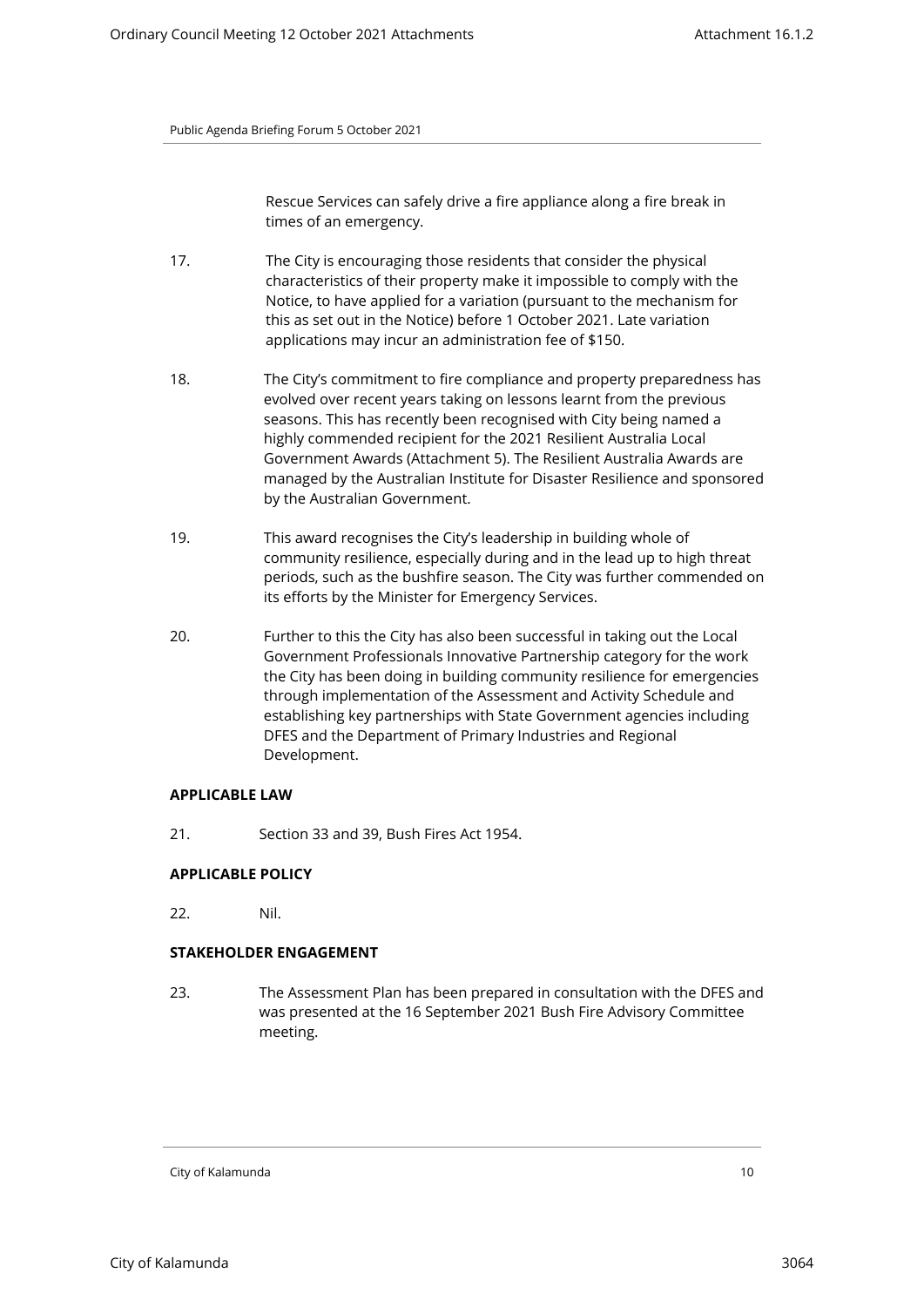Rescue Services can safely drive a fire appliance along a fire break in times of an emergency.

- 17. The City is encouraging those residents that consider the physical characteristics of their property make it impossible to comply with the Notice, to have applied for a variation (pursuant to the mechanism for this as set out in the Notice) before 1 October 2021. Late variation applications may incur an administration fee of \$150.
- 18. The City's commitment to fire compliance and property preparedness has evolved over recent years taking on lessons learnt from the previous seasons. This has recently been recognised with City being named a highly commended recipient for the 2021 Resilient Australia Local Government Awards (Attachment 5). The Resilient Australia Awards are managed by the Australian Institute for Disaster Resilience and sponsored by the Australian Government.
- 19. This award recognises the City's leadership in building whole of community resilience, especially during and in the lead up to high threat periods, such as the bushfire season. The City was further commended on its efforts by the Minister for Emergency Services.
- 20. Further to this the City has also been successful in taking out the Local Government Professionals Innovative Partnership category for the work the City has been doing in building community resilience for emergencies through implementation of the Assessment and Activity Schedule and establishing key partnerships with State Government agencies including DFES and the Department of Primary Industries and Regional Development.

# **APPLICABLE LAW**

21. Section 33 and 39, Bush Fires Act 1954.

# **APPLICABLE POLICY**

22. Nil.

# **STAKEHOLDER ENGAGEMENT**

23. The Assessment Plan has been prepared in consultation with the DFES and was presented at the 16 September 2021 Bush Fire Advisory Committee meeting.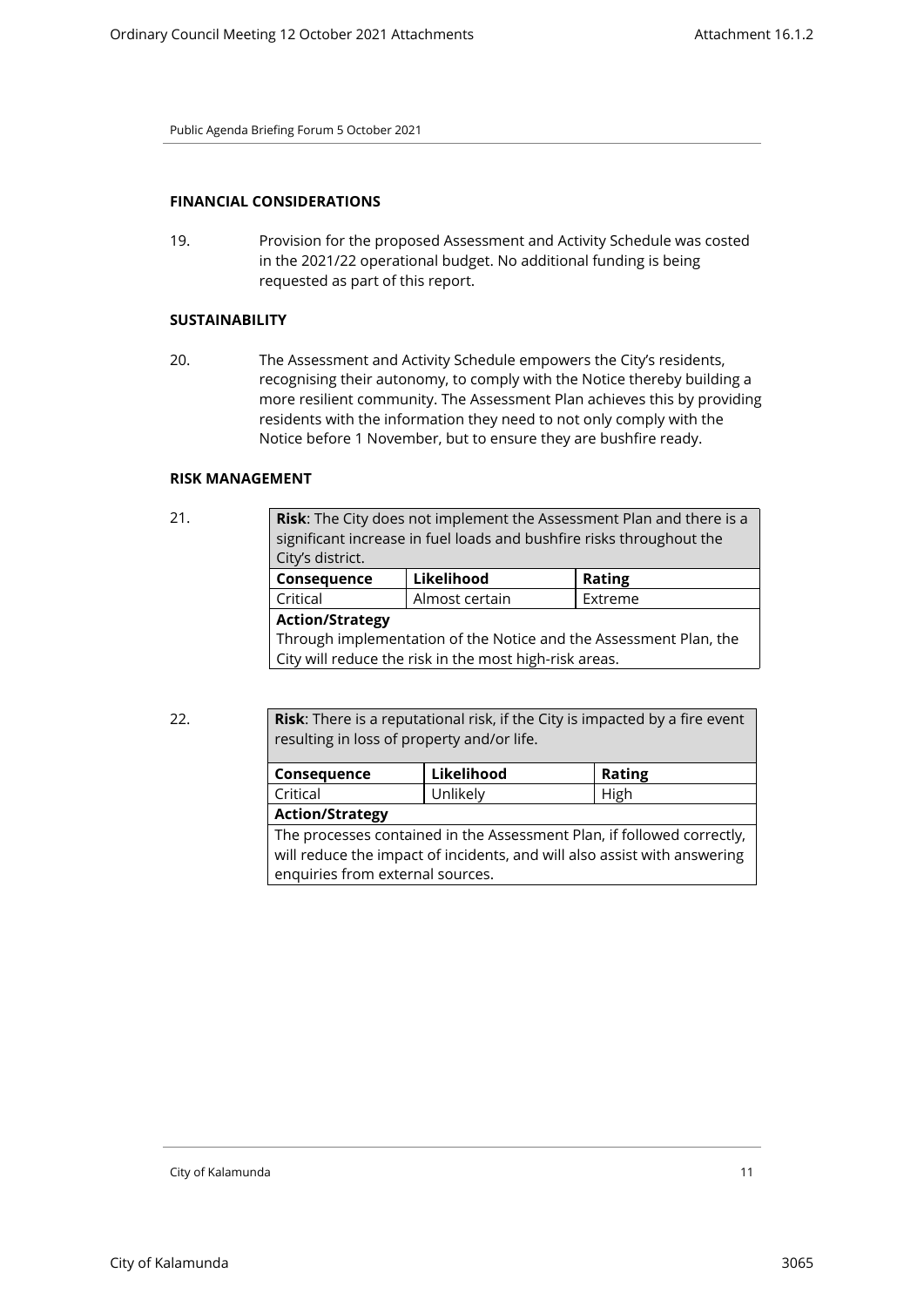# **FINANCIAL CONSIDERATIONS**

19. Provision for the proposed Assessment and Activity Schedule was costed in the 2021/22 operational budget. No additional funding is being requested as part of this report.

# **SUSTAINABILITY**

20. The Assessment and Activity Schedule empowers the City's residents, recognising their autonomy, to comply with the Notice thereby building a more resilient community. The Assessment Plan achieves this by providing residents with the information they need to not only comply with the Notice before 1 November, but to ensure they are bushfire ready.

#### **RISK MANAGEMENT**

| 21. | <b>Risk:</b> The City does not implement the Assessment Plan and there is a<br>significant increase in fuel loads and bushfire risks throughout the<br>City's district. |                |               |  |
|-----|-------------------------------------------------------------------------------------------------------------------------------------------------------------------------|----------------|---------------|--|
|     | Consequence                                                                                                                                                             | Likelihood     | <b>Rating</b> |  |
|     | Critical                                                                                                                                                                | Almost certain | Extreme       |  |
|     | <b>Action/Strategy</b>                                                                                                                                                  |                |               |  |
|     | Through implementation of the Notice and the Assessment Plan, the                                                                                                       |                |               |  |
|     | City will reduce the risk in the most high-risk areas.                                                                                                                  |                |               |  |
|     |                                                                                                                                                                         |                |               |  |

22. **Risk**: There is a reputational risk, if the City is impacted by a fire event resulting in loss of property and/or life.

| Consequence                                                              | Likelihood | <b>Rating</b> |  |
|--------------------------------------------------------------------------|------------|---------------|--|
| Critical                                                                 | Unlikely   | High          |  |
| <b>Action/Strategy</b>                                                   |            |               |  |
| The processes contained in the Assessment Plan, if followed correctly,   |            |               |  |
| will reduce the impact of incidents, and will also assist with answering |            |               |  |
| enquiries from external sources.                                         |            |               |  |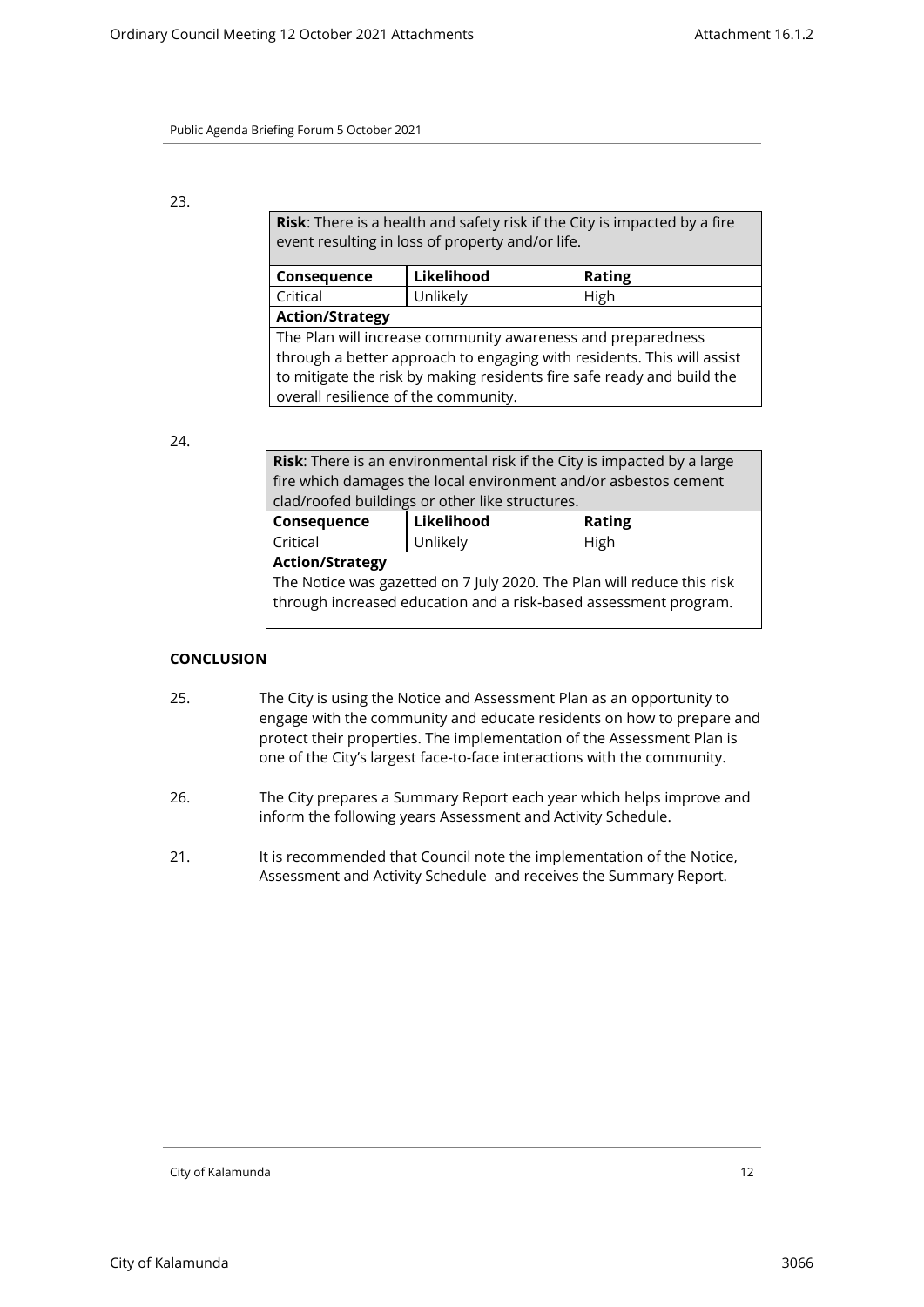# 23.

**Risk**: There is a health and safety risk if the City is impacted by a fire event resulting in loss of property and/or life.

| Consequence                                                            | Likelihood | <b>Rating</b> |  |  |
|------------------------------------------------------------------------|------------|---------------|--|--|
| Critical                                                               | Unlikely   | High          |  |  |
| <b>Action/Strategy</b>                                                 |            |               |  |  |
| The Plan will increase community awareness and preparedness            |            |               |  |  |
| through a better approach to engaging with residents. This will assist |            |               |  |  |
| to mitigate the risk by making residents fire safe ready and build the |            |               |  |  |
| overall resilience of the community.                                   |            |               |  |  |

# 24.

| <b>Risk:</b> There is an environmental risk if the City is impacted by a large |          |      |  |
|--------------------------------------------------------------------------------|----------|------|--|
| fire which damages the local environment and/or asbestos cement                |          |      |  |
| clad/roofed buildings or other like structures.                                |          |      |  |
| Likelihood<br><b>Rating</b><br>Consequence                                     |          |      |  |
| Critical                                                                       | Unlikely | High |  |
| <b>Action/Strategy</b>                                                         |          |      |  |
| The Notice was gazetted on 7 July 2020. The Plan will reduce this risk         |          |      |  |
| through increased education and a risk-based assessment program.               |          |      |  |
|                                                                                |          |      |  |

# **CONCLUSION**

- 25. The City is using the Notice and Assessment Plan as an opportunity to engage with the community and educate residents on how to prepare and protect their properties. The implementation of the Assessment Plan is one of the City's largest face-to-face interactions with the community.
- 26. The City prepares a Summary Report each year which helps improve and inform the following years Assessment and Activity Schedule.
- 21. It is recommended that Council note the implementation of the Notice, Assessment and Activity Schedule and receives the Summary Report.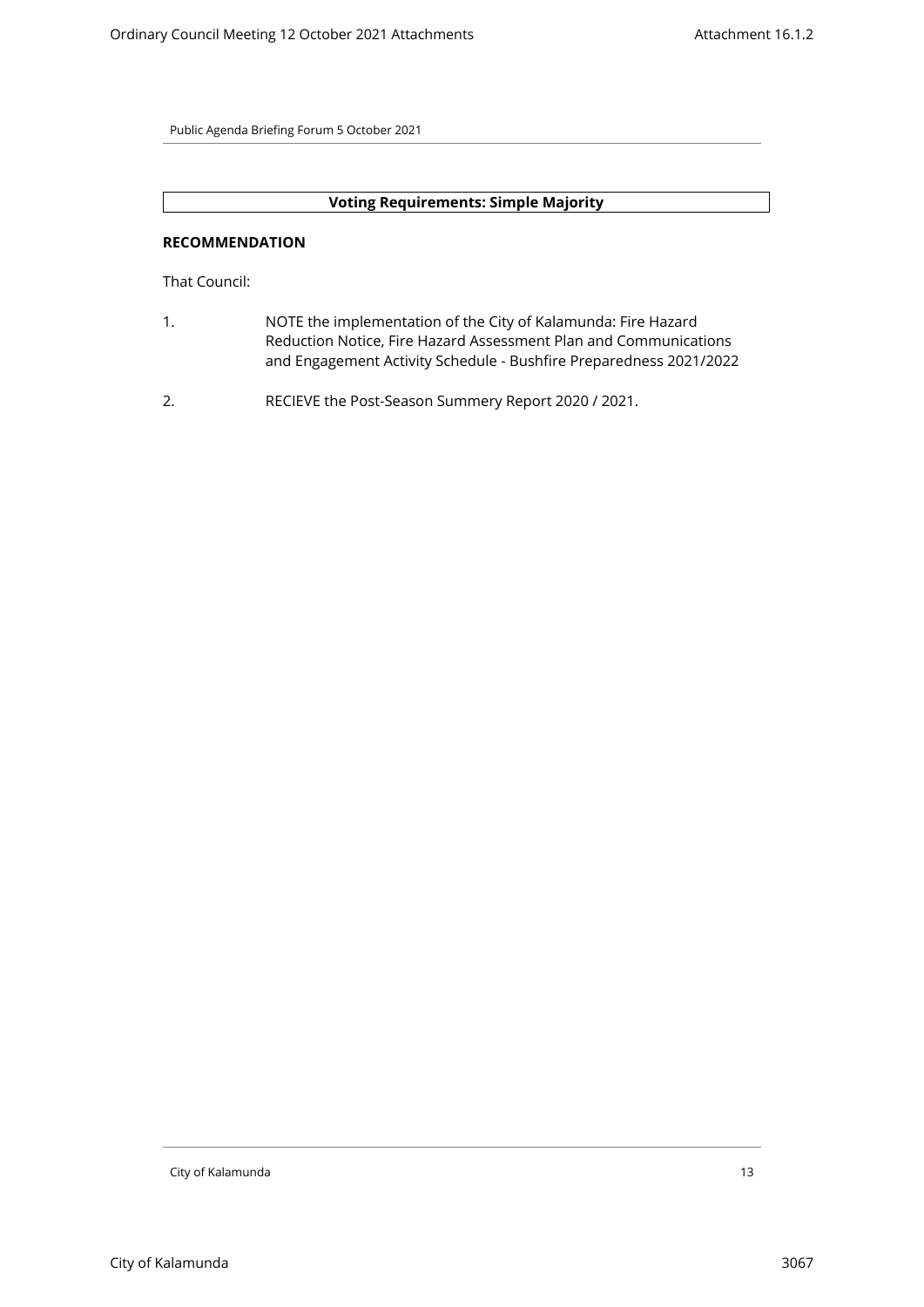# **Voting Requirements: Simple Majority**

# **RECOMMENDATION**

That Council:

- 1. NOTE the implementation of the City of Kalamunda: Fire Hazard Reduction Notice, Fire Hazard Assessment Plan and Communications and Engagement Activity Schedule - Bushfire Preparedness 2021/2022
- 2. RECIEVE the Post-Season Summery Report 2020 / 2021.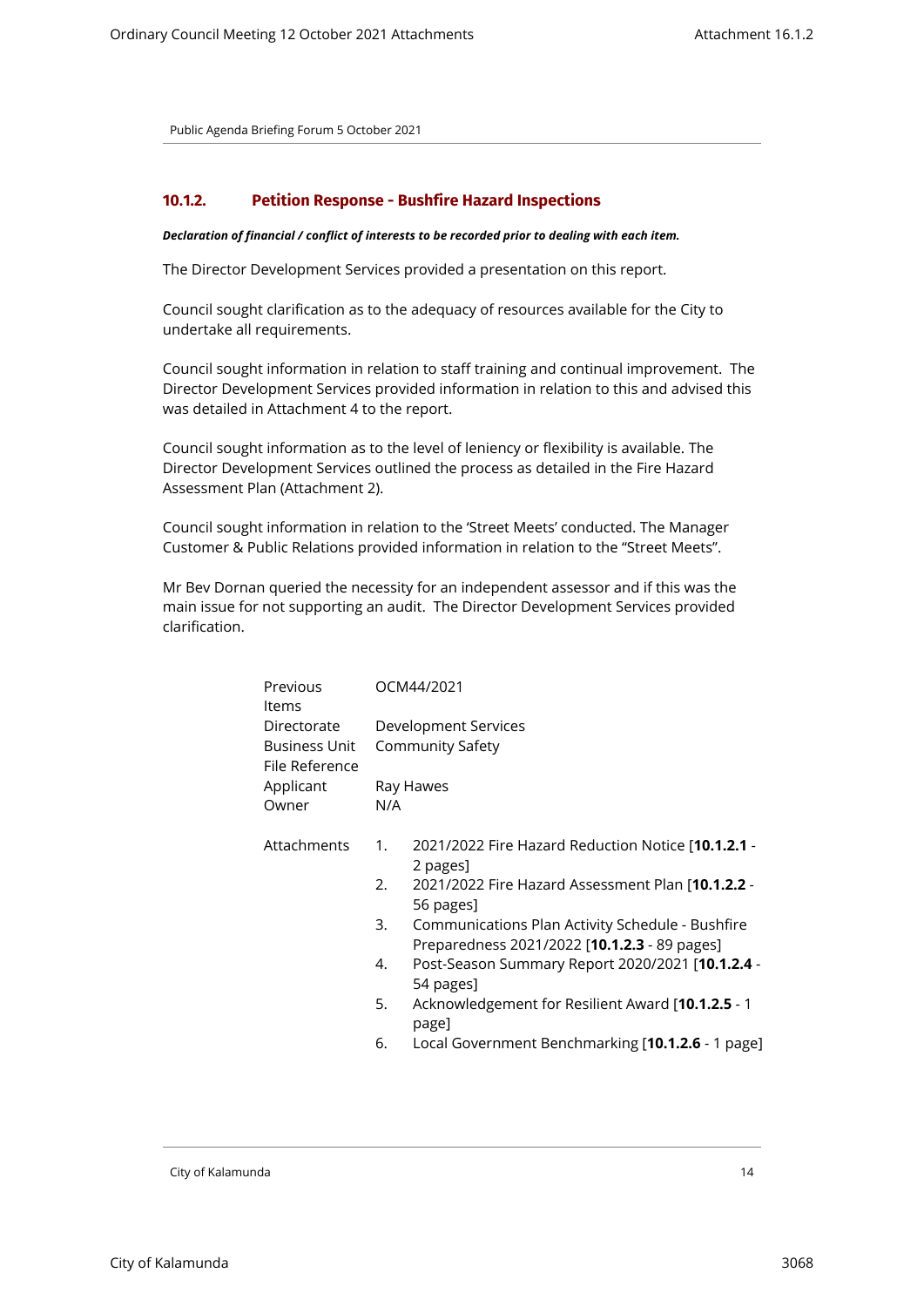#### <span id="page-13-0"></span>**10.1.2. Petition Response - Bushfire Hazard Inspections**

#### *Declaration of financial / conflict of interests to be recorded prior to dealing with each item.*

The Director Development Services provided a presentation on this report.

Council sought clarification as to the adequacy of resources available for the City to undertake all requirements.

Council sought information in relation to staff training and continual improvement. The Director Development Services provided information in relation to this and advised this was detailed in Attachment 4 to the report.

Council sought information as to the level of leniency or flexibility is available. The Director Development Services outlined the process as detailed in the Fire Hazard Assessment Plan (Attachment 2).

Council sought information in relation to the 'Street Meets' conducted. The Manager Customer & Public Relations provided information in relation to the "Street Meets".

Mr Bev Dornan queried the necessity for an independent assessor and if this was the main issue for not supporting an audit. The Director Development Services provided clarification.

| Previous<br>ltems                              | OCM44/2021 |                                                                                                  |  |  |
|------------------------------------------------|------------|--------------------------------------------------------------------------------------------------|--|--|
| Directorate<br>Business Unit<br>File Reference |            | Development Services<br>Community Safety                                                         |  |  |
| Applicant<br>Owner                             | N/A        | Ray Hawes                                                                                        |  |  |
| Attachments                                    | 1.         | 2021/2022 Fire Hazard Reduction Notice [10.1.2.1 -<br>2 pages]                                   |  |  |
|                                                | 2.         | 2021/2022 Fire Hazard Assessment Plan [10.1.2.2 -<br>56 pages]                                   |  |  |
|                                                | 3.         | Communications Plan Activity Schedule - Bushfire<br>Preparedness 2021/2022 [10.1.2.3 - 89 pages] |  |  |
|                                                | 4.         | Post-Season Summary Report 2020/2021 [10.1.2.4 -<br>54 pages]                                    |  |  |
|                                                | 5.         | Acknowledgement for Resilient Award [10.1.2.5 - 1<br>page]                                       |  |  |
|                                                | 6.         | Local Government Benchmarking [10.1.2.6 - 1 page]                                                |  |  |
|                                                |            |                                                                                                  |  |  |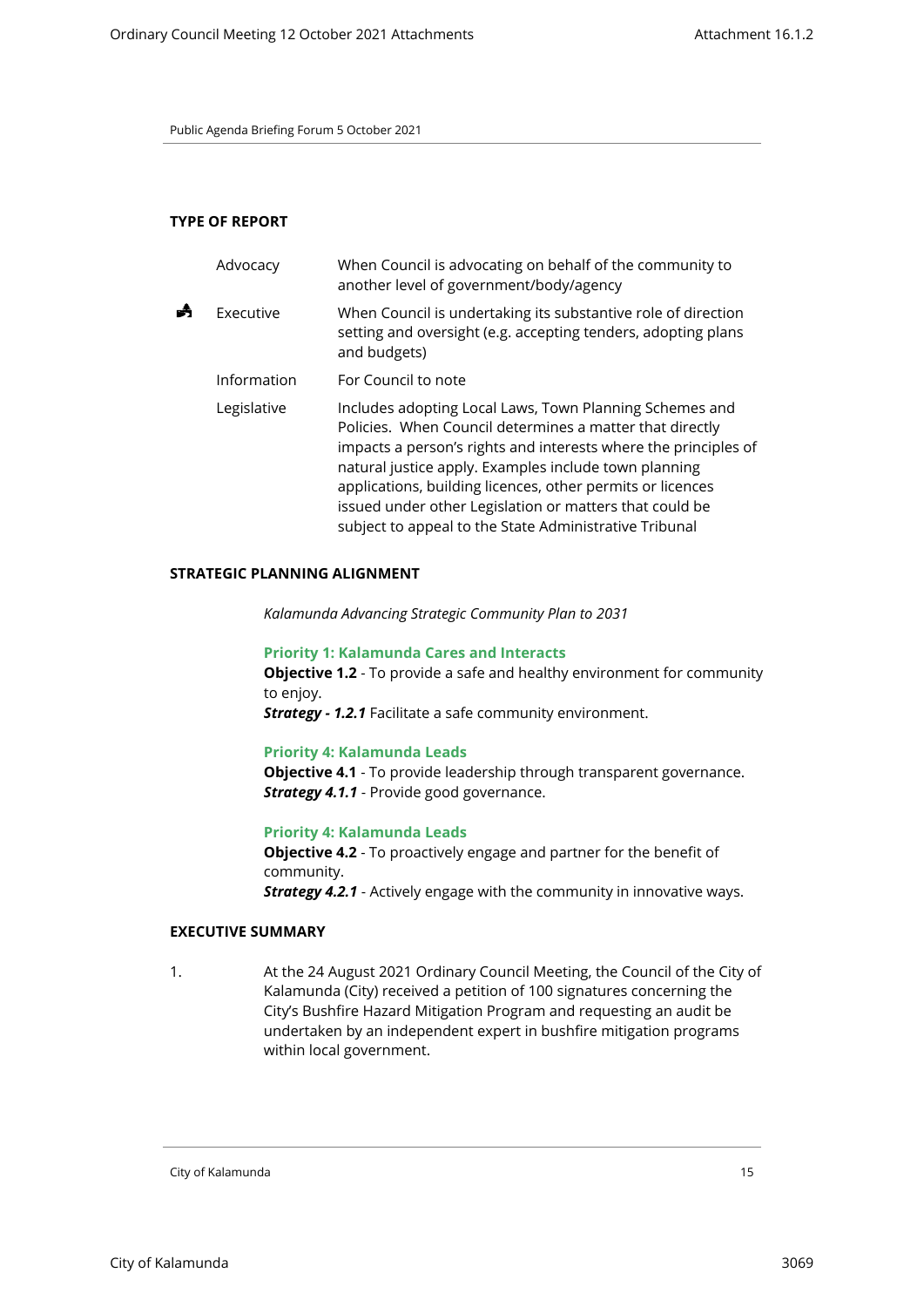#### **TYPE OF REPORT**

| Advocacy    | When Council is advocating on behalf of the community to<br>another level of government/body/agency                                                                                                                                                                                                                                                                                                                                |
|-------------|------------------------------------------------------------------------------------------------------------------------------------------------------------------------------------------------------------------------------------------------------------------------------------------------------------------------------------------------------------------------------------------------------------------------------------|
| Executive   | When Council is undertaking its substantive role of direction<br>setting and oversight (e.g. accepting tenders, adopting plans<br>and budgets)                                                                                                                                                                                                                                                                                     |
| Information | For Council to note                                                                                                                                                                                                                                                                                                                                                                                                                |
| Legislative | Includes adopting Local Laws, Town Planning Schemes and<br>Policies. When Council determines a matter that directly<br>impacts a person's rights and interests where the principles of<br>natural justice apply. Examples include town planning<br>applications, building licences, other permits or licences<br>issued under other Legislation or matters that could be<br>subject to appeal to the State Administrative Tribunal |

#### **STRATEGIC PLANNING ALIGNMENT**

*Kalamunda Advancing Strategic Community Plan to 2031*

**Priority 1: Kalamunda Cares and Interacts Objective 1.2** - To provide a safe and healthy environment for community to enjoy.

*Strategy - 1.2.1* Facilitate a safe community environment.

#### **Priority 4: Kalamunda Leads**

**Objective 4.1** - To provide leadership through transparent governance. *Strategy 4.1.1* - Provide good governance.

#### **Priority 4: Kalamunda Leads**

**Objective 4.2** - To proactively engage and partner for the benefit of community. *Strategy 4.2.1* - Actively engage with the community in innovative ways.

#### **EXECUTIVE SUMMARY**

1. At the 24 August 2021 Ordinary Council Meeting, the Council of the City of Kalamunda (City) received a petition of 100 signatures concerning the City's Bushfire Hazard Mitigation Program and requesting an audit be undertaken by an independent expert in bushfire mitigation programs within local government.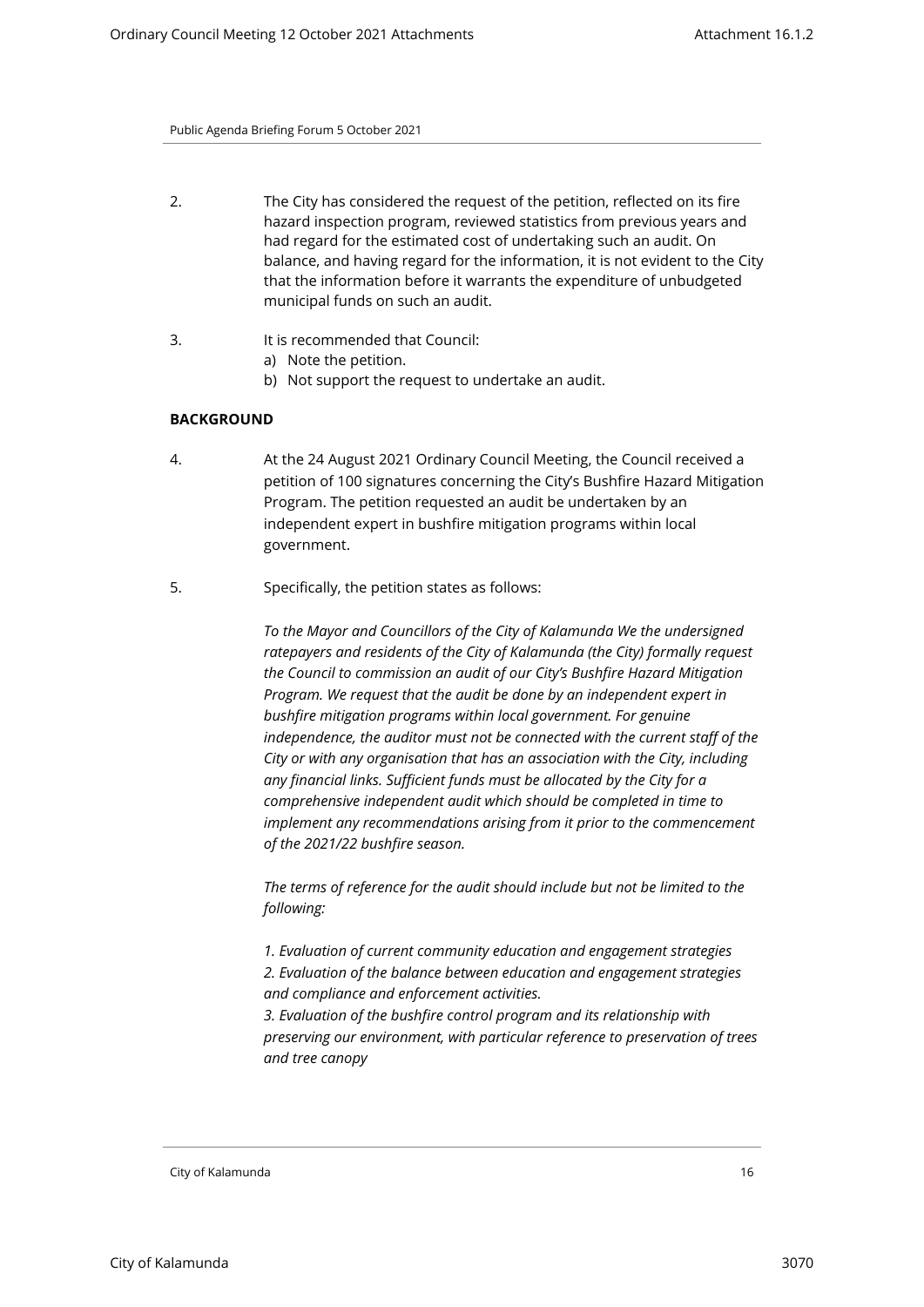- 2. The City has considered the request of the petition, reflected on its fire hazard inspection program, reviewed statistics from previous years and had regard for the estimated cost of undertaking such an audit. On balance, and having regard for the information, it is not evident to the City that the information before it warrants the expenditure of unbudgeted municipal funds on such an audit.
- 3. It is recommended that Council:
	- a) Note the petition.
	- b) Not support the request to undertake an audit.

# **BACKGROUND**

- 4. At the 24 August 2021 Ordinary Council Meeting, the Council received a petition of 100 signatures concerning the City's Bushfire Hazard Mitigation Program. The petition requested an audit be undertaken by an independent expert in bushfire mitigation programs within local government.
- 5. Specifically, the petition states as follows:

*To the Mayor and Councillors of the City of Kalamunda We the undersigned ratepayers and residents of the City of Kalamunda (the City) formally request the Council to commission an audit of our City's Bushfire Hazard Mitigation Program. We request that the audit be done by an independent expert in bushfire mitigation programs within local government. For genuine independence, the auditor must not be connected with the current staff of the City or with any organisation that has an association with the City, including any financial links. Sufficient funds must be allocated by the City for a comprehensive independent audit which should be completed in time to implement any recommendations arising from it prior to the commencement of the 2021/22 bushfire season.* 

*The terms of reference for the audit should include but not be limited to the following:* 

*1. Evaluation of current community education and engagement strategies 2. Evaluation of the balance between education and engagement strategies and compliance and enforcement activities.* 

*3. Evaluation of the bushfire control program and its relationship with preserving our environment, with particular reference to preservation of trees and tree canopy*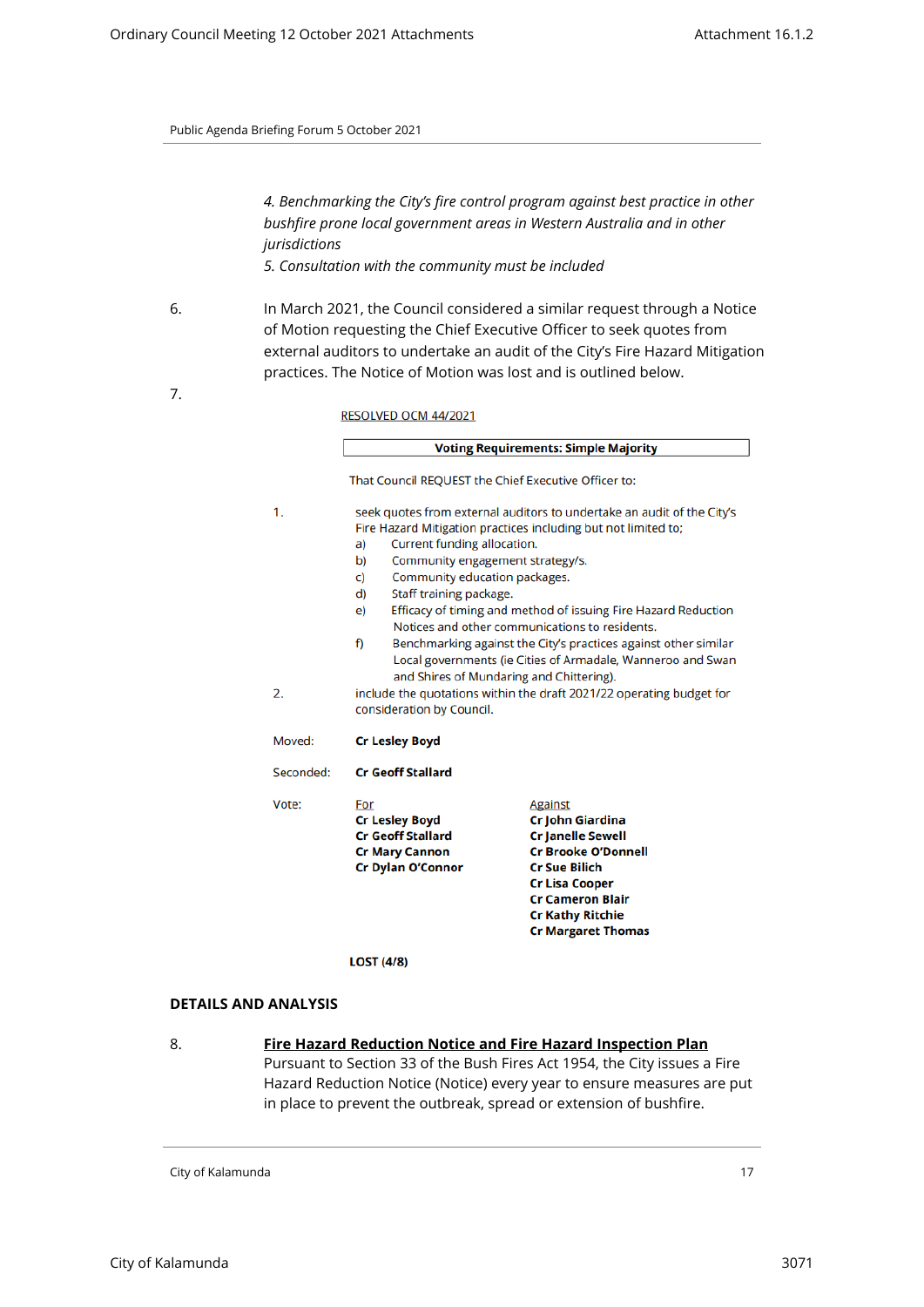*4. Benchmarking the City's fire control program against best practice in other bushfire prone local government areas in Western Australia and in other jurisdictions 5. Consultation with the community must be included*

6. In March 2021, the Council considered a similar request through a Notice of Motion requesting the Chief Executive Officer to seek quotes from external auditors to undertake an audit of the City's Fire Hazard Mitigation practices. The Notice of Motion was lost and is outlined below.

7.

RESOLVED OCM 44/2021

|           | <b>Voting Requirements: Simple Majority</b>                                                                                                                                   |                                                                                                                                                                                                                                  |  |  |
|-----------|-------------------------------------------------------------------------------------------------------------------------------------------------------------------------------|----------------------------------------------------------------------------------------------------------------------------------------------------------------------------------------------------------------------------------|--|--|
|           | That Council REQUEST the Chief Executive Officer to:                                                                                                                          |                                                                                                                                                                                                                                  |  |  |
| 1.        | seek quotes from external auditors to undertake an audit of the City's<br>Fire Hazard Mitigation practices including but not limited to;<br>Current funding allocation.<br>a) |                                                                                                                                                                                                                                  |  |  |
|           | b)                                                                                                                                                                            | Community engagement strategy/s.                                                                                                                                                                                                 |  |  |
|           | C)                                                                                                                                                                            | Community education packages.                                                                                                                                                                                                    |  |  |
|           | Staff training package.<br>d)                                                                                                                                                 |                                                                                                                                                                                                                                  |  |  |
|           | e)                                                                                                                                                                            | Efficacy of timing and method of issuing Fire Hazard Reduction<br>Notices and other communications to residents.                                                                                                                 |  |  |
|           | f)                                                                                                                                                                            | Benchmarking against the City's practices against other similar<br>Local governments (ie Cities of Armadale, Wanneroo and Swan<br>and Shires of Mundaring and Chittering).                                                       |  |  |
| 2.        | include the quotations within the draft 2021/22 operating budget for<br>consideration by Council.                                                                             |                                                                                                                                                                                                                                  |  |  |
| Moved:    | <b>Cr Lesley Boyd</b>                                                                                                                                                         |                                                                                                                                                                                                                                  |  |  |
| Seconded: | <b>Cr Geoff Stallard</b>                                                                                                                                                      |                                                                                                                                                                                                                                  |  |  |
| Vote:     | For<br><b>Cr Lesley Boyd</b><br><b>Cr Geoff Stallard</b><br><b>Cr Mary Cannon</b><br><b>Cr Dylan O'Connor</b>                                                                 | <b>Against</b><br>Cr John Giardina<br><b>Cr Janelle Sewell</b><br><b>Cr Brooke O'Donnell</b><br><b>Cr Sue Bilich</b><br><b>Cr Lisa Cooper</b><br><b>Cr Cameron Blair</b><br><b>Cr Kathy Ritchie</b><br><b>Cr Margaret Thomas</b> |  |  |

#### **LOST (4/8)**

#### **DETAILS AND ANALYSIS**

8. **Fire Hazard Reduction Notice and Fire Hazard Inspection Plan** Pursuant to Section 33 of the Bush Fires Act 1954, the City issues a Fire Hazard Reduction Notice (Notice) every year to ensure measures are put in place to prevent the outbreak, spread or extension of bushfire.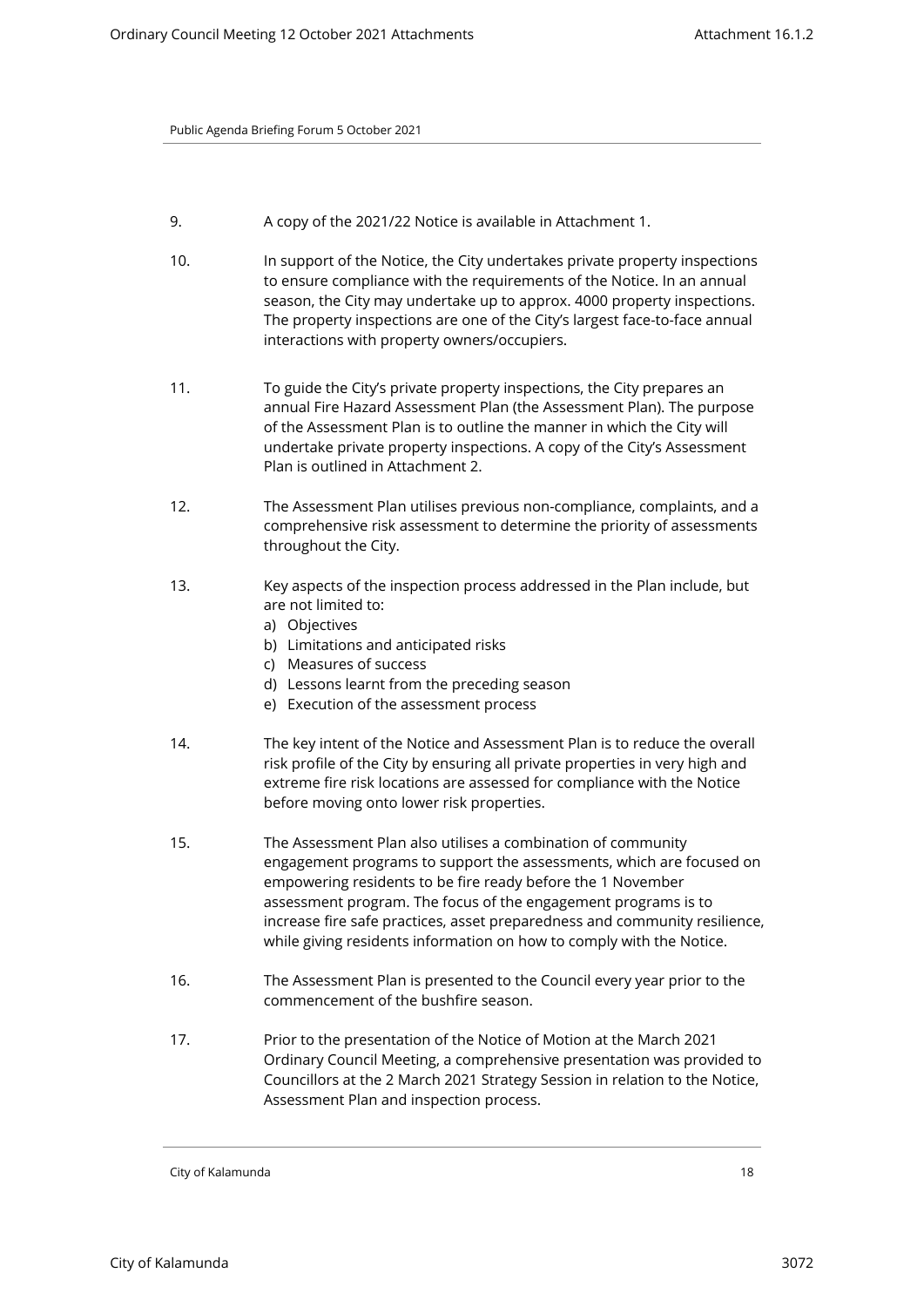- 9. A copy of the 2021/22 Notice is available in Attachment 1.
- 10. In support of the Notice, the City undertakes private property inspections to ensure compliance with the requirements of the Notice. In an annual season, the City may undertake up to approx. 4000 property inspections. The property inspections are one of the City's largest face-to-face annual interactions with property owners/occupiers.
- 11. To guide the City's private property inspections, the City prepares an annual Fire Hazard Assessment Plan (the Assessment Plan). The purpose of the Assessment Plan is to outline the manner in which the City will undertake private property inspections. A copy of the City's Assessment Plan is outlined in Attachment 2.
- 12. The Assessment Plan utilises previous non-compliance, complaints, and a comprehensive risk assessment to determine the priority of assessments throughout the City.
- 13. Key aspects of the inspection process addressed in the Plan include, but are not limited to:
	- a) Objectives
	- b) Limitations and anticipated risks
	- c) Measures of success
	- d) Lessons learnt from the preceding season
	- e) Execution of the assessment process
- 14. The key intent of the Notice and Assessment Plan is to reduce the overall risk profile of the City by ensuring all private properties in very high and extreme fire risk locations are assessed for compliance with the Notice before moving onto lower risk properties.
- 15. The Assessment Plan also utilises a combination of community engagement programs to support the assessments, which are focused on empowering residents to be fire ready before the 1 November assessment program. The focus of the engagement programs is to increase fire safe practices, asset preparedness and community resilience, while giving residents information on how to comply with the Notice.
- 16. The Assessment Plan is presented to the Council every year prior to the commencement of the bushfire season.
- 17. Prior to the presentation of the Notice of Motion at the March 2021 Ordinary Council Meeting, a comprehensive presentation was provided to Councillors at the 2 March 2021 Strategy Session in relation to the Notice, Assessment Plan and inspection process.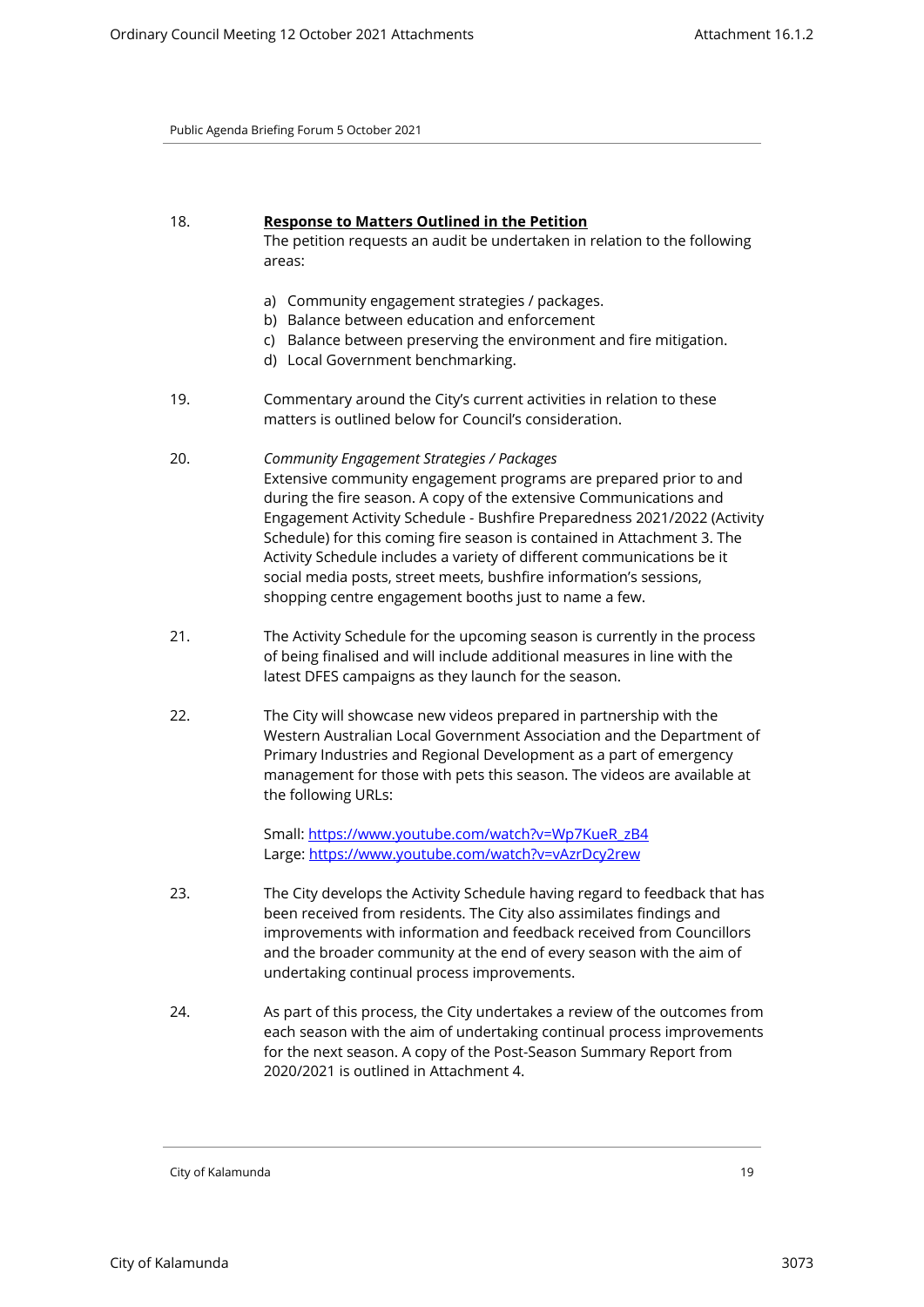# 18. **Response to Matters Outlined in the Petition**  The petition requests an audit be undertaken in relation to the following areas:

- a) Community engagement strategies / packages.
- b) Balance between education and enforcement
- c) Balance between preserving the environment and fire mitigation.
- d) Local Government benchmarking.
- 19. Commentary around the City's current activities in relation to these matters is outlined below for Council's consideration.
- 20. *Community Engagement Strategies / Packages*  Extensive community engagement programs are prepared prior to and during the fire season. A copy of the extensive Communications and Engagement Activity Schedule - Bushfire Preparedness 2021/2022 (Activity Schedule) for this coming fire season is contained in Attachment 3. The Activity Schedule includes a variety of different communications be it social media posts, street meets, bushfire information's sessions, shopping centre engagement booths just to name a few.
- 21. The Activity Schedule for the upcoming season is currently in the process of being finalised and will include additional measures in line with the latest DFES campaigns as they launch for the season.
- 22. The City will showcase new videos prepared in partnership with the Western Australian Local Government Association and the Department of Primary Industries and Regional Development as a part of emergency management for those with pets this season. The videos are available at the following URLs:

Small: [https://www.youtube.com/watch?v=Wp7KueR\\_zB4](https://www.youtube.com/watch?v=Wp7KueR_zB4) Large:<https://www.youtube.com/watch?v=vAzrDcy2rew>

- 23. The City develops the Activity Schedule having regard to feedback that has been received from residents. The City also assimilates findings and improvements with information and feedback received from Councillors and the broader community at the end of every season with the aim of undertaking continual process improvements.
- 24. As part of this process, the City undertakes a review of the outcomes from each season with the aim of undertaking continual process improvements for the next season. A copy of the Post-Season Summary Report from 2020/2021 is outlined in Attachment 4.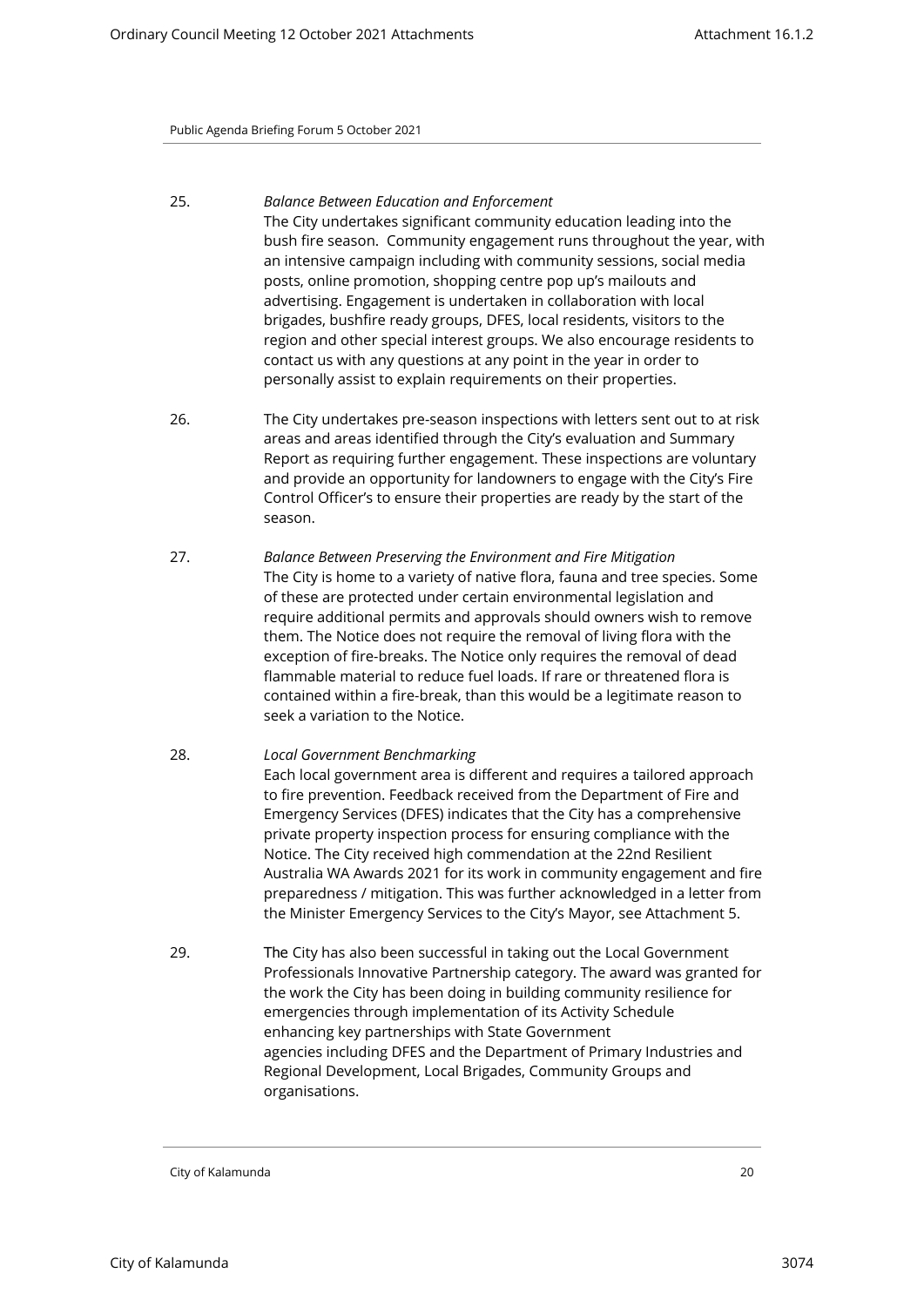- 25. *Balance Between Education and Enforcement*  The City undertakes significant community education leading into the bush fire season. Community engagement runs throughout the year, with an intensive campaign including with community sessions, social media posts, online promotion, shopping centre pop up's mailouts and advertising. Engagement is undertaken in collaboration with local brigades, bushfire ready groups, DFES, local residents, visitors to the region and other special interest groups. We also encourage residents to contact us with any questions at any point in the year in order to personally assist to explain requirements on their properties.
- 26. The City undertakes pre-season inspections with letters sent out to at risk areas and areas identified through the City's evaluation and Summary Report as requiring further engagement. These inspections are voluntary and provide an opportunity for landowners to engage with the City's Fire Control Officer's to ensure their properties are ready by the start of the season.
- 27. *Balance Between Preserving the Environment and Fire Mitigation*  The City is home to a variety of native flora, fauna and tree species. Some of these are protected under certain environmental legislation and require additional permits and approvals should owners wish to remove them. The Notice does not require the removal of living flora with the exception of fire-breaks. The Notice only requires the removal of dead flammable material to reduce fuel loads. If rare or threatened flora is contained within a fire-break, than this would be a legitimate reason to seek a variation to the Notice.
- 28. *Local Government Benchmarking*  Each local government area is different and requires a tailored approach to fire prevention. Feedback received from the Department of Fire and Emergency Services (DFES) indicates that the City has a comprehensive private property inspection process for ensuring compliance with the Notice. The City received high commendation at the 22nd Resilient Australia WA Awards 2021 for its work in community engagement and fire preparedness / mitigation. This was further acknowledged in a letter from the Minister Emergency Services to the City's Mayor, see Attachment 5.
- 29. The City has also been successful in taking out the Local Government Professionals Innovative Partnership category. The award was granted for the work the City has been doing in building community resilience for emergencies through implementation of its Activity Schedule enhancing key partnerships with State Government agencies including DFES and the Department of Primary Industries and Regional Development, Local Brigades, Community Groups and organisations.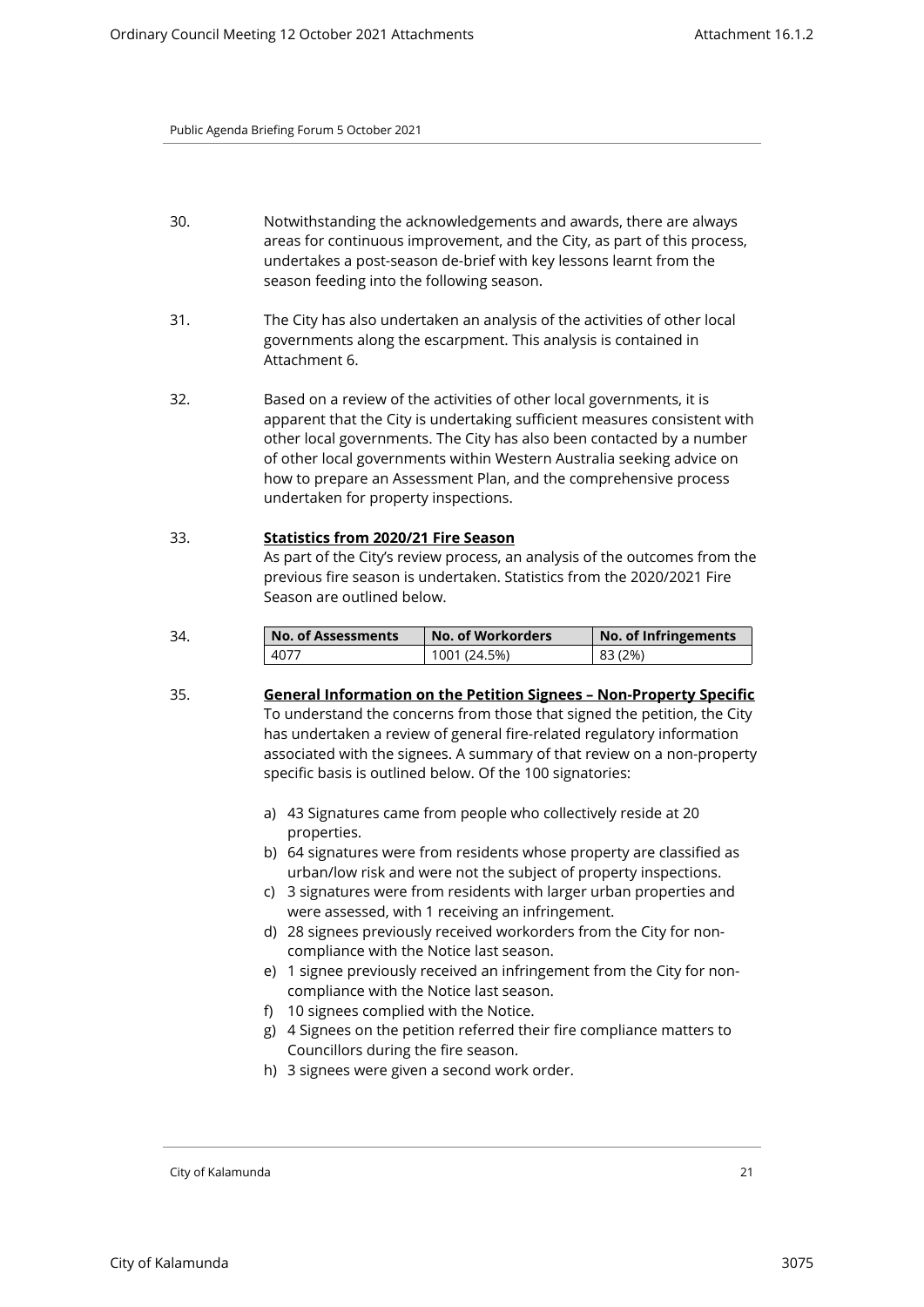- 30. Notwithstanding the acknowledgements and awards, there are always areas for continuous improvement, and the City, as part of this process, undertakes a post-season de-brief with key lessons learnt from the season feeding into the following season.
- 31. The City has also undertaken an analysis of the activities of other local governments along the escarpment. This analysis is contained in Attachment 6.
- 32. Based on a review of the activities of other local governments, it is apparent that the City is undertaking sufficient measures consistent with other local governments. The City has also been contacted by a number of other local governments within Western Australia seeking advice on how to prepare an Assessment Plan, and the comprehensive process undertaken for property inspections.

# 33. **Statistics from 2020/21 Fire Season** As part of the City's review process, an analysis of the outcomes from the previous fire season is undertaken. Statistics from the 2020/2021 Fire Season are outlined below.

| 34. | <b>No. of Assessments</b> | No. of Workorders | No. of Infringements |
|-----|---------------------------|-------------------|----------------------|
|     | 4077                      | 1001 (24.5%)      | 83 (2%)              |

- 35. **General Information on the Petition Signees Non-Property Specific**  To understand the concerns from those that signed the petition, the City has undertaken a review of general fire-related regulatory information associated with the signees. A summary of that review on a non-property specific basis is outlined below. Of the 100 signatories:
	- a) 43 Signatures came from people who collectively reside at 20 properties.
	- b) 64 signatures were from residents whose property are classified as urban/low risk and were not the subject of property inspections.
	- c) 3 signatures were from residents with larger urban properties and were assessed, with 1 receiving an infringement.
	- d) 28 signees previously received workorders from the City for noncompliance with the Notice last season.
	- e) 1 signee previously received an infringement from the City for noncompliance with the Notice last season.
	- f) 10 signees complied with the Notice.
	- g) 4 Signees on the petition referred their fire compliance matters to Councillors during the fire season.
	- h) 3 signees were given a second work order.

City of Kalamunda 21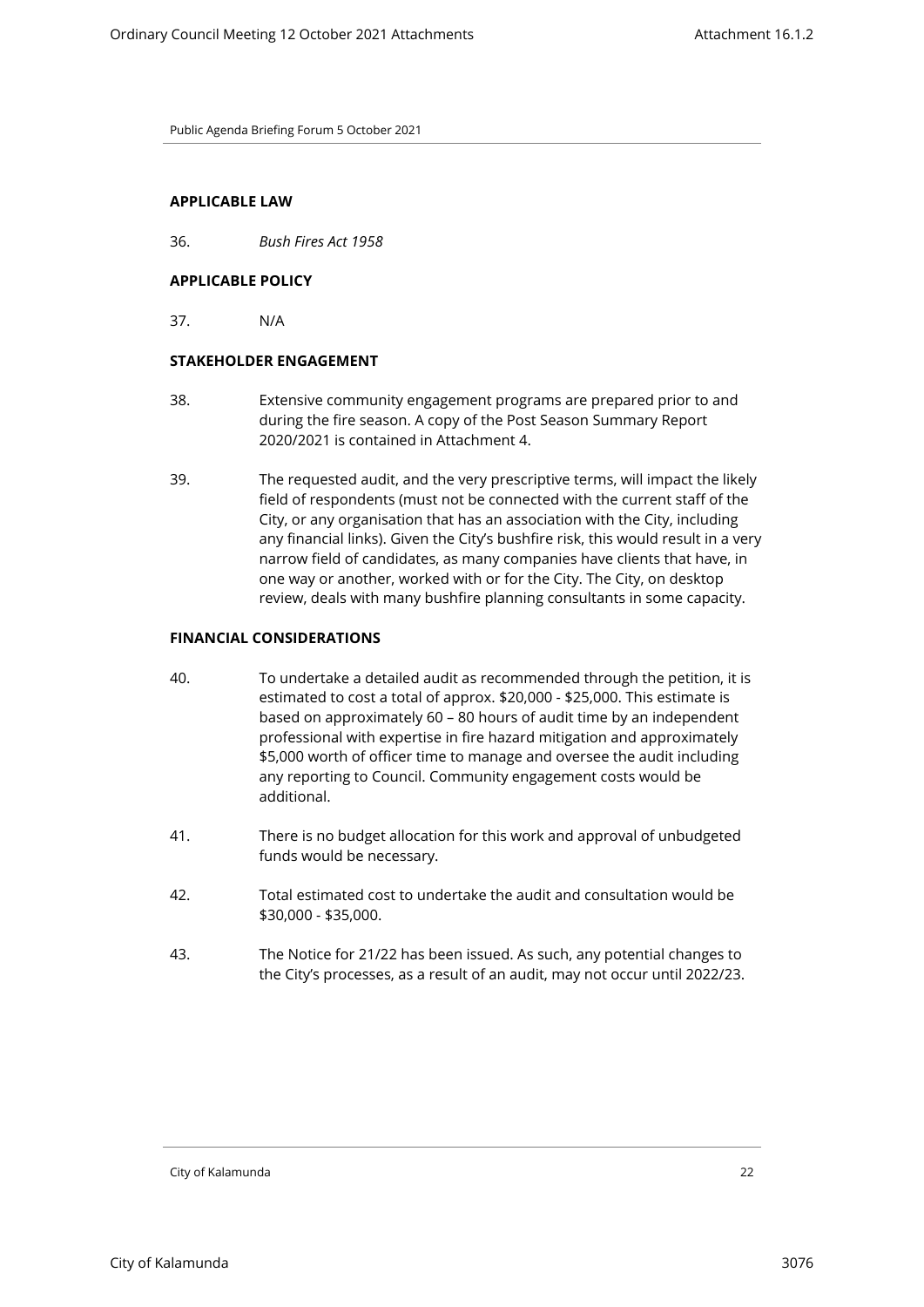# **APPLICABLE LAW**

36. *Bush Fires Act 1958* 

# **APPLICABLE POLICY**

37. N/A

#### **STAKEHOLDER ENGAGEMENT**

- 38. Extensive community engagement programs are prepared prior to and during the fire season. A copy of the Post Season Summary Report 2020/2021 is contained in Attachment 4.
- 39. The requested audit, and the very prescriptive terms, will impact the likely field of respondents (must not be connected with the current staff of the City, or any organisation that has an association with the City, including any financial links). Given the City's bushfire risk, this would result in a very narrow field of candidates, as many companies have clients that have, in one way or another, worked with or for the City. The City, on desktop review, deals with many bushfire planning consultants in some capacity.

# **FINANCIAL CONSIDERATIONS**

- 40. To undertake a detailed audit as recommended through the petition, it is estimated to cost a total of approx. \$20,000 - \$25,000. This estimate is based on approximately 60 – 80 hours of audit time by an independent professional with expertise in fire hazard mitigation and approximately \$5,000 worth of officer time to manage and oversee the audit including any reporting to Council. Community engagement costs would be additional.
- 41. There is no budget allocation for this work and approval of unbudgeted funds would be necessary.
- 42. Total estimated cost to undertake the audit and consultation would be \$30,000 - \$35,000.
- 43. The Notice for 21/22 has been issued. As such, any potential changes to the City's processes, as a result of an audit, may not occur until 2022/23.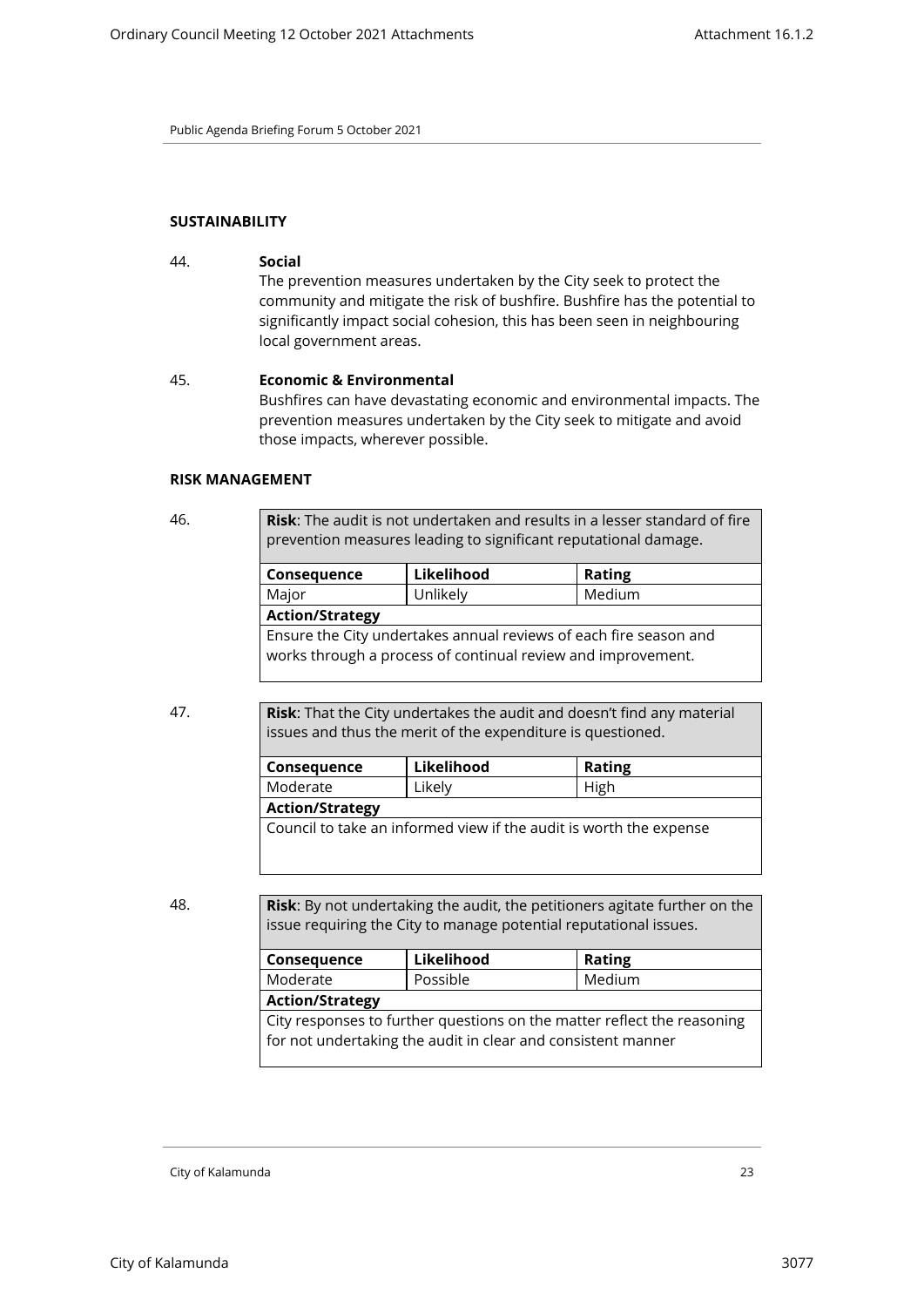#### **SUSTAINABILITY**

44. **Social**  The prevention measures undertaken by the City seek to protect the community and mitigate the risk of bushfire. Bushfire has the potential to significantly impact social cohesion, this has been seen in neighbouring local government areas.

#### 45. **Economic & Environmental**

Bushfires can have devastating economic and environmental impacts. The prevention measures undertaken by the City seek to mitigate and avoid those impacts, wherever possible.

#### **RISK MANAGEMENT**

46. **Risk**: The audit is not undertaken and results in a lesser standard of fire prevention measures leading to significant reputational damage.

| Consequence                                                                                                                       | Likelihood | <b>Rating</b> |  |
|-----------------------------------------------------------------------------------------------------------------------------------|------------|---------------|--|
| Major                                                                                                                             | Unlikely   | Medium        |  |
| <b>Action/Strategy</b>                                                                                                            |            |               |  |
| Ensure the City undertakes annual reviews of each fire season and<br>works through a process of continual review and improvement. |            |               |  |

47. **Risk**: That the City undertakes the audit and doesn't find any material issues and thus the merit of the expenditure is questioned.

| Consequence                                                        | Likelihood | <b>Rating</b> |
|--------------------------------------------------------------------|------------|---------------|
| Moderate                                                           | Likely     | High          |
| <b>Action/Strategy</b>                                             |            |               |
| Council to take an informed view if the audit is worth the expense |            |               |

48. **Risk**: By not undertaking the audit, the petitioners agitate further on the issue requiring the City to manage potential reputational issues.

| Consequence                                                                                                                             | Likelihood | <b>Rating</b> |  |
|-----------------------------------------------------------------------------------------------------------------------------------------|------------|---------------|--|
| Moderate                                                                                                                                | Possible   | Medium        |  |
| <b>Action/Strategy</b>                                                                                                                  |            |               |  |
| City responses to further questions on the matter reflect the reasoning<br>for not undertaking the audit in clear and consistent manner |            |               |  |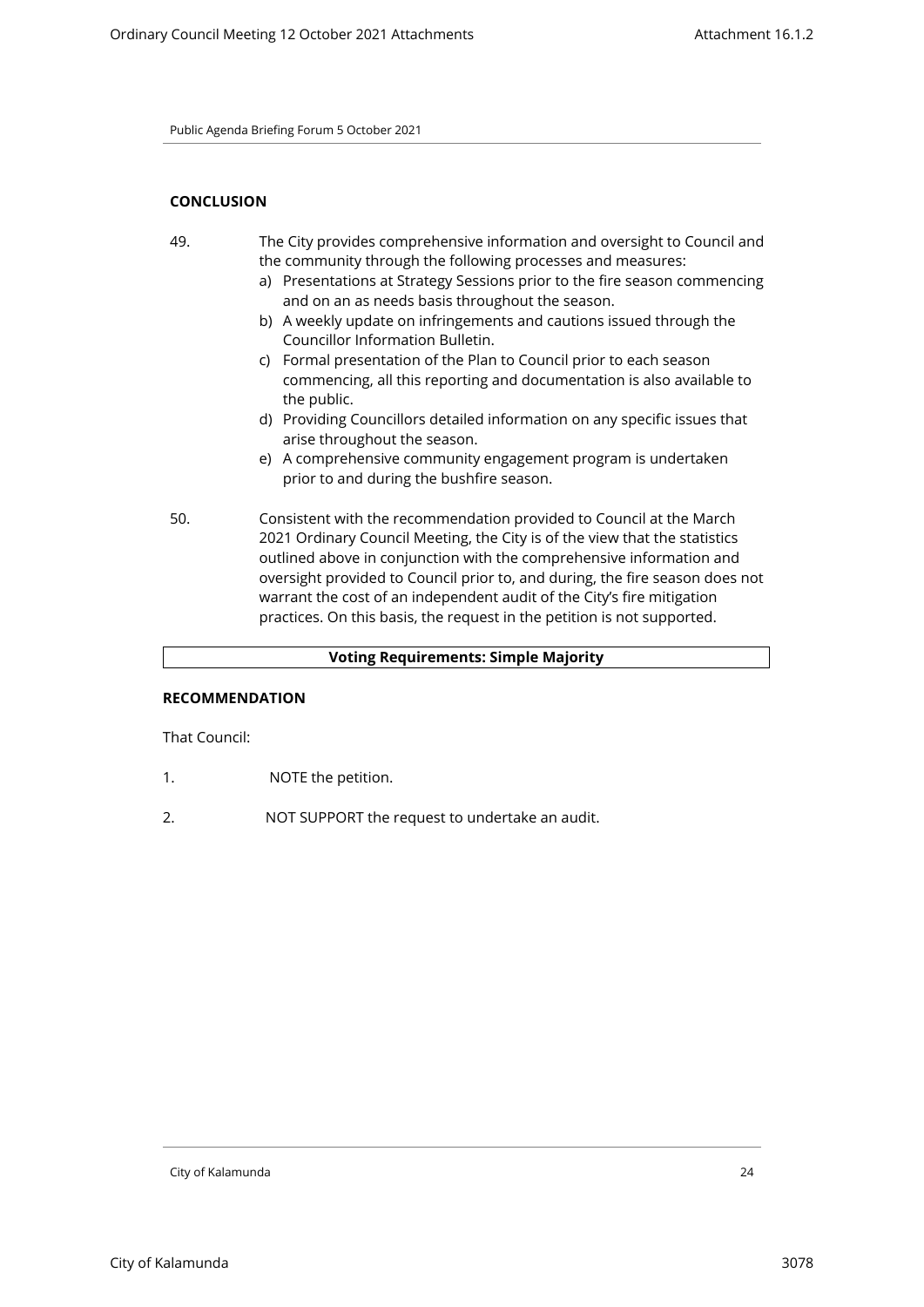# **CONCLUSION**

- 49. The City provides comprehensive information and oversight to Council and the community through the following processes and measures:
	- a) Presentations at Strategy Sessions prior to the fire season commencing and on an as needs basis throughout the season.
	- b) A weekly update on infringements and cautions issued through the Councillor Information Bulletin.
	- c) Formal presentation of the Plan to Council prior to each season commencing, all this reporting and documentation is also available to the public.
	- d) Providing Councillors detailed information on any specific issues that arise throughout the season.
	- e) A comprehensive community engagement program is undertaken prior to and during the bushfire season.
- 50. Consistent with the recommendation provided to Council at the March 2021 Ordinary Council Meeting, the City is of the view that the statistics outlined above in conjunction with the comprehensive information and oversight provided to Council prior to, and during, the fire season does not warrant the cost of an independent audit of the City's fire mitigation practices. On this basis, the request in the petition is not supported.

# **Voting Requirements: Simple Majority**

# **RECOMMENDATION**

That Council:

- 1. NOTE the petition.
- 2. NOT SUPPORT the request to undertake an audit.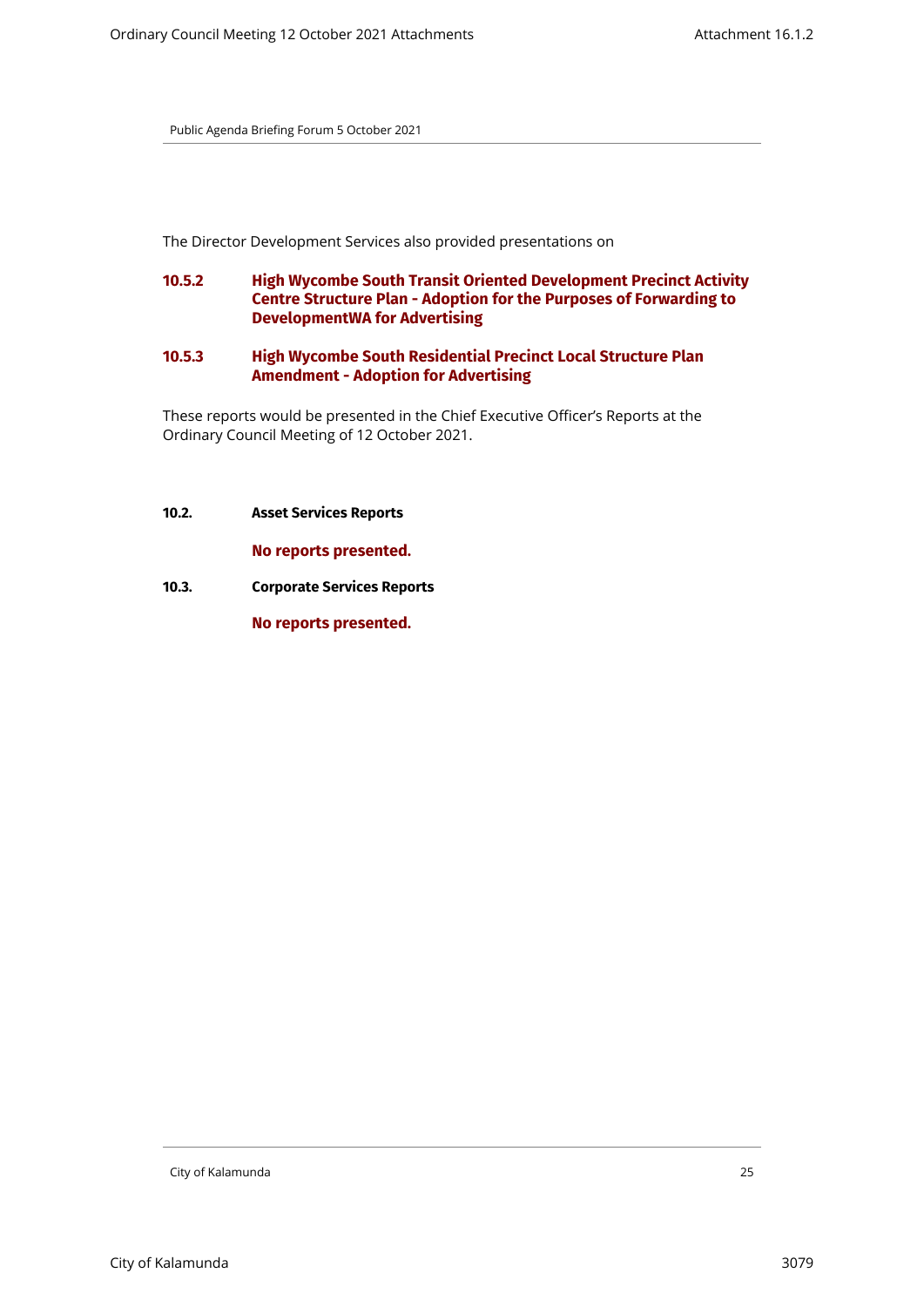The Director Development Services also provided presentations on

- **10.5.2 High Wycombe South Transit Oriented Development Precinct Activity Centre Structure Plan - Adoption for the Purposes of Forwarding to DevelopmentWA for Advertising**
- **10.5.3 High Wycombe South Residential Precinct Local Structure Plan Amendment - Adoption for Advertising**

These reports would be presented in the Chief Executive Officer's Reports at the Ordinary Council Meeting of 12 October 2021.

<span id="page-24-0"></span>**10.2. Asset Services Reports**

**No reports presented.**

<span id="page-24-1"></span>**10.3. Corporate Services Reports**

**No reports presented.**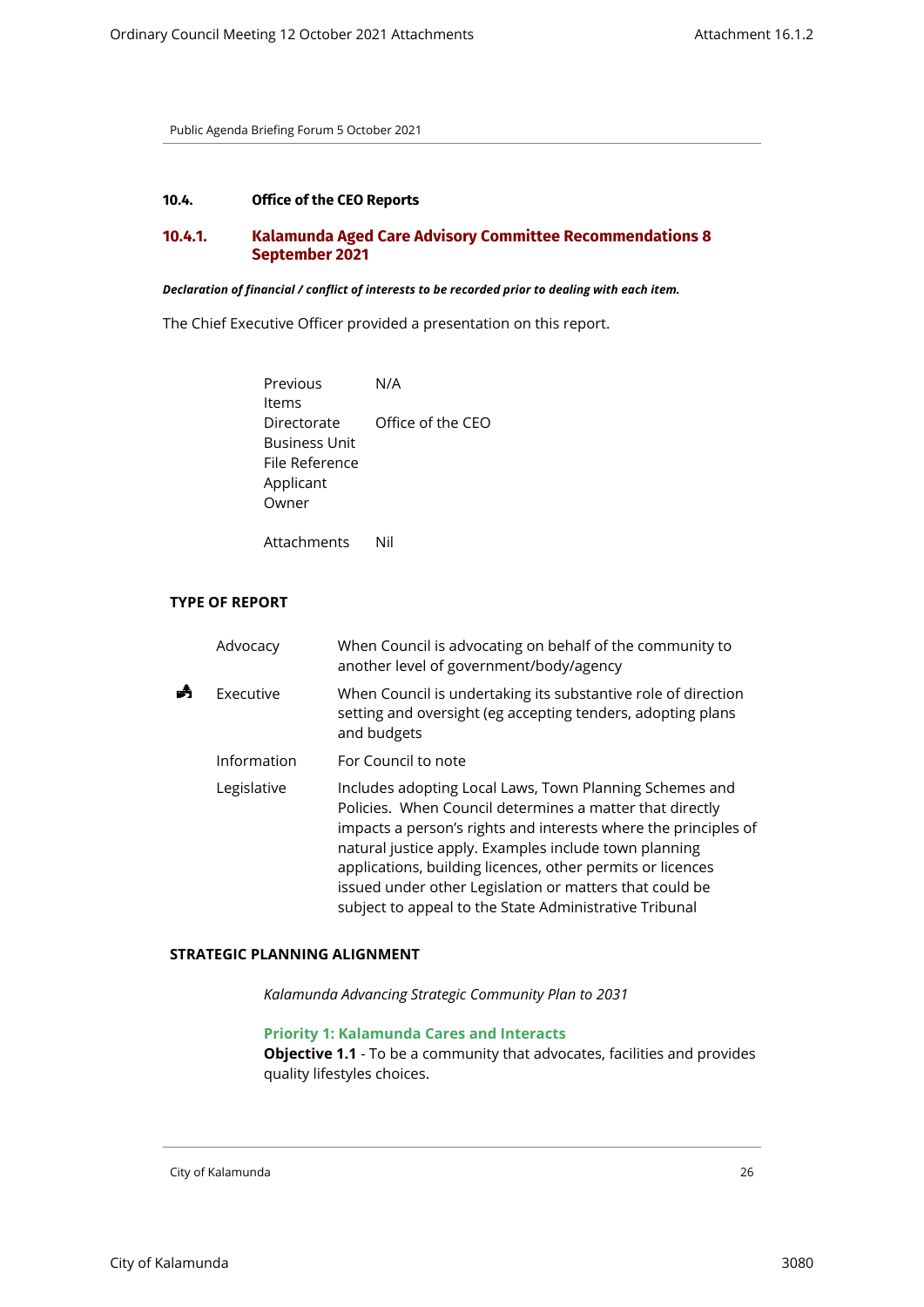# <span id="page-25-1"></span><span id="page-25-0"></span>**10.4. Office of the CEO Reports**

# **10.4.1. Kalamunda Aged Care Advisory Committee Recommendations 8 September 2021**

#### *Declaration of financial / conflict of interests to be recorded prior to dealing with each item.*

The Chief Executive Officer provided a presentation on this report.

Previous Items N/A Directorate Office of the CEO Business Unit File Reference Applicant Owner

Attachments Nil

# **TYPE OF REPORT**

| Advocacy    | When Council is advocating on behalf of the community to<br>another level of government/body/agency                                                                                                                                                                                                                                                                                                                                |
|-------------|------------------------------------------------------------------------------------------------------------------------------------------------------------------------------------------------------------------------------------------------------------------------------------------------------------------------------------------------------------------------------------------------------------------------------------|
| Executive   | When Council is undertaking its substantive role of direction<br>setting and oversight (eg accepting tenders, adopting plans<br>and budgets                                                                                                                                                                                                                                                                                        |
| Information | For Council to note                                                                                                                                                                                                                                                                                                                                                                                                                |
| Legislative | Includes adopting Local Laws, Town Planning Schemes and<br>Policies. When Council determines a matter that directly<br>impacts a person's rights and interests where the principles of<br>natural justice apply. Examples include town planning<br>applications, building licences, other permits or licences<br>issued under other Legislation or matters that could be<br>subject to appeal to the State Administrative Tribunal |

#### **STRATEGIC PLANNING ALIGNMENT**

*Kalamunda Advancing Strategic Community Plan to 2031*

# **Priority 1: Kalamunda Cares and Interacts**

**Objective 1.1** - To be a community that advocates, facilities and provides quality lifestyles choices.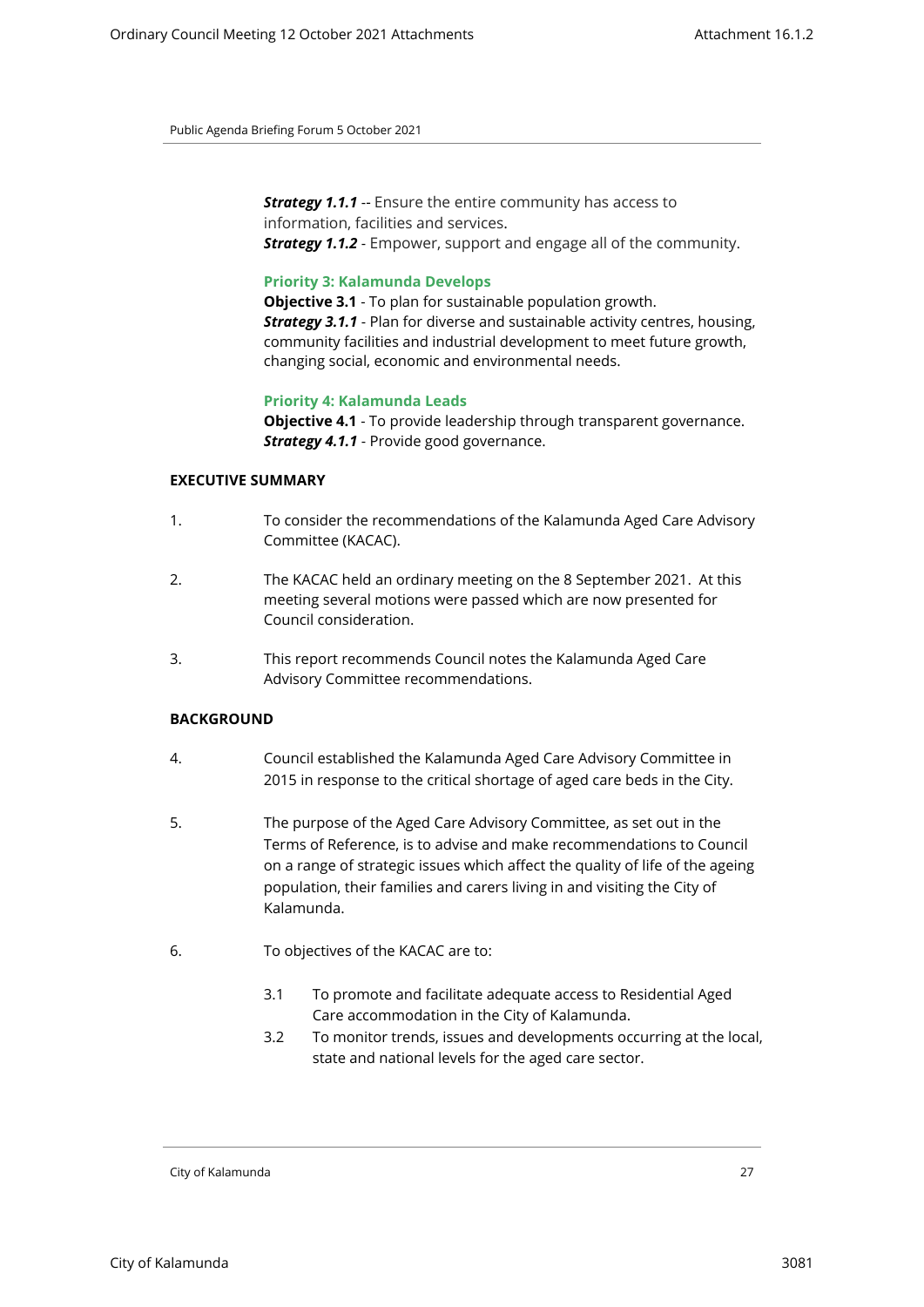*Strategy 1.1.1* -- Ensure the entire community has access to information, facilities and services. *Strategy 1.1.2* - Empower, support and engage all of the community.

#### **Priority 3: Kalamunda Develops**

**Objective 3.1** - To plan for sustainable population growth. *Strategy 3.1.1* - Plan for diverse and sustainable activity centres, housing, community facilities and industrial development to meet future growth, changing social, economic and environmental needs.

# **Priority 4: Kalamunda Leads**

**Objective 4.1** - To provide leadership through transparent governance. *Strategy 4.1.1* - Provide good governance.

# **EXECUTIVE SUMMARY**

- 1. To consider the recommendations of the Kalamunda Aged Care Advisory Committee (KACAC).
- 2. The KACAC held an ordinary meeting on the 8 September 2021. At this meeting several motions were passed which are now presented for Council consideration.
- 3. This report recommends Council notes the Kalamunda Aged Care Advisory Committee recommendations.

# **BACKGROUND**

- 4. Council established the Kalamunda Aged Care Advisory Committee in 2015 in response to the critical shortage of aged care beds in the City.
- 5. The purpose of the Aged Care Advisory Committee, as set out in the Terms of Reference, is to advise and make recommendations to Council on a range of strategic issues which affect the quality of life of the ageing population, their families and carers living in and visiting the City of Kalamunda.
- 6. To objectives of the KACAC are to:
	- 3.1 To promote and facilitate adequate access to Residential Aged Care accommodation in the City of Kalamunda.
	- 3.2 To monitor trends, issues and developments occurring at the local, state and national levels for the aged care sector.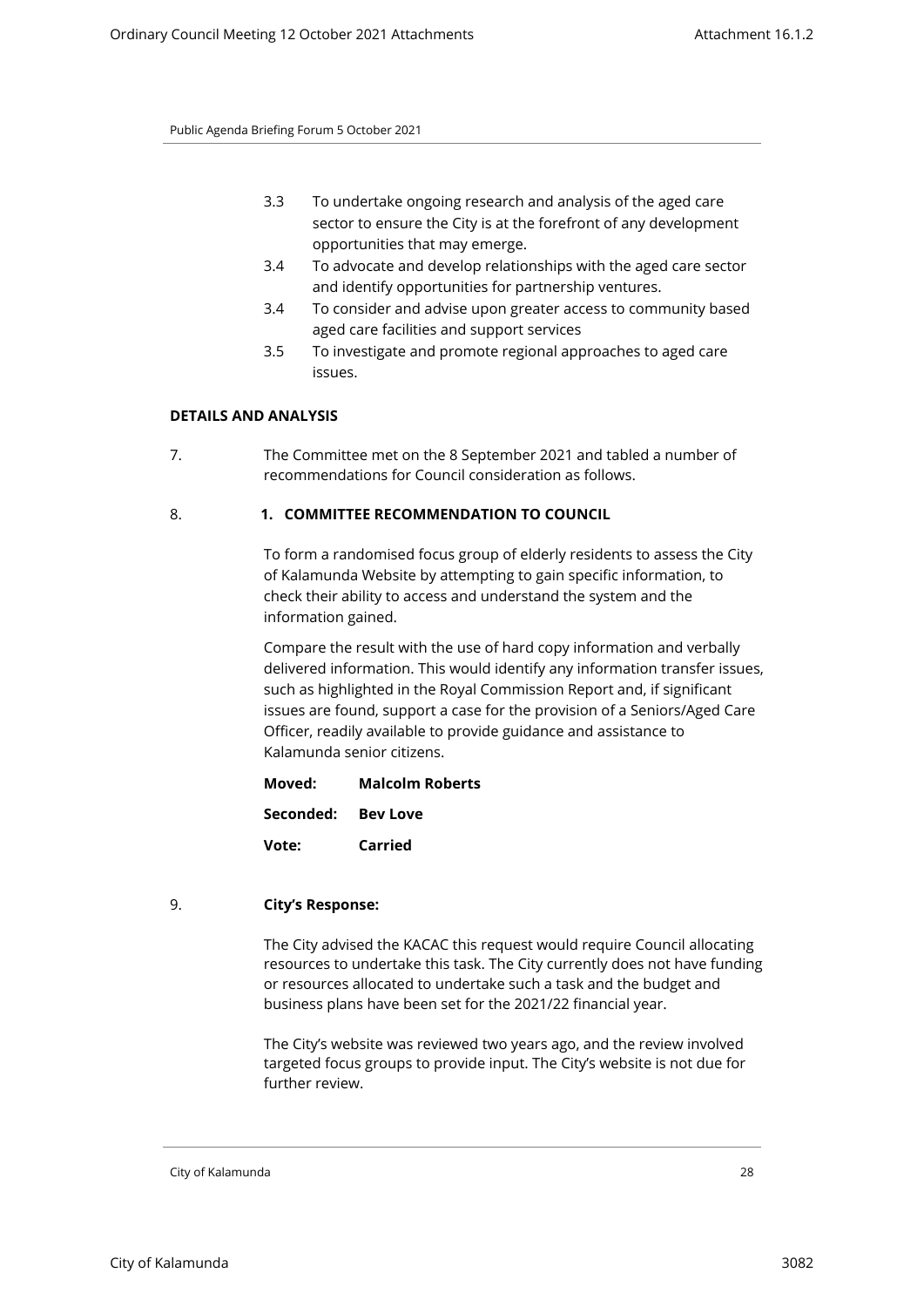- 3.3 To undertake ongoing research and analysis of the aged care sector to ensure the City is at the forefront of any development opportunities that may emerge.
- 3.4 To advocate and develop relationships with the aged care sector and identify opportunities for partnership ventures.
- 3.4 To consider and advise upon greater access to community based aged care facilities and support services
- 3.5 To investigate and promote regional approaches to aged care issues.

# **DETAILS AND ANALYSIS**

7. The Committee met on the 8 September 2021 and tabled a number of recommendations for Council consideration as follows.

# 8. **1. COMMITTEE RECOMMENDATION TO COUNCIL**

To form a randomised focus group of elderly residents to assess the City of Kalamunda Website by attempting to gain specific information, to check their ability to access and understand the system and the information gained.

Compare the result with the use of hard copy information and verbally delivered information. This would identify any information transfer issues, such as highlighted in the Royal Commission Report and, if significant issues are found, support a case for the provision of a Seniors/Aged Care Officer, readily available to provide guidance and assistance to Kalamunda senior citizens.

**Moved: Malcolm Roberts**

**Seconded: Bev Love**

**Vote: Carried**

# 9. **City's Response:**

The City advised the KACAC this request would require Council allocating resources to undertake this task. The City currently does not have funding or resources allocated to undertake such a task and the budget and business plans have been set for the 2021/22 financial year.

The City's website was reviewed two years ago, and the review involved targeted focus groups to provide input. The City's website is not due for further review.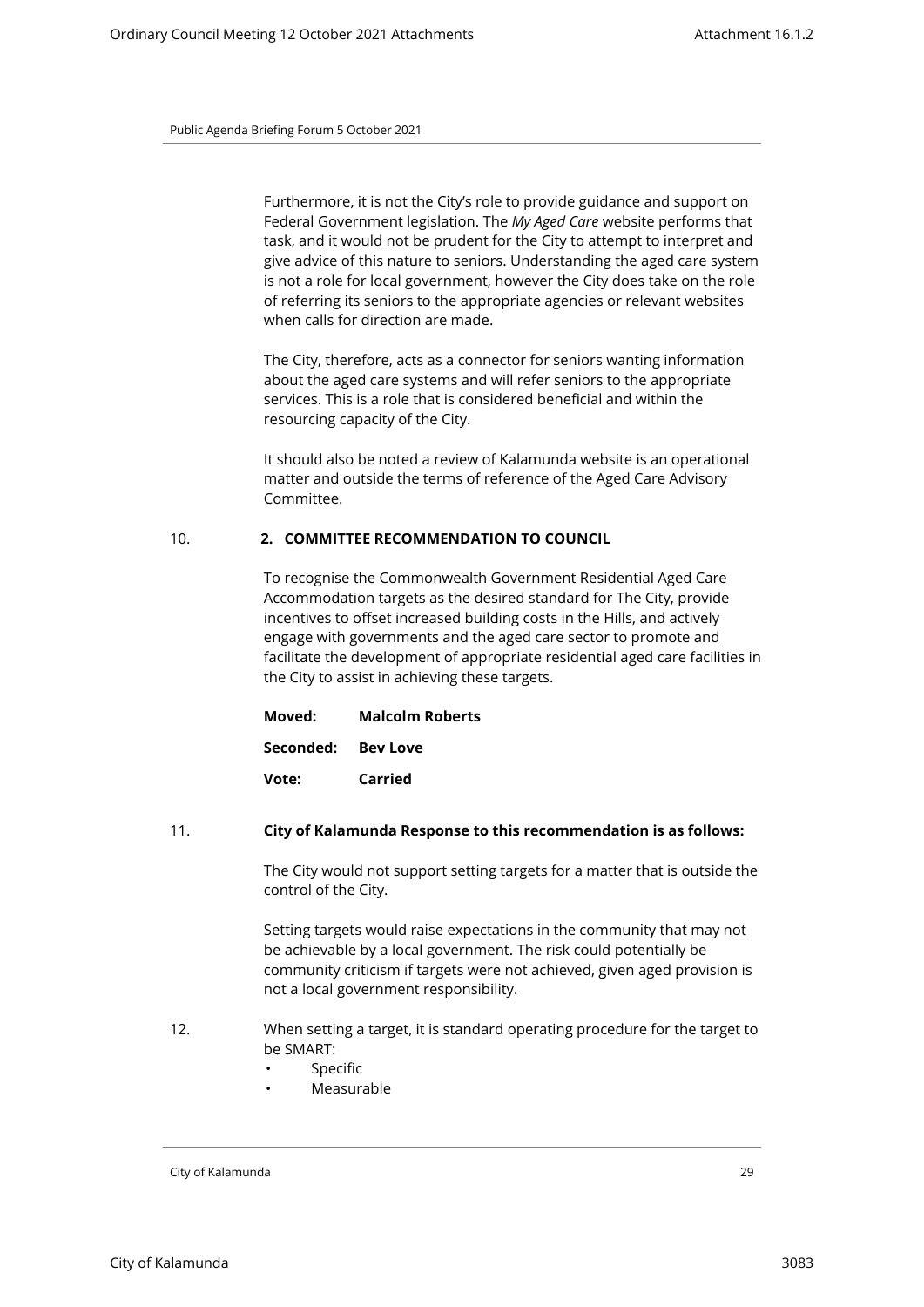Furthermore, it is not the City's role to provide guidance and support on Federal Government legislation. The *My Aged Care* website performs that task, and it would not be prudent for the City to attempt to interpret and give advice of this nature to seniors. Understanding the aged care system is not a role for local government, however the City does take on the role of referring its seniors to the appropriate agencies or relevant websites when calls for direction are made.

The City, therefore, acts as a connector for seniors wanting information about the aged care systems and will refer seniors to the appropriate services. This is a role that is considered beneficial and within the resourcing capacity of the City.

It should also be noted a review of Kalamunda website is an operational matter and outside the terms of reference of the Aged Care Advisory Committee.

# 10. **2. COMMITTEE RECOMMENDATION TO COUNCIL**

To recognise the Commonwealth Government Residential Aged Care Accommodation targets as the desired standard for The City, provide incentives to offset increased building costs in the Hills, and actively engage with governments and the aged care sector to promote and facilitate the development of appropriate residential aged care facilities in the City to assist in achieving these targets.

| Moved:             | <b>Malcolm Roberts</b> |
|--------------------|------------------------|
| Seconded: Bey Love |                        |
| Vote:              | Carried                |

#### 11. **City of Kalamunda Response to this recommendation is as follows:**

The City would not support setting targets for a matter that is outside the control of the City.

Setting targets would raise expectations in the community that may not be achievable by a local government. The risk could potentially be community criticism if targets were not achieved, given aged provision is not a local government responsibility.

- 12. When setting a target, it is standard operating procedure for the target to be SMART:
	- **Specific**
	- **Measurable**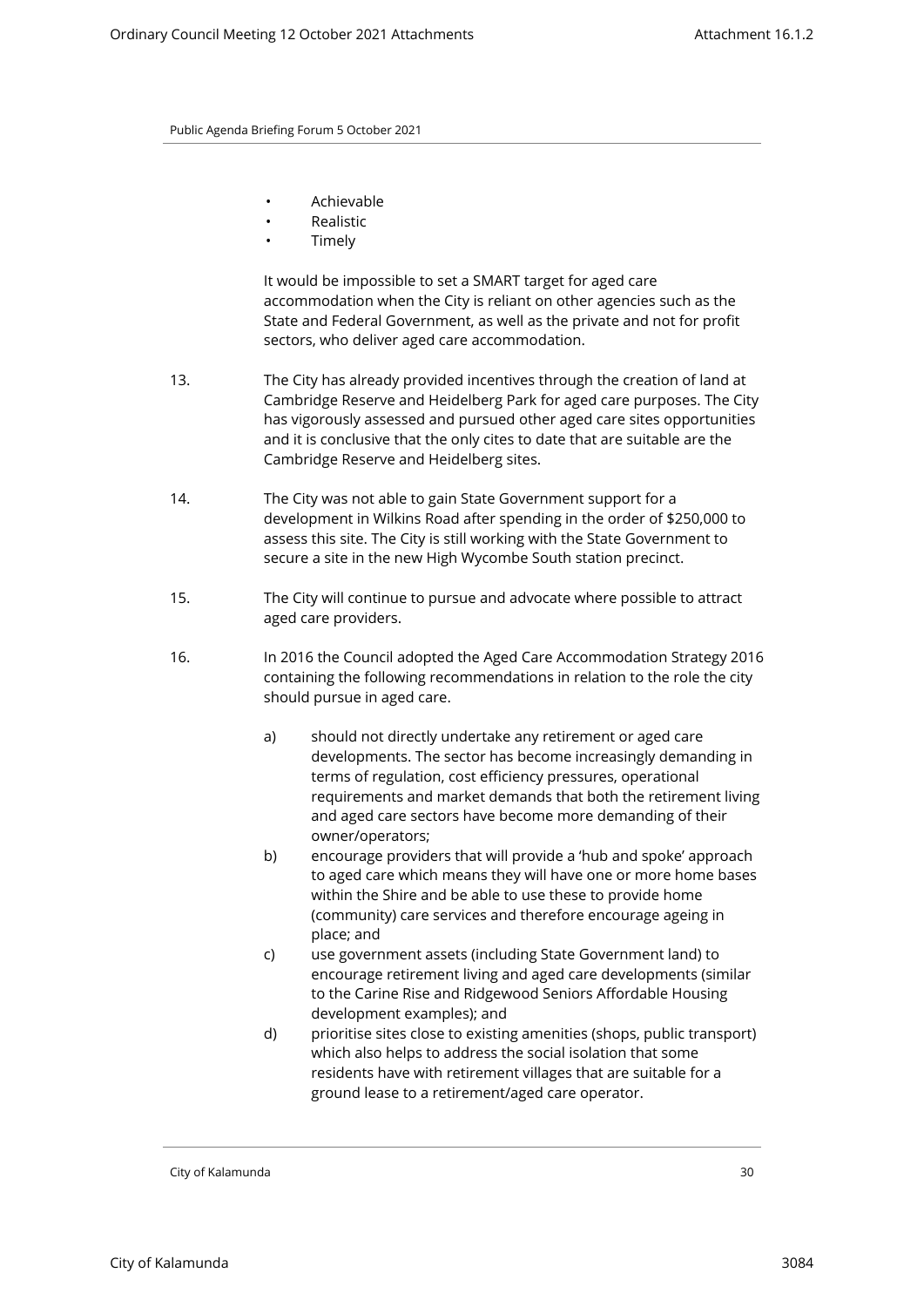- Achievable
- Realistic
- **Timely**

It would be impossible to set a SMART target for aged care accommodation when the City is reliant on other agencies such as the State and Federal Government, as well as the private and not for profit sectors, who deliver aged care accommodation.

- 13. The City has already provided incentives through the creation of land at Cambridge Reserve and Heidelberg Park for aged care purposes. The City has vigorously assessed and pursued other aged care sites opportunities and it is conclusive that the only cites to date that are suitable are the Cambridge Reserve and Heidelberg sites.
- 14. The City was not able to gain State Government support for a development in Wilkins Road after spending in the order of \$250,000 to assess this site. The City is still working with the State Government to secure a site in the new High Wycombe South station precinct.
- 15. The City will continue to pursue and advocate where possible to attract aged care providers.
- 16. In 2016 the Council adopted the Aged Care Accommodation Strategy 2016 containing the following recommendations in relation to the role the city should pursue in aged care.
	- a) should not directly undertake any retirement or aged care developments. The sector has become increasingly demanding in terms of regulation, cost efficiency pressures, operational requirements and market demands that both the retirement living and aged care sectors have become more demanding of their owner/operators;
	- b) encourage providers that will provide a 'hub and spoke' approach to aged care which means they will have one or more home bases within the Shire and be able to use these to provide home (community) care services and therefore encourage ageing in place; and
	- c) use government assets (including State Government land) to encourage retirement living and aged care developments (similar to the Carine Rise and Ridgewood Seniors Affordable Housing development examples); and
	- d) prioritise sites close to existing amenities (shops, public transport) which also helps to address the social isolation that some residents have with retirement villages that are suitable for a ground lease to a retirement/aged care operator.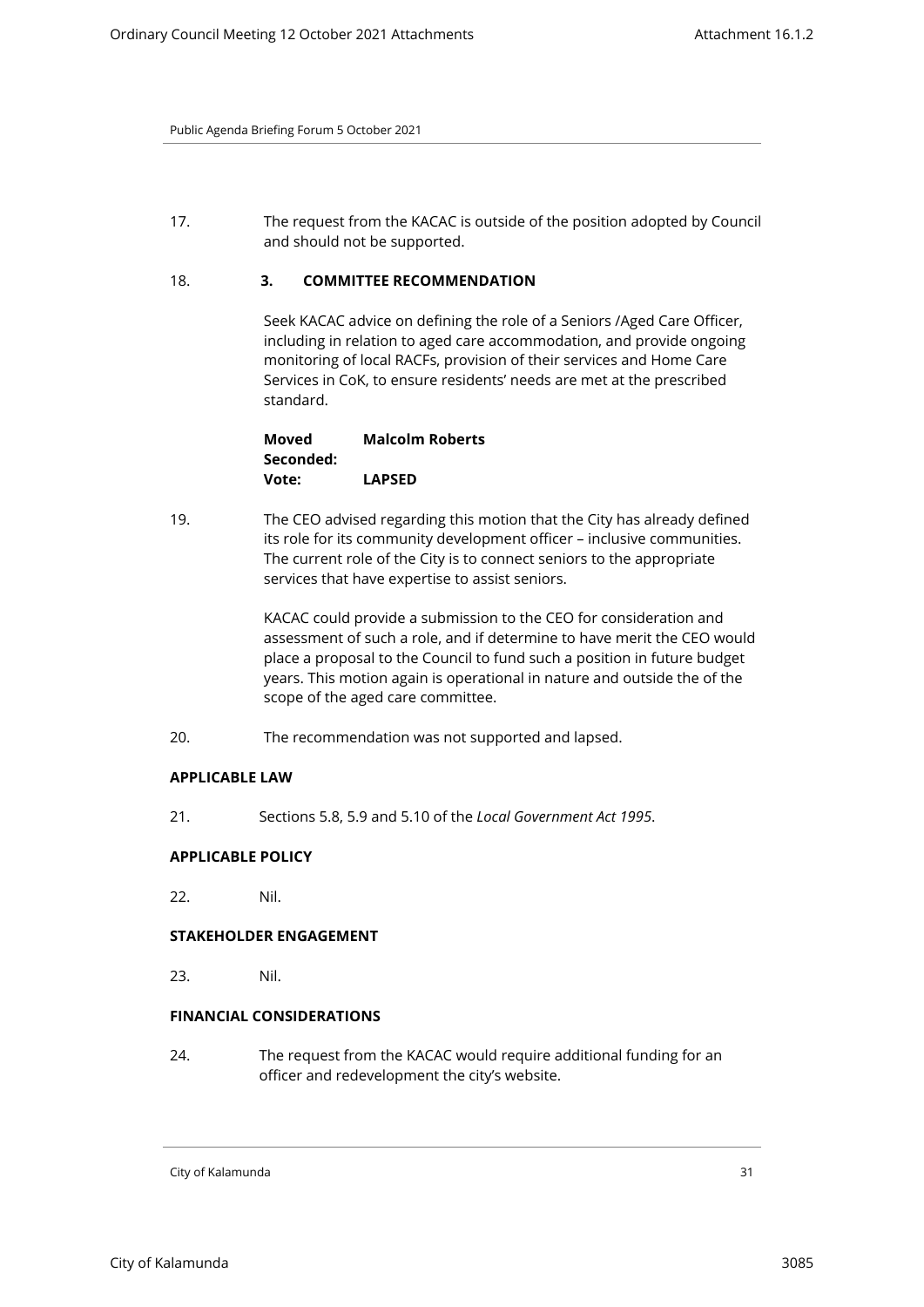17. The request from the KACAC is outside of the position adopted by Council and should not be supported.

# 18. **3. COMMITTEE RECOMMENDATION**

Seek KACAC advice on defining the role of a Seniors /Aged Care Officer, including in relation to aged care accommodation, and provide ongoing monitoring of local RACFs, provision of their services and Home Care Services in CoK, to ensure residents' needs are met at the prescribed standard.

| Moved     | <b>Malcolm Roberts</b> |
|-----------|------------------------|
| Seconded: |                        |
| Vote:     | <b>LAPSED</b>          |

19. The CEO advised regarding this motion that the City has already defined its role for its community development officer – inclusive communities. The current role of the City is to connect seniors to the appropriate services that have expertise to assist seniors.

> KACAC could provide a submission to the CEO for consideration and assessment of such a role, and if determine to have merit the CEO would place a proposal to the Council to fund such a position in future budget years. This motion again is operational in nature and outside the of the scope of the aged care committee.

20. The recommendation was not supported and lapsed.

# **APPLICABLE LAW**

21. Sections 5.8, 5.9 and 5.10 of the *Local Government Act 1995*.

# **APPLICABLE POLICY**

22. Nil.

# **STAKEHOLDER ENGAGEMENT**

23. Nil.

# **FINANCIAL CONSIDERATIONS**

24. The request from the KACAC would require additional funding for an officer and redevelopment the city's website.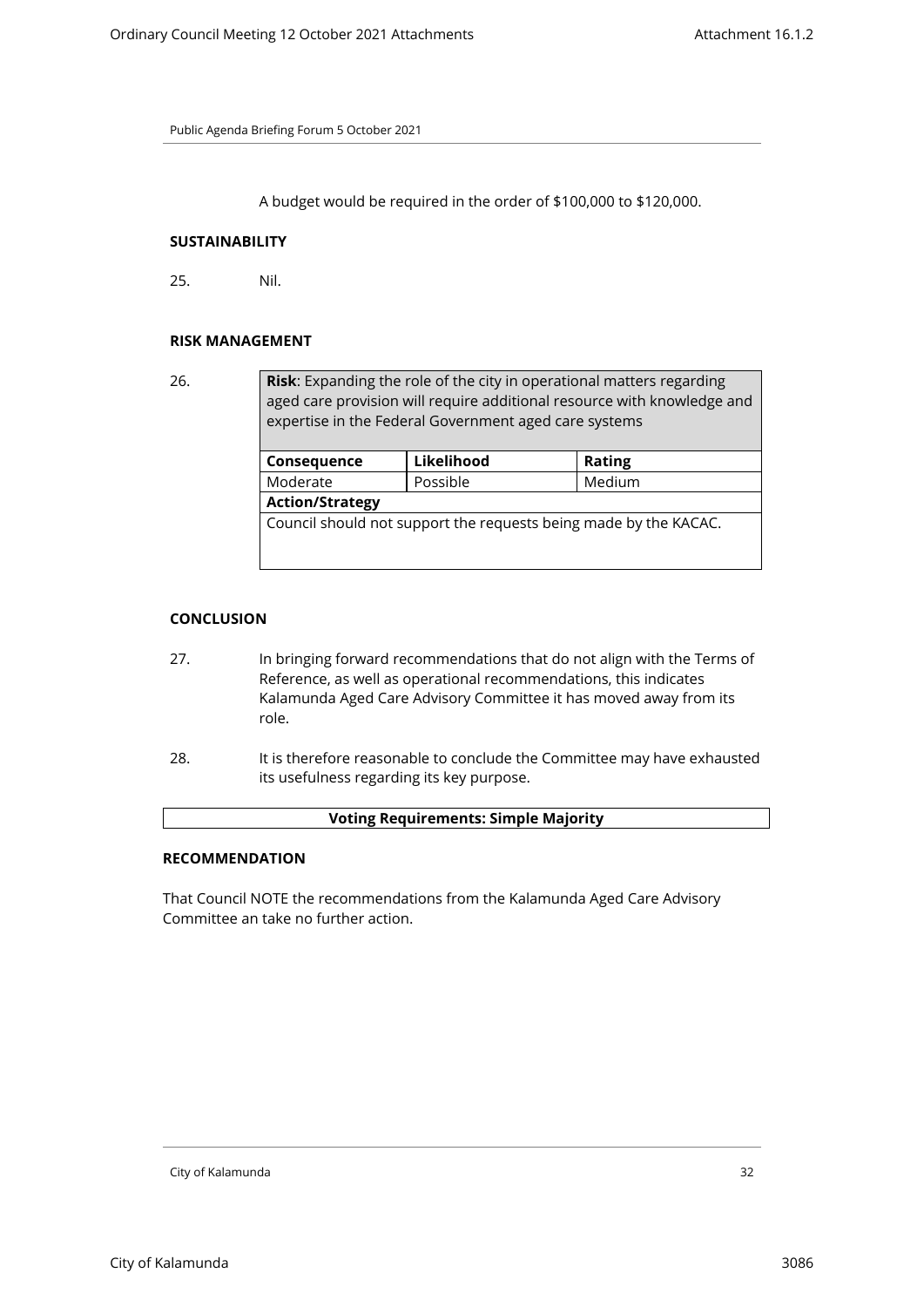A budget would be required in the order of \$100,000 to \$120,000.

#### **SUSTAINABILITY**

25. Nil.

#### **RISK MANAGEMENT**

26. **Risk**: Expanding the role of the city in operational matters regarding aged care provision will require additional resource with knowledge and expertise in the Federal Government aged care systems

| Consequence                                                      | Likelihood | Rating |  |
|------------------------------------------------------------------|------------|--------|--|
| Moderate                                                         | Possible   | Medium |  |
| <b>Action/Strategy</b>                                           |            |        |  |
| Council should not support the requests being made by the KACAC. |            |        |  |
|                                                                  |            |        |  |

# **CONCLUSION**

- 27. In bringing forward recommendations that do not align with the Terms of Reference, as well as operational recommendations, this indicates Kalamunda Aged Care Advisory Committee it has moved away from its role.
- 28. It is therefore reasonable to conclude the Committee may have exhausted its usefulness regarding its key purpose.

#### **Voting Requirements: Simple Majority**

# **RECOMMENDATION**

That Council NOTE the recommendations from the Kalamunda Aged Care Advisory Committee an take no further action.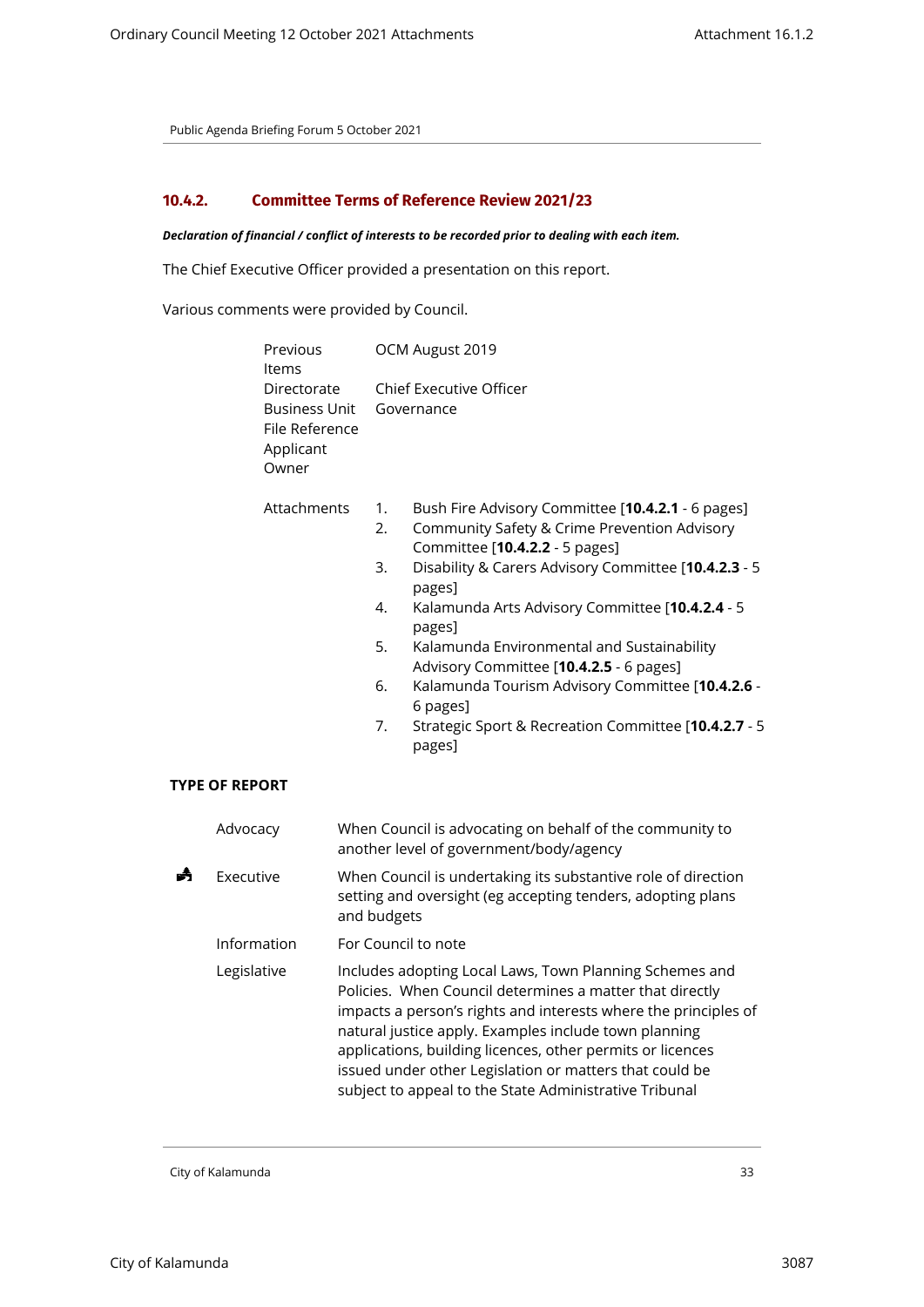# <span id="page-32-0"></span>**10.4.2. Committee Terms of Reference Review 2021/23**

#### *Declaration of financial / conflict of interests to be recorded prior to dealing with each item.*

The Chief Executive Officer provided a presentation on this report.

Various comments were provided by Council.

|   | Previous<br>Items                                                           | OCM August 2019                                                                                                                                                                                                                                                                                                                                                                                                                                                                                                                         |
|---|-----------------------------------------------------------------------------|-----------------------------------------------------------------------------------------------------------------------------------------------------------------------------------------------------------------------------------------------------------------------------------------------------------------------------------------------------------------------------------------------------------------------------------------------------------------------------------------------------------------------------------------|
|   | Directorate<br><b>Business Unit</b><br>File Reference<br>Applicant<br>Owner | <b>Chief Executive Officer</b><br>Governance                                                                                                                                                                                                                                                                                                                                                                                                                                                                                            |
|   | Attachments<br><b>TYPE OF REPORT</b>                                        | 1.<br>Bush Fire Advisory Committee [10.4.2.1 - 6 pages]<br>2.<br>Community Safety & Crime Prevention Advisory<br>Committee [10.4.2.2 - 5 pages]<br>3.<br>Disability & Carers Advisory Committee [10.4.2.3 - 5<br>pages]<br>4.<br>Kalamunda Arts Advisory Committee [10.4.2.4 - 5<br>pages]<br>5.<br>Kalamunda Environmental and Sustainability<br>Advisory Committee [10.4.2.5 - 6 pages]<br>6.<br>Kalamunda Tourism Advisory Committee [10.4.2.6 -<br>6 pages]<br>7.<br>Strategic Sport & Recreation Committee [10.4.2.7 - 5<br>pages] |
|   | Advocacy                                                                    | When Council is advocating on behalf of the community to<br>another level of government/body/agency                                                                                                                                                                                                                                                                                                                                                                                                                                     |
| m | Executive                                                                   | When Council is undertaking its substantive role of direction<br>setting and oversight (eg accepting tenders, adopting plans<br>and budgets                                                                                                                                                                                                                                                                                                                                                                                             |
|   | Information                                                                 | For Council to note                                                                                                                                                                                                                                                                                                                                                                                                                                                                                                                     |
|   | Legislative                                                                 | Includes adopting Local Laws, Town Planning Schemes and<br>Policies. When Council determines a matter that directly<br>impacts a person's rights and interests where the principles of<br>natural justice apply. Examples include town planning<br>applications, building licences, other permits or licences<br>issued under other Legislation or matters that could be<br>subject to appeal to the State Administrative Tribunal                                                                                                      |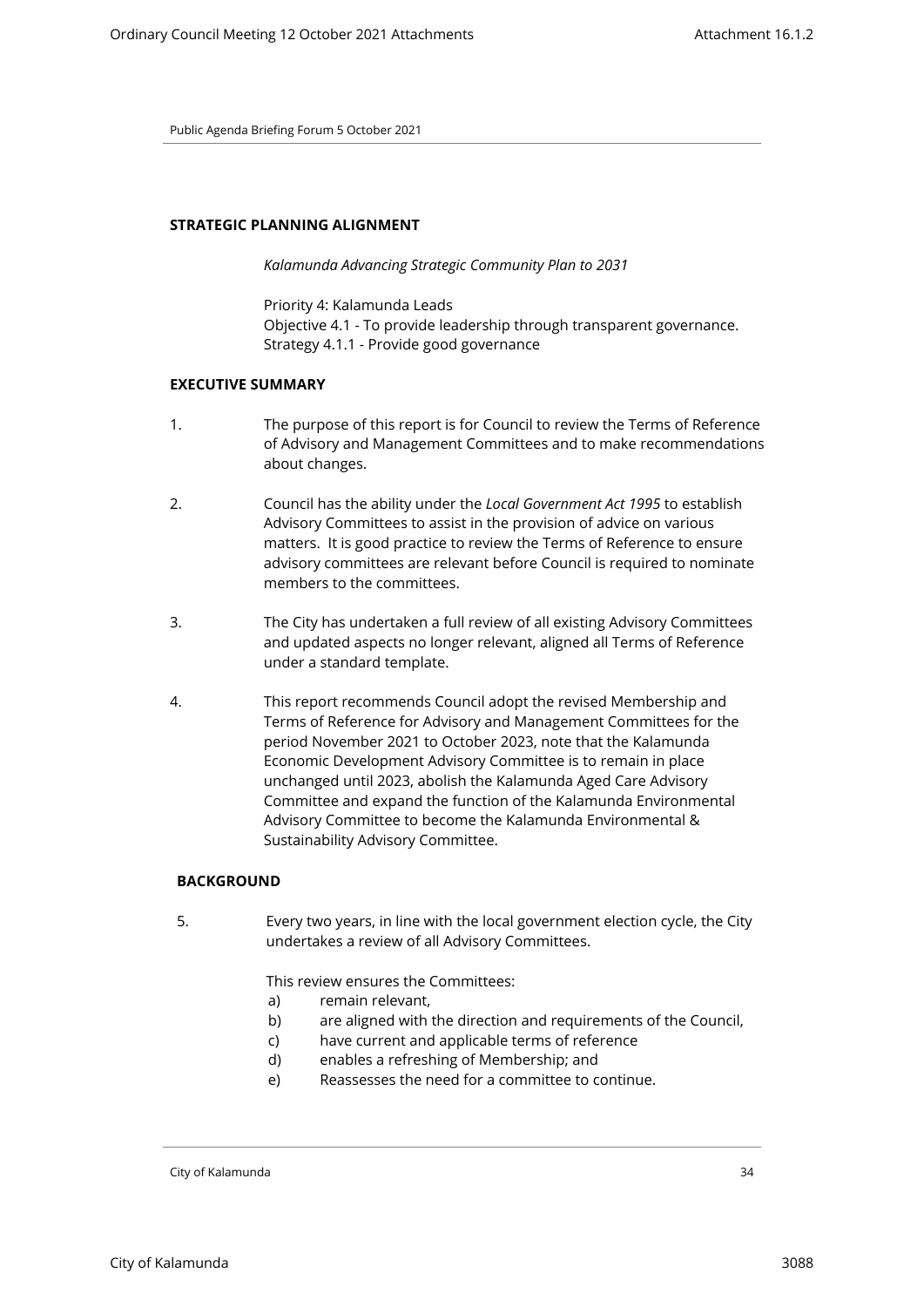#### **STRATEGIC PLANNING ALIGNMENT**

*Kalamunda Advancing Strategic Community Plan to 2031*

Priority 4: Kalamunda Leads Objective 4.1 - To provide leadership through transparent governance. Strategy 4.1.1 - Provide good governance

# **EXECUTIVE SUMMARY**

- 1. The purpose of this report is for Council to review the Terms of Reference of Advisory and Management Committees and to make recommendations about changes.
- 2. Council has the ability under the *Local Government Act 1995* to establish Advisory Committees to assist in the provision of advice on various matters. It is good practice to review the Terms of Reference to ensure advisory committees are relevant before Council is required to nominate members to the committees.
- 3. The City has undertaken a full review of all existing Advisory Committees and updated aspects no longer relevant, aligned all Terms of Reference under a standard template.
- 4. This report recommends Council adopt the revised Membership and Terms of Reference for Advisory and Management Committees for the period November 2021 to October 2023, note that the Kalamunda Economic Development Advisory Committee is to remain in place unchanged until 2023, abolish the Kalamunda Aged Care Advisory Committee and expand the function of the Kalamunda Environmental Advisory Committee to become the Kalamunda Environmental & Sustainability Advisory Committee.

# **BACKGROUND**

5. Every two years, in line with the local government election cycle, the City undertakes a review of all Advisory Committees.

This review ensures the Committees:

- a) remain relevant,
- b) are aligned with the direction and requirements of the Council,
- c) have current and applicable terms of reference
- d) enables a refreshing of Membership; and
- e) Reassesses the need for a committee to continue.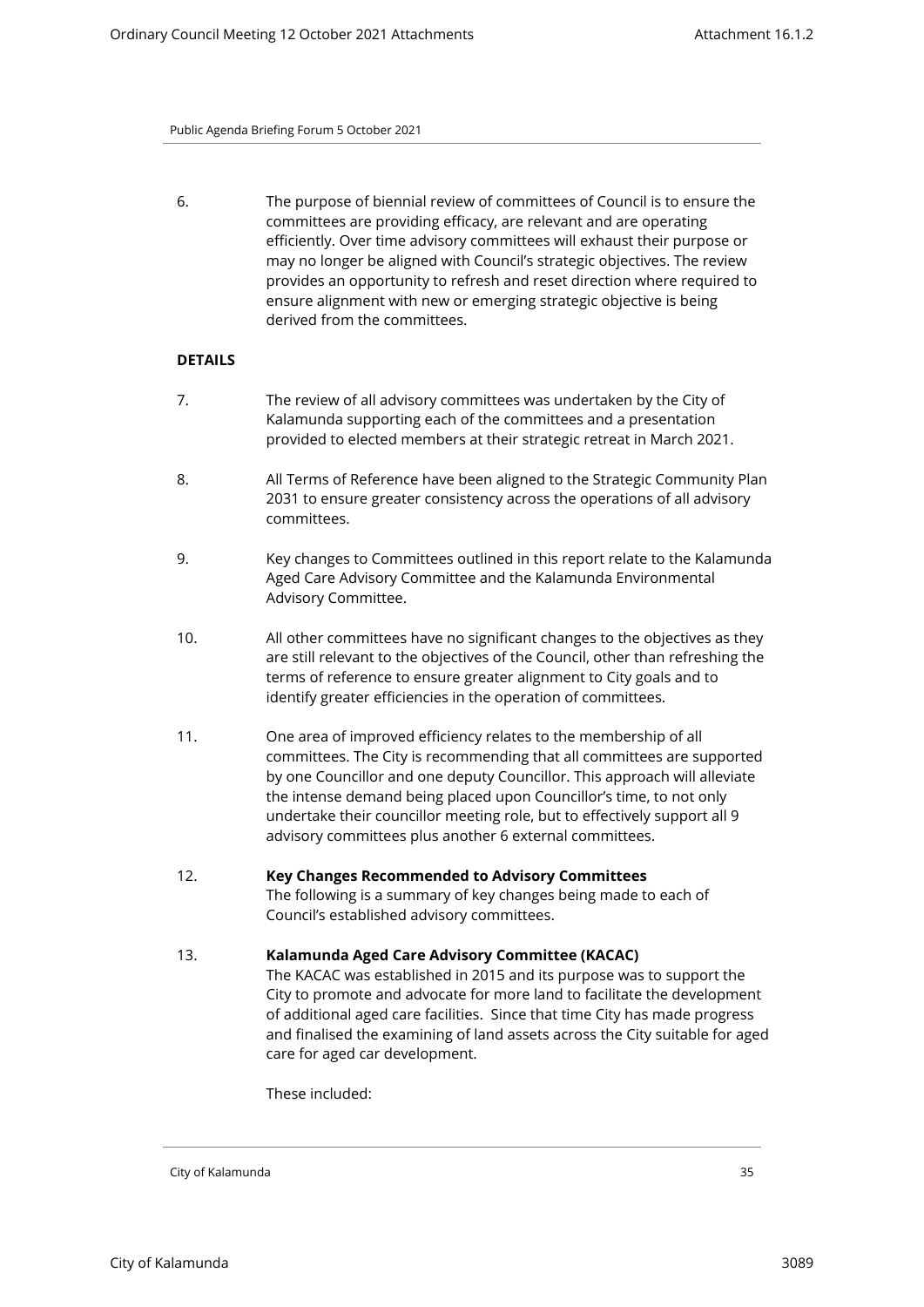6. The purpose of biennial review of committees of Council is to ensure the committees are providing efficacy, are relevant and are operating efficiently. Over time advisory committees will exhaust their purpose or may no longer be aligned with Council's strategic objectives. The review provides an opportunity to refresh and reset direction where required to ensure alignment with new or emerging strategic objective is being derived from the committees.

# **DETAILS**

- 7. The review of all advisory committees was undertaken by the City of Kalamunda supporting each of the committees and a presentation provided to elected members at their strategic retreat in March 2021.
- 8. All Terms of Reference have been aligned to the Strategic Community Plan 2031 to ensure greater consistency across the operations of all advisory committees.
- 9. Key changes to Committees outlined in this report relate to the Kalamunda Aged Care Advisory Committee and the Kalamunda Environmental Advisory Committee.
- 10. All other committees have no significant changes to the objectives as they are still relevant to the objectives of the Council, other than refreshing the terms of reference to ensure greater alignment to City goals and to identify greater efficiencies in the operation of committees.
- 11. One area of improved efficiency relates to the membership of all committees. The City is recommending that all committees are supported by one Councillor and one deputy Councillor. This approach will alleviate the intense demand being placed upon Councillor's time, to not only undertake their councillor meeting role, but to effectively support all 9 advisory committees plus another 6 external committees.
- 12. **Key Changes Recommended to Advisory Committees** The following is a summary of key changes being made to each of Council's established advisory committees.
- 13. **Kalamunda Aged Care Advisory Committee (KACAC)** The KACAC was established in 2015 and its purpose was to support the City to promote and advocate for more land to facilitate the development of additional aged care facilities. Since that time City has made progress and finalised the examining of land assets across the City suitable for aged care for aged car development.

These included: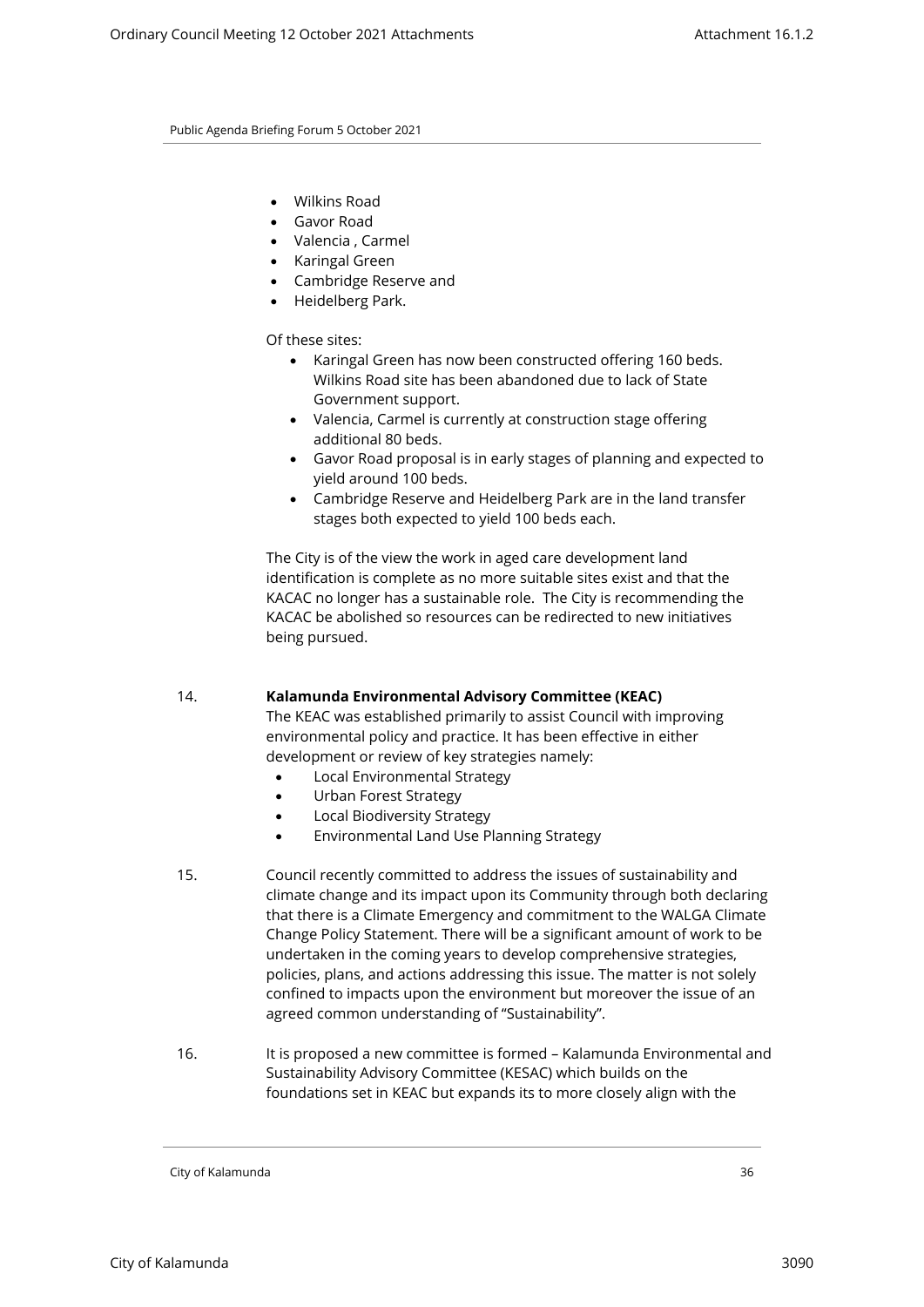- Wilkins Road
- Gavor Road
- Valencia , Carmel
- Karingal Green
- Cambridge Reserve and
- Heidelberg Park.

# Of these sites:

- Karingal Green has now been constructed offering 160 beds. Wilkins Road site has been abandoned due to lack of State Government support.
- Valencia, Carmel is currently at construction stage offering additional 80 beds.
- Gavor Road proposal is in early stages of planning and expected to yield around 100 beds.
- Cambridge Reserve and Heidelberg Park are in the land transfer stages both expected to yield 100 beds each.

The City is of the view the work in aged care development land identification is complete as no more suitable sites exist and that the KACAC no longer has a sustainable role. The City is recommending the KACAC be abolished so resources can be redirected to new initiatives being pursued.

# 14. **Kalamunda Environmental Advisory Committee (KEAC)**

The KEAC was established primarily to assist Council with improving environmental policy and practice. It has been effective in either development or review of key strategies namely:

- Local Environmental Strategy
- Urban Forest Strategy
- Local Biodiversity Strategy
- Environmental Land Use Planning Strategy
- 15. Council recently committed to address the issues of sustainability and climate change and its impact upon its Community through both declaring that there is a Climate Emergency and commitment to the WALGA Climate Change Policy Statement. There will be a significant amount of work to be undertaken in the coming years to develop comprehensive strategies, policies, plans, and actions addressing this issue. The matter is not solely confined to impacts upon the environment but moreover the issue of an agreed common understanding of "Sustainability".
- 16. It is proposed a new committee is formed Kalamunda Environmental and Sustainability Advisory Committee (KESAC) which builds on the foundations set in KEAC but expands its to more closely align with the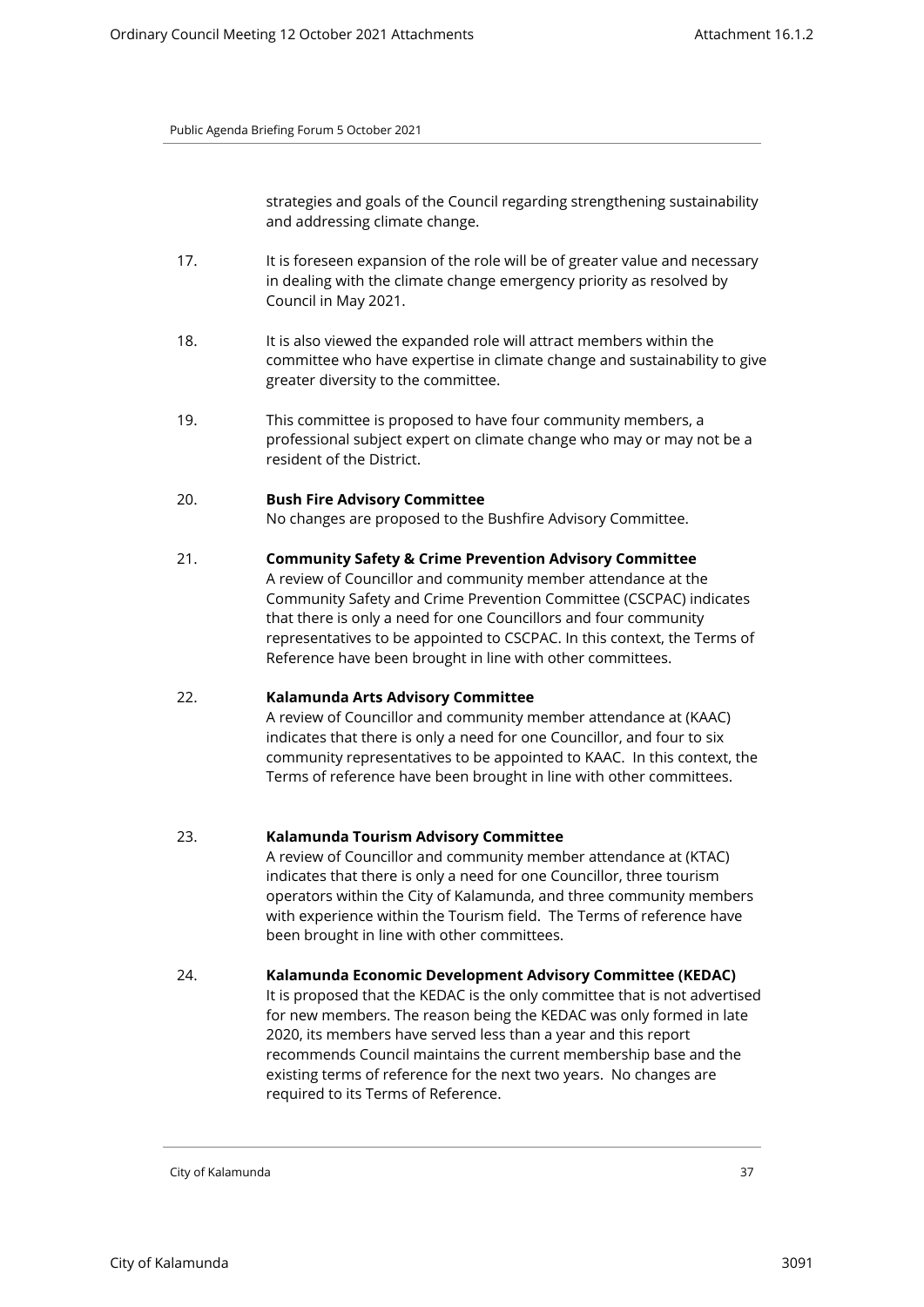strategies and goals of the Council regarding strengthening sustainability and addressing climate change.

- 17. It is foreseen expansion of the role will be of greater value and necessary in dealing with the climate change emergency priority as resolved by Council in May 2021.
- 18. It is also viewed the expanded role will attract members within the committee who have expertise in climate change and sustainability to give greater diversity to the committee.
- 19. This committee is proposed to have four community members, a professional subject expert on climate change who may or may not be a resident of the District.

# 20. **Bush Fire Advisory Committee**

No changes are proposed to the Bushfire Advisory Committee.

# 21. **Community Safety & Crime Prevention Advisory Committee**

A review of Councillor and community member attendance at the Community Safety and Crime Prevention Committee (CSCPAC) indicates that there is only a need for one Councillors and four community representatives to be appointed to CSCPAC. In this context, the Terms of Reference have been brought in line with other committees.

# 22. **Kalamunda Arts Advisory Committee**

A review of Councillor and community member attendance at (KAAC) indicates that there is only a need for one Councillor, and four to six community representatives to be appointed to KAAC. In this context, the Terms of reference have been brought in line with other committees.

# 23. **Kalamunda Tourism Advisory Committee**

A review of Councillor and community member attendance at (KTAC) indicates that there is only a need for one Councillor, three tourism operators within the City of Kalamunda, and three community members with experience within the Tourism field. The Terms of reference have been brought in line with other committees.

# 24. **Kalamunda Economic Development Advisory Committee (KEDAC)**

It is proposed that the KEDAC is the only committee that is not advertised for new members. The reason being the KEDAC was only formed in late 2020, its members have served less than a year and this report recommends Council maintains the current membership base and the existing terms of reference for the next two years. No changes are required to its Terms of Reference.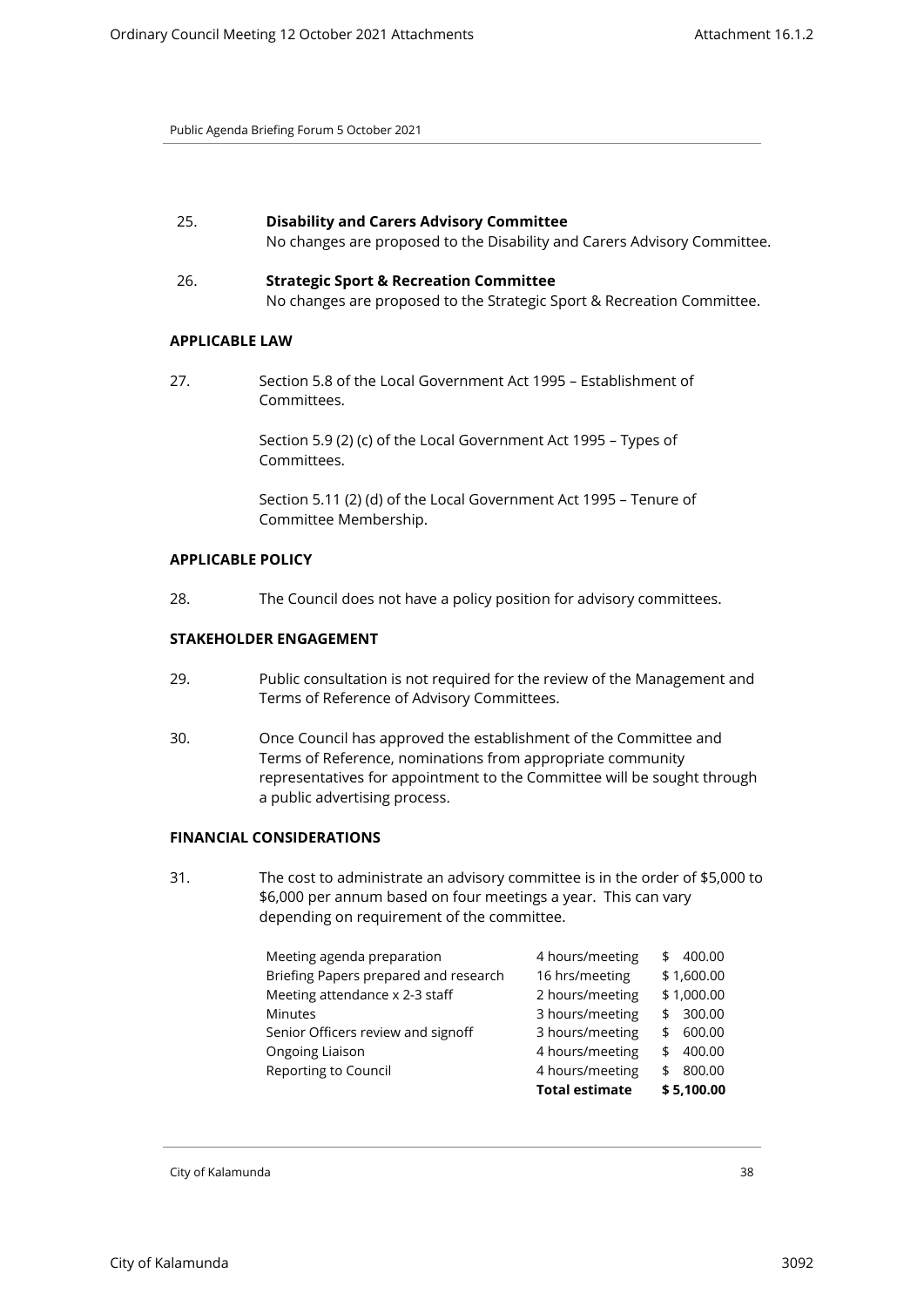| 25. | <b>Disability and Carers Advisory Committee</b>                          |
|-----|--------------------------------------------------------------------------|
|     | No changes are proposed to the Disability and Carers Advisory Committee. |

26. **Strategic Sport & Recreation Committee** No changes are proposed to the Strategic Sport & Recreation Committee.

# **APPLICABLE LAW**

27. Section 5.8 of the Local Government Act 1995 – Establishment of Committees.

> Section 5.9 (2) (c) of the Local Government Act 1995 – Types of Committees.

Section 5.11 (2) (d) of the Local Government Act 1995 – Tenure of Committee Membership.

# **APPLICABLE POLICY**

28. The Council does not have a policy position for advisory committees.

# **STAKEHOLDER ENGAGEMENT**

- 29. Public consultation is not required for the review of the Management and Terms of Reference of Advisory Committees.
- 30. Once Council has approved the establishment of the Committee and Terms of Reference, nominations from appropriate community representatives for appointment to the Committee will be sought through a public advertising process.

# **FINANCIAL CONSIDERATIONS**

31. The cost to administrate an advisory committee is in the order of \$5,000 to \$6,000 per annum based on four meetings a year. This can vary depending on requirement of the committee.

| Meeting agenda preparation            | 4 hours/meeting       | 400.00<br>\$ |
|---------------------------------------|-----------------------|--------------|
| Briefing Papers prepared and research | 16 hrs/meeting        | \$1,600.00   |
| Meeting attendance x 2-3 staff        | 2 hours/meeting       | \$1,000.00   |
| <b>Minutes</b>                        | 3 hours/meeting       | 300.00<br>\$ |
| Senior Officers review and signoff    | 3 hours/meeting       | 600.00<br>\$ |
| Ongoing Liaison                       | 4 hours/meeting       | 400.00<br>\$ |
| Reporting to Council                  | 4 hours/meeting       | 800.00<br>\$ |
|                                       | <b>Total estimate</b> | \$5,100.00   |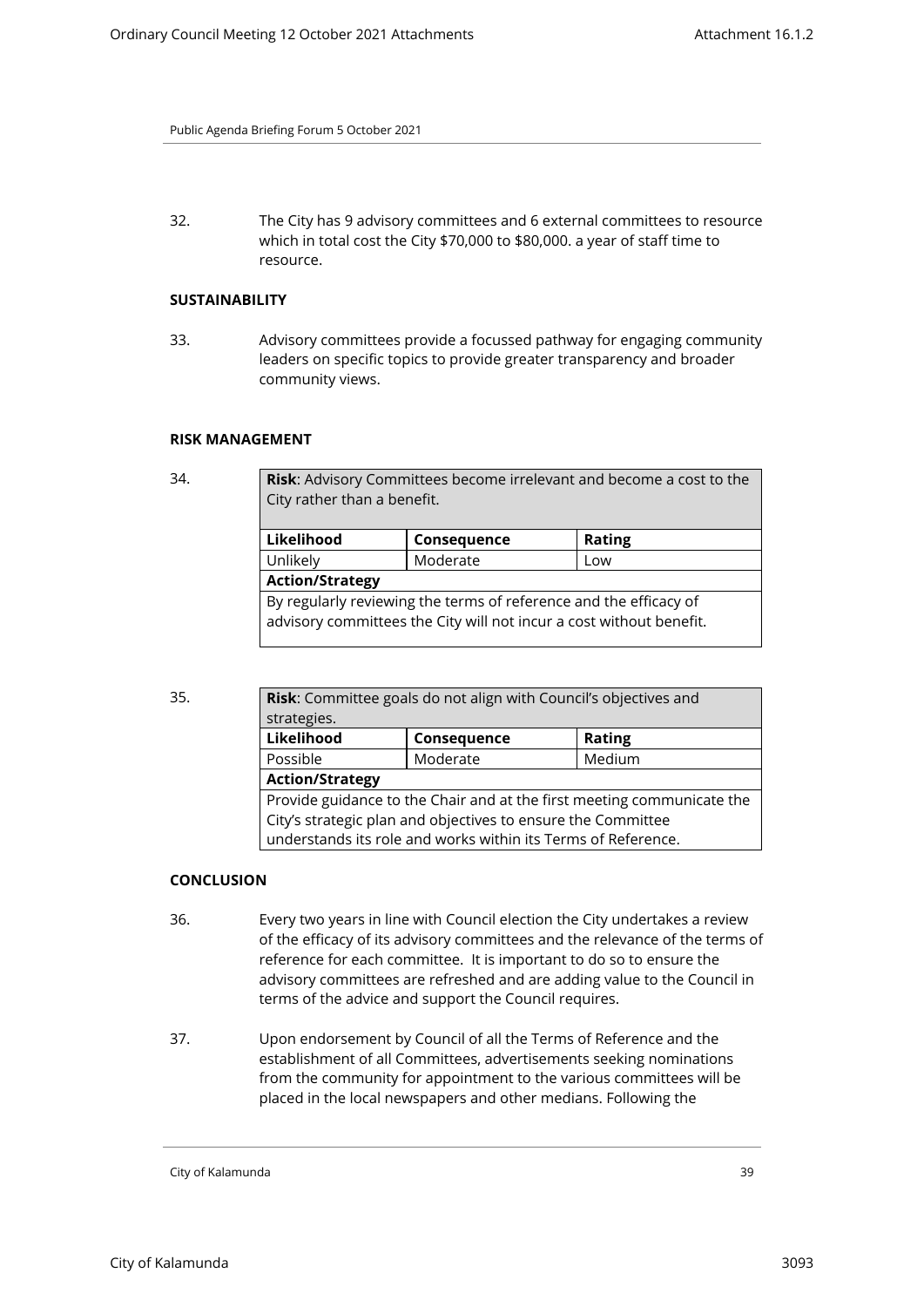32. The City has 9 advisory committees and 6 external committees to resource which in total cost the City \$70,000 to \$80,000. a year of staff time to resource.

#### **SUSTAINABILITY**

33. Advisory committees provide a focussed pathway for engaging community leaders on specific topics to provide greater transparency and broader community views.

#### **RISK MANAGEMENT**

Risk: Advisory Committees become irrelevant and become a cost to the City rather than a benefit.

| Likelihood                                                        | Consequence                                                         | <b>Rating</b> |  |
|-------------------------------------------------------------------|---------------------------------------------------------------------|---------------|--|
| Unlikely                                                          | Moderate                                                            | Low           |  |
| <b>Action/Strategy</b>                                            |                                                                     |               |  |
| By regularly reviewing the terms of reference and the efficacy of |                                                                     |               |  |
|                                                                   | advisory committees the City will not incur a cost without benefit. |               |  |
|                                                                   |                                                                     |               |  |

| 35. | Risk: Committee goals do not align with Council's objectives and |                                                                        |               |  |  |  |
|-----|------------------------------------------------------------------|------------------------------------------------------------------------|---------------|--|--|--|
|     | strategies.                                                      |                                                                        |               |  |  |  |
|     | Likelihood                                                       | Consequence                                                            | <b>Rating</b> |  |  |  |
|     | Possible                                                         | Moderate                                                               | Medium        |  |  |  |
|     |                                                                  | <b>Action/Strategy</b>                                                 |               |  |  |  |
|     |                                                                  | Provide guidance to the Chair and at the first meeting communicate the |               |  |  |  |
|     |                                                                  | City's strategic plan and objectives to ensure the Committee           |               |  |  |  |
|     |                                                                  | understands its role and works within its Terms of Reference.          |               |  |  |  |

# **CONCLUSION**

- 36. Every two years in line with Council election the City undertakes a review of the efficacy of its advisory committees and the relevance of the terms of reference for each committee. It is important to do so to ensure the advisory committees are refreshed and are adding value to the Council in terms of the advice and support the Council requires.
- 37. Upon endorsement by Council of all the Terms of Reference and the establishment of all Committees, advertisements seeking nominations from the community for appointment to the various committees will be placed in the local newspapers and other medians. Following the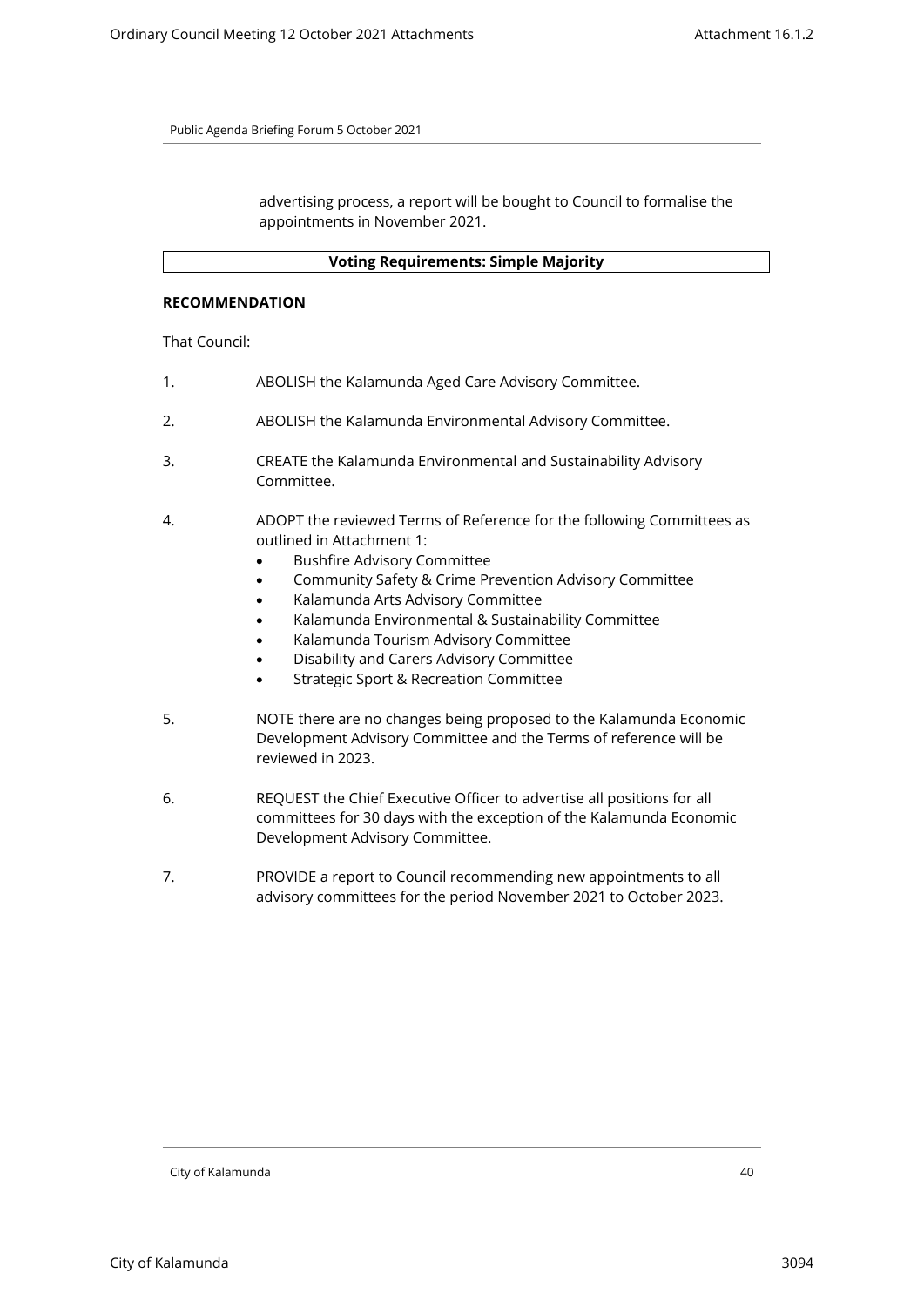advertising process, a report will be bought to Council to formalise the appointments in November 2021.

# **Voting Requirements: Simple Majority**

# **RECOMMENDATION**

That Council:

- 1. ABOLISH the Kalamunda Aged Care Advisory Committee.
- 2. ABOLISH the Kalamunda Environmental Advisory Committee.
- 3. CREATE the Kalamunda Environmental and Sustainability Advisory Committee.
- 4. ADOPT the reviewed Terms of Reference for the following Committees as outlined in Attachment 1:
	- Bushfire Advisory Committee
	- Community Safety & Crime Prevention Advisory Committee
	- Kalamunda Arts Advisory Committee
	- Kalamunda Environmental & Sustainability Committee
	- Kalamunda Tourism Advisory Committee
	- Disability and Carers Advisory Committee
	- Strategic Sport & Recreation Committee
- 5. NOTE there are no changes being proposed to the Kalamunda Economic Development Advisory Committee and the Terms of reference will be reviewed in 2023.
- 6. REQUEST the Chief Executive Officer to advertise all positions for all committees for 30 days with the exception of the Kalamunda Economic Development Advisory Committee.
- 7. PROVIDE a report to Council recommending new appointments to all advisory committees for the period November 2021 to October 2023.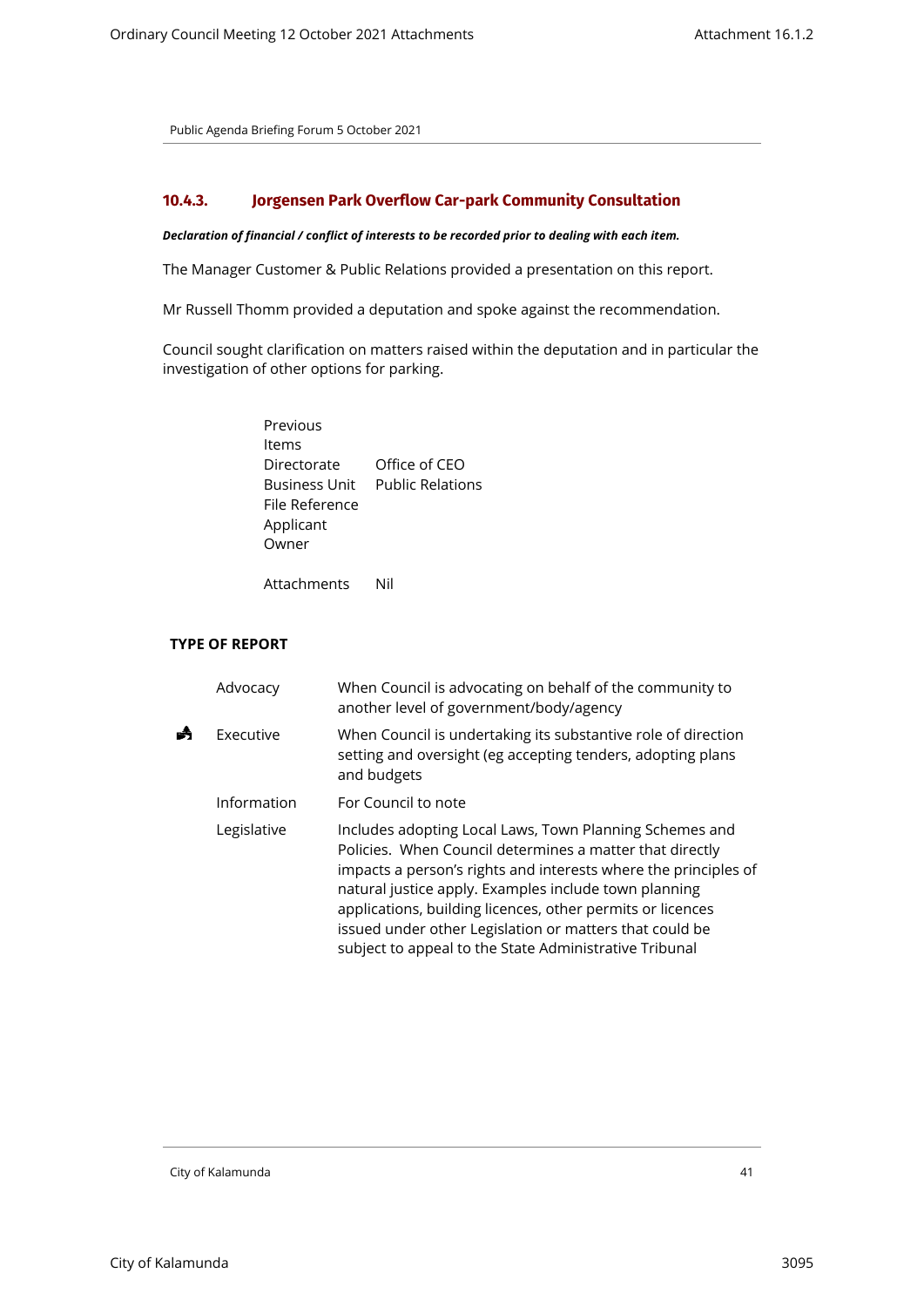# <span id="page-40-0"></span>**10.4.3. Jorgensen Park Overflow Car-park Community Consultation**

#### *Declaration of financial / conflict of interests to be recorded prior to dealing with each item.*

The Manager Customer & Public Relations provided a presentation on this report.

Mr Russell Thomm provided a deputation and spoke against the recommendation.

Council sought clarification on matters raised within the deputation and in particular the investigation of other options for parking.

| Previous             |                         |
|----------------------|-------------------------|
| Items                |                         |
| Directorate          | Office of CEO           |
| <b>Business Unit</b> | <b>Public Relations</b> |
| File Reference       |                         |
| Applicant            |                         |
| Owner                |                         |
|                      |                         |

Attachments Nil

# **TYPE OF REPORT**

|   | Advocacy    | When Council is advocating on behalf of the community to<br>another level of government/body/agency                                                                                                                                                                                                                                                                                                                                |
|---|-------------|------------------------------------------------------------------------------------------------------------------------------------------------------------------------------------------------------------------------------------------------------------------------------------------------------------------------------------------------------------------------------------------------------------------------------------|
| ◢ | Executive   | When Council is undertaking its substantive role of direction<br>setting and oversight (eg accepting tenders, adopting plans<br>and budgets                                                                                                                                                                                                                                                                                        |
|   | Information | For Council to note                                                                                                                                                                                                                                                                                                                                                                                                                |
|   | Legislative | Includes adopting Local Laws, Town Planning Schemes and<br>Policies. When Council determines a matter that directly<br>impacts a person's rights and interests where the principles of<br>natural justice apply. Examples include town planning<br>applications, building licences, other permits or licences<br>issued under other Legislation or matters that could be<br>subject to appeal to the State Administrative Tribunal |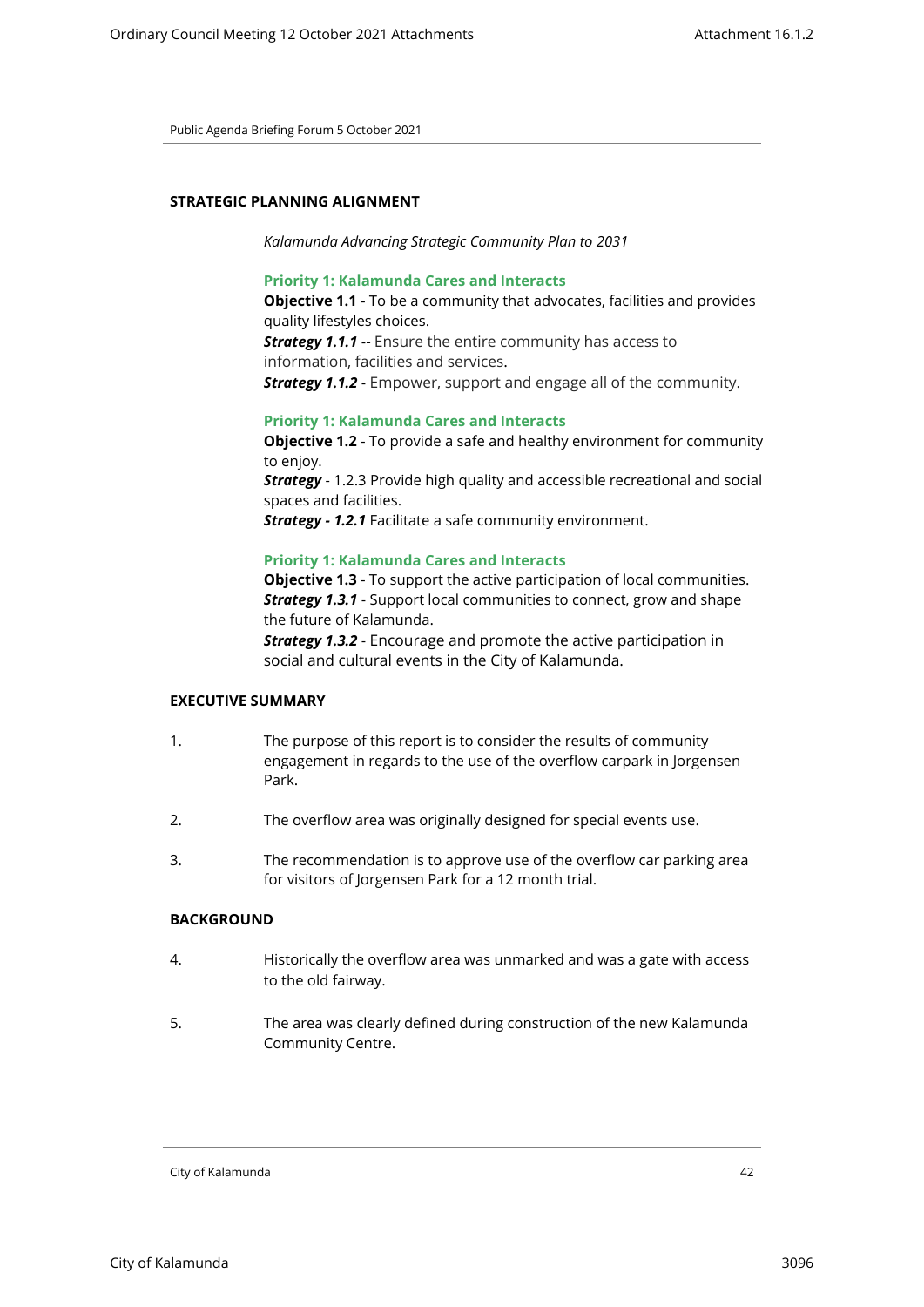# **STRATEGIC PLANNING ALIGNMENT**

*Kalamunda Advancing Strategic Community Plan to 2031*

# **Priority 1: Kalamunda Cares and Interacts**

**Objective 1.1** - To be a community that advocates, facilities and provides quality lifestyles choices. **Strategy 1.1.1** -- Ensure the entire community has access to information, facilities and services.

*Strategy 1.1.2* - Empower, support and engage all of the community.

#### **Priority 1: Kalamunda Cares and Interacts**

**Objective 1.2** - To provide a safe and healthy environment for community to enjoy. **Strategy** - 1.2.3 Provide high quality and accessible recreational and social spaces and facilities.

*Strategy - 1.2.1* Facilitate a safe community environment.

#### **Priority 1: Kalamunda Cares and Interacts**

**Objective 1.3** - To support the active participation of local communities. *Strategy 1.3.1* - Support local communities to connect, grow and shape the future of Kalamunda.

*Strategy 1.3.2* - Encourage and promote the active participation in social and cultural events in the City of Kalamunda.

#### **EXECUTIVE SUMMARY**

- 1. The purpose of this report is to consider the results of community engagement in regards to the use of the overflow carpark in Jorgensen Park.
- 2. The overflow area was originally designed for special events use.
- 3. The recommendation is to approve use of the overflow car parking area for visitors of Jorgensen Park for a 12 month trial.

# **BACKGROUND**

- 4. Historically the overflow area was unmarked and was a gate with access to the old fairway.
- 5. The area was clearly defined during construction of the new Kalamunda Community Centre.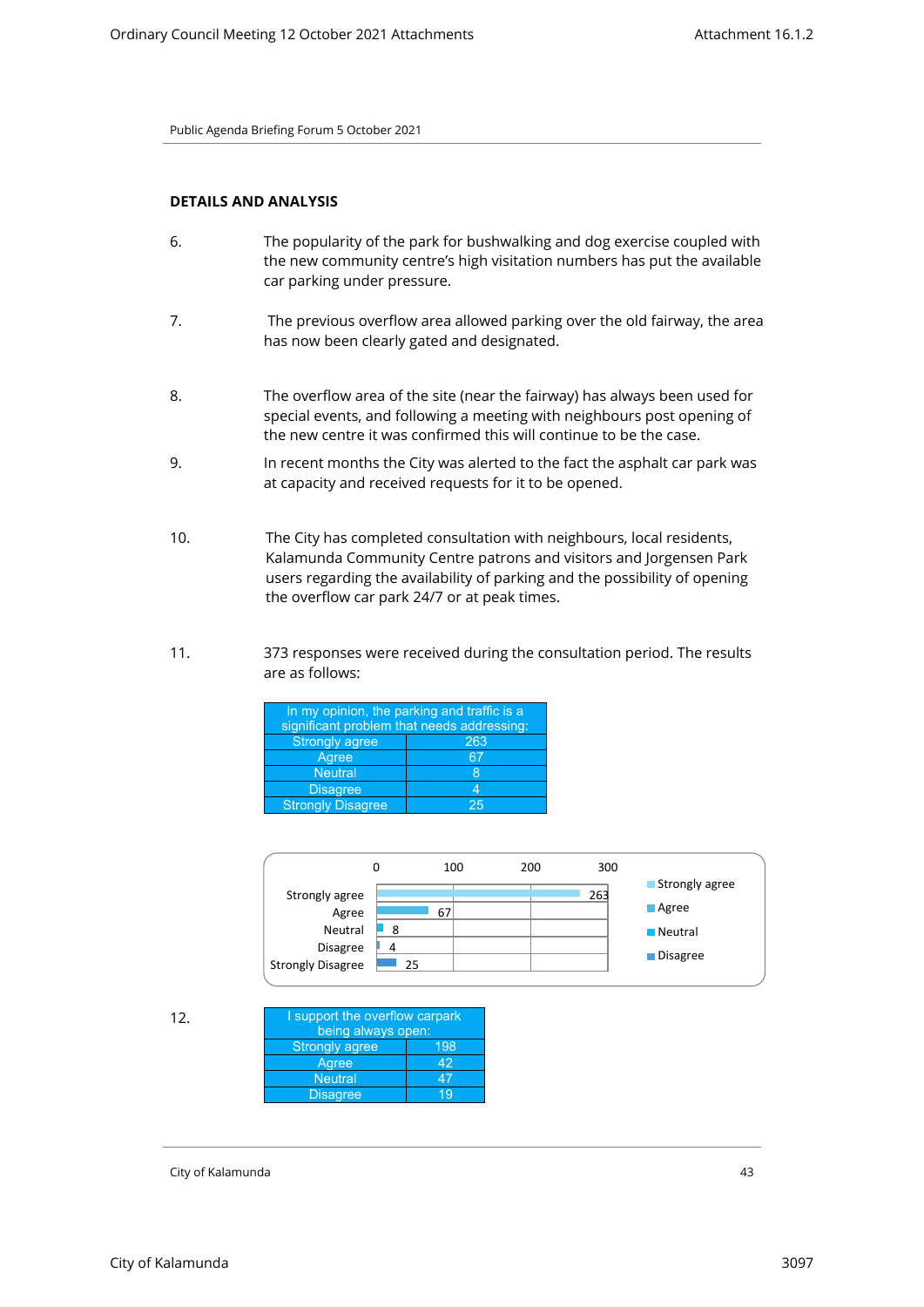# **DETAILS AND ANALYSIS**

- 6. The popularity of the park for bushwalking and dog exercise coupled with the new community centre's high visitation numbers has put the available car parking under pressure.
- 7. The previous overflow area allowed parking over the old fairway, the area has now been clearly gated and designated.
- 8. The overflow area of the site (near the fairway) has always been used for special events, and following a meeting with neighbours post opening of the new centre it was confirmed this will continue to be the case.
- 9. In recent months the City was alerted to the fact the asphalt car park was at capacity and received requests for it to be opened.
- 10. The City has completed consultation with neighbours, local residents, Kalamunda Community Centre patrons and visitors and Jorgensen Park users regarding the availability of parking and the possibility of opening the overflow car park 24/7 or at peak times.
- 11. 373 responses were received during the consultation period. The results are as follows:

| In my opinion, the parking and traffic is a |                                            |  |  |  |
|---------------------------------------------|--------------------------------------------|--|--|--|
|                                             | significant problem that needs addressing: |  |  |  |
| <b>Strongly agree</b>                       | 263                                        |  |  |  |
| Agree                                       | 67                                         |  |  |  |
| <b>Neutral</b>                              | 8                                          |  |  |  |
| <b>Disagree</b>                             | 4                                          |  |  |  |
| <b>Strongly Disagree</b>                    | クら                                         |  |  |  |

|                          |    | 100 | 200 | 300 |                      |
|--------------------------|----|-----|-----|-----|----------------------|
| Strongly agree           |    |     |     | 263 | Strongly agree       |
| Agree                    |    | 67  |     |     | $\blacksquare$ Agree |
| Neutral                  | 8  |     |     |     | <b>Neutral</b>       |
| <b>Disagree</b>          | 4  |     |     |     |                      |
| <b>Strongly Disagree</b> | 25 |     |     |     | Disagree             |

| 12. | I support the overflow carpark |     |
|-----|--------------------------------|-----|
|     | being always open:             |     |
|     | <b>Strongly agree</b>          | 198 |
|     | Agree                          | 42  |
|     | <b>Neutral</b>                 | 47  |
|     | <b>Disagree</b>                | 10  |
|     |                                |     |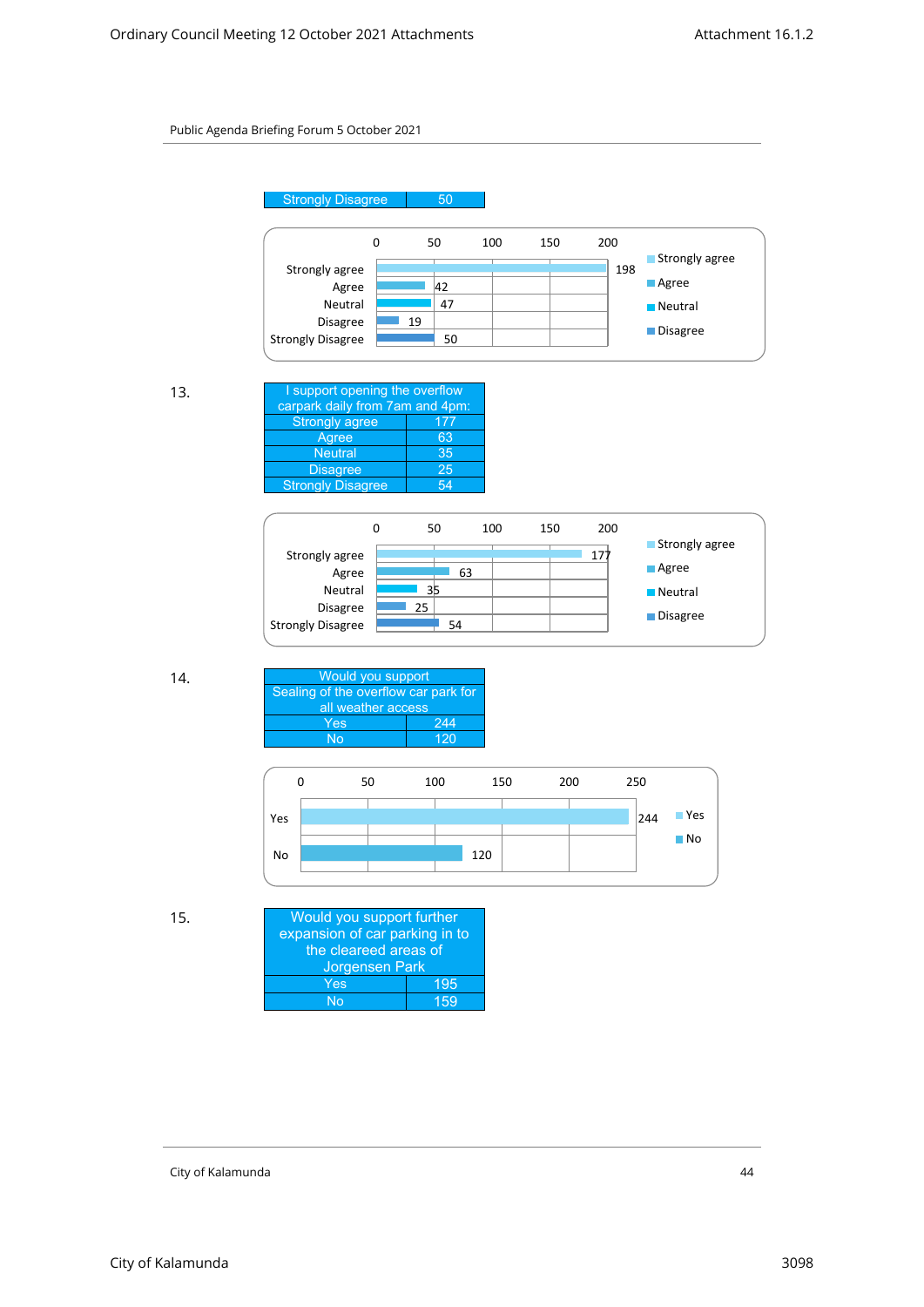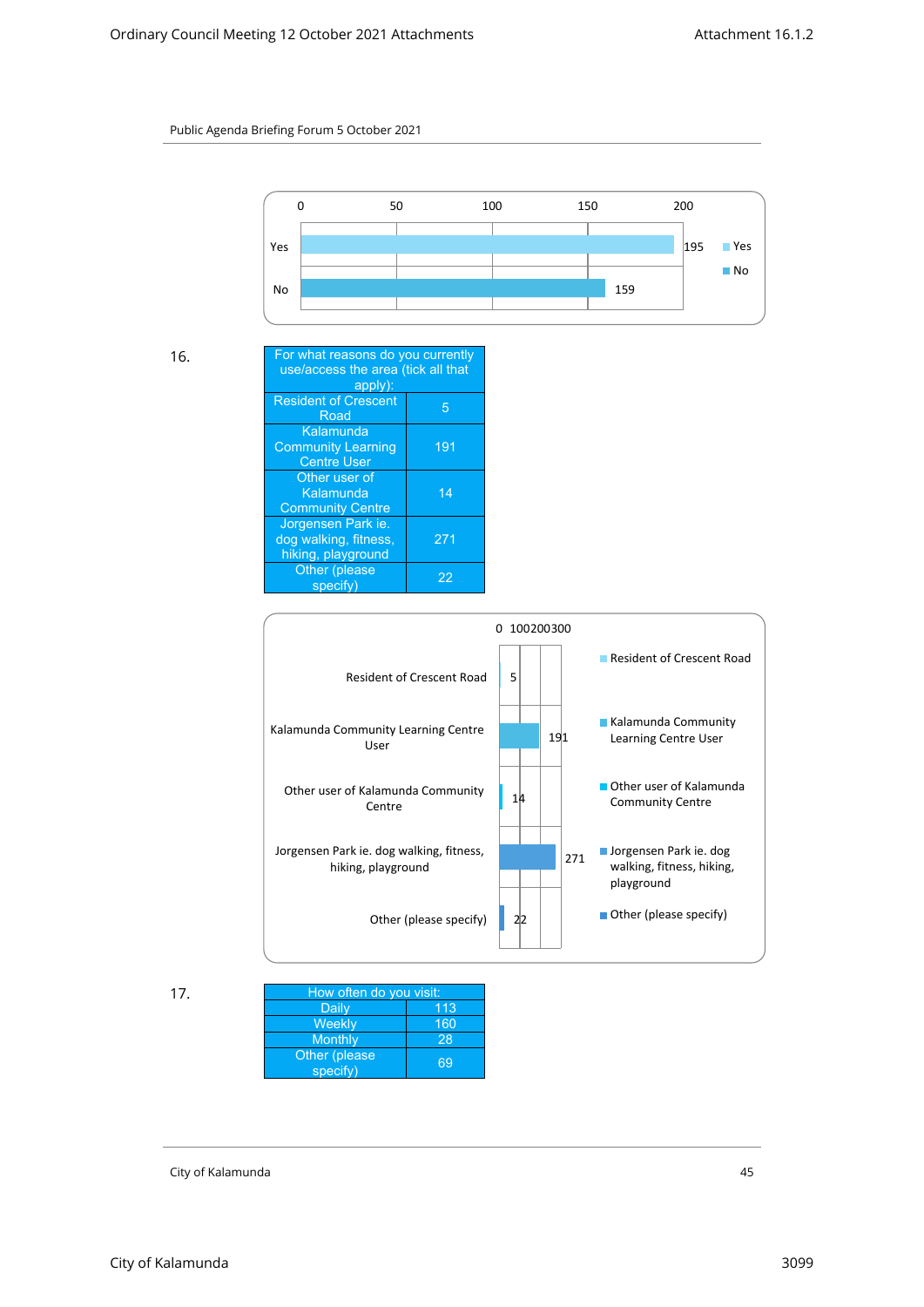

| 16. | For what reasons do you currently<br>use/access the area (tick all that |     |  |  |
|-----|-------------------------------------------------------------------------|-----|--|--|
|     | apply):                                                                 |     |  |  |
|     | <b>Resident of Crescent</b><br>Road                                     | 5   |  |  |
|     | Kalamunda                                                               |     |  |  |
|     | <b>Community Learning</b>                                               | 191 |  |  |
|     | <b>Centre User</b>                                                      |     |  |  |
|     | Other user of                                                           |     |  |  |
|     | Kalamunda                                                               | 14  |  |  |
|     | <b>Community Centre</b>                                                 |     |  |  |
|     | Jorgensen Park ie.                                                      |     |  |  |
|     | dog walking, fitness,                                                   | 271 |  |  |
|     | hiking, playground                                                      |     |  |  |
|     | Other (please                                                           | 22  |  |  |
|     | specify)                                                                |     |  |  |



| 17. | How often do you visit:   |     |  |  |
|-----|---------------------------|-----|--|--|
|     | Daily                     | 113 |  |  |
|     | Weekly                    | 160 |  |  |
|     | Monthly                   | 28  |  |  |
|     | Other (please<br>specify) | 69  |  |  |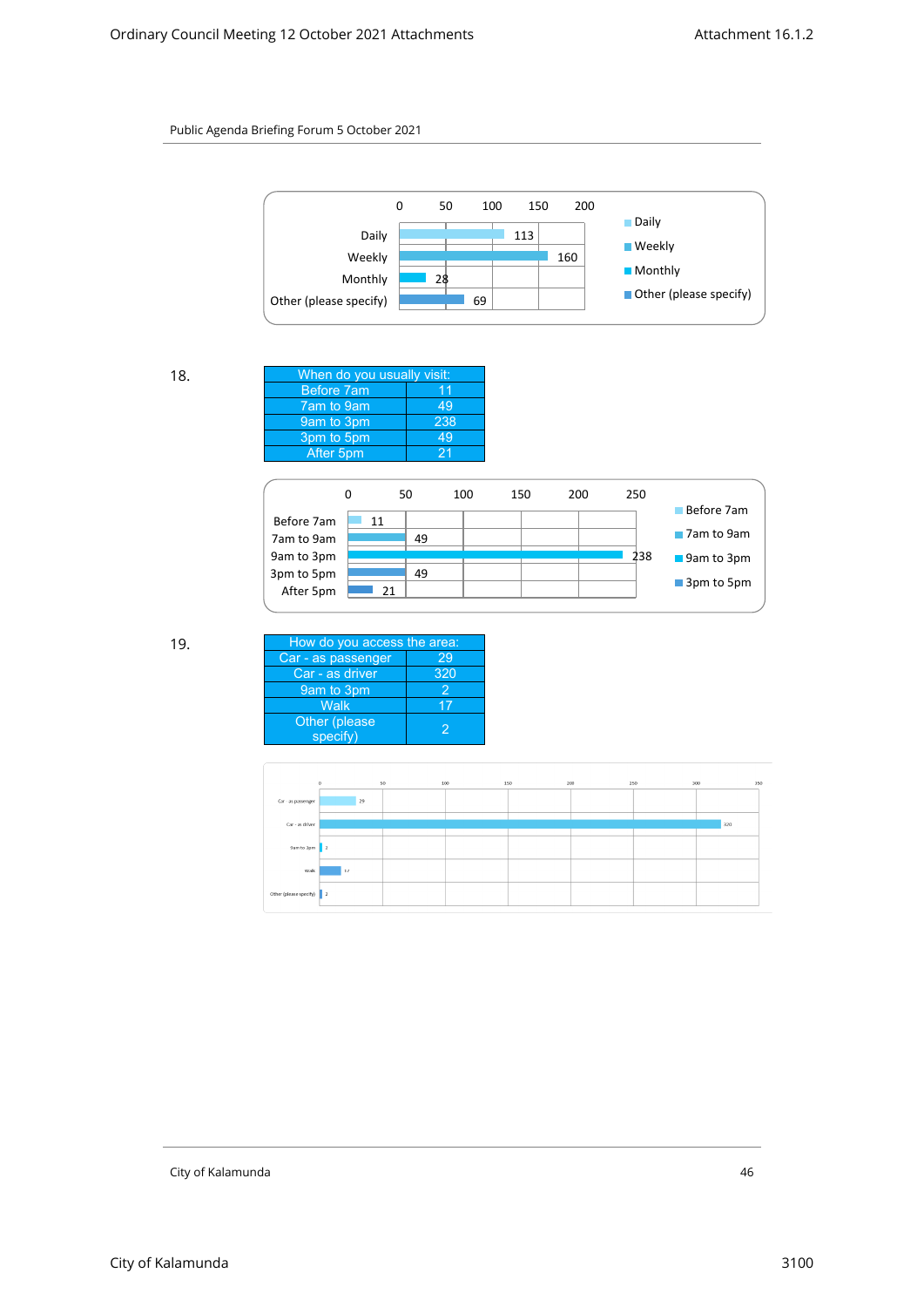

| 18. | When do you usually visit: |     |
|-----|----------------------------|-----|
|     | Before 7am                 | 11  |
|     | 7am to 9am                 | 49  |
|     | 9am to 3pm                 | 238 |
|     | 3pm to 5pm                 | 49  |
|     | After 5pm                  | 21  |
|     |                            |     |



| How do you access the area: |
|-----------------------------|
|                             |
| 320                         |
|                             |
|                             |
|                             |
|                             |

|                          | $\circ$      | 50<br>100 | 150 | 200 | 250 | 300 | 350 |
|--------------------------|--------------|-----------|-----|-----|-----|-----|-----|
| Car - as passenger       | 29           |           |     |     |     |     |     |
| Car - as driver          |              |           |     |     |     |     | 320 |
| 9am to 3pm               |              |           |     |     |     |     |     |
|                          | $\mathbf{r}$ |           |     |     |     |     |     |
| Walk                     | 17           |           |     |     |     |     |     |
| Other (please specify) 2 |              |           |     |     |     |     |     |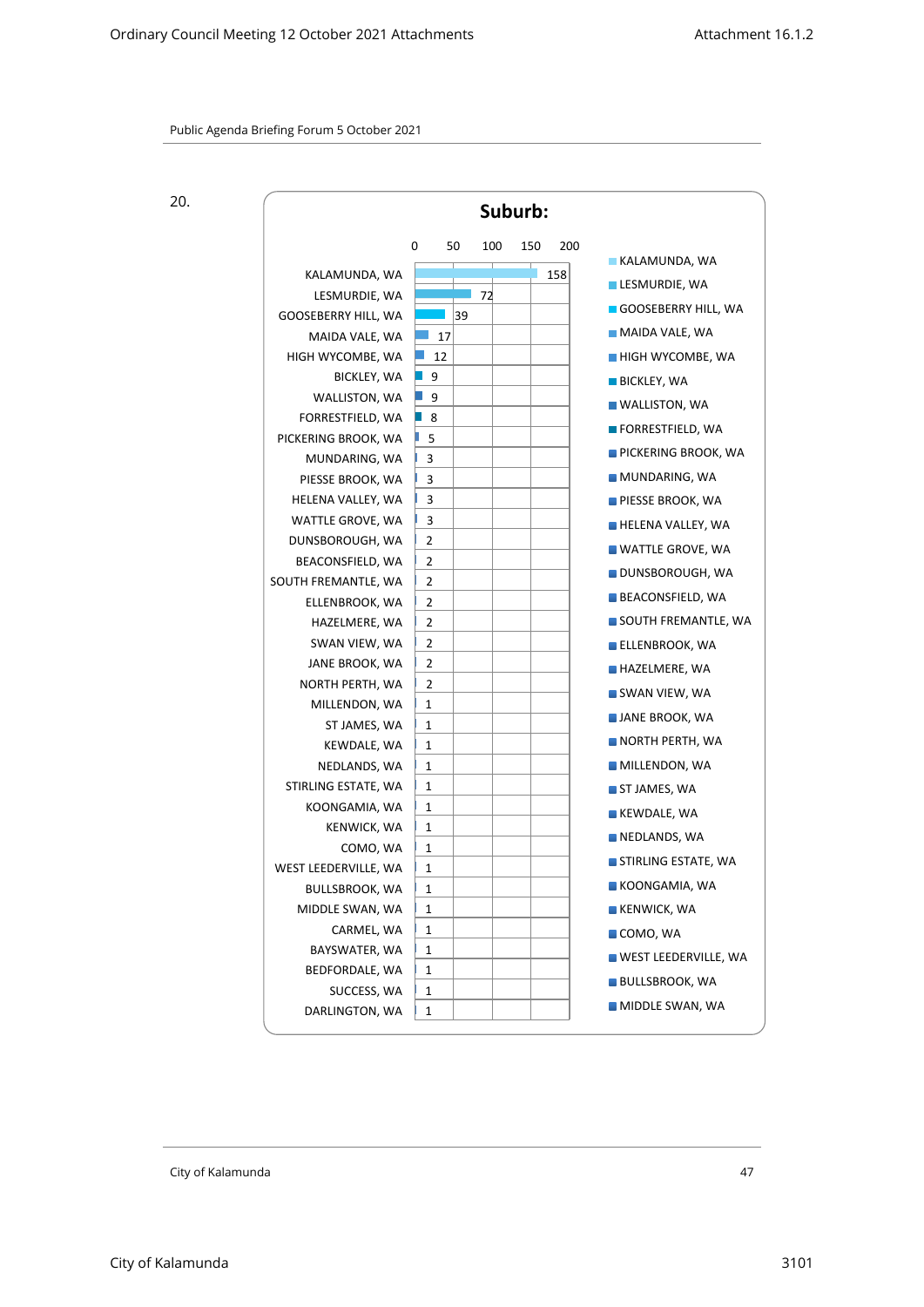20.

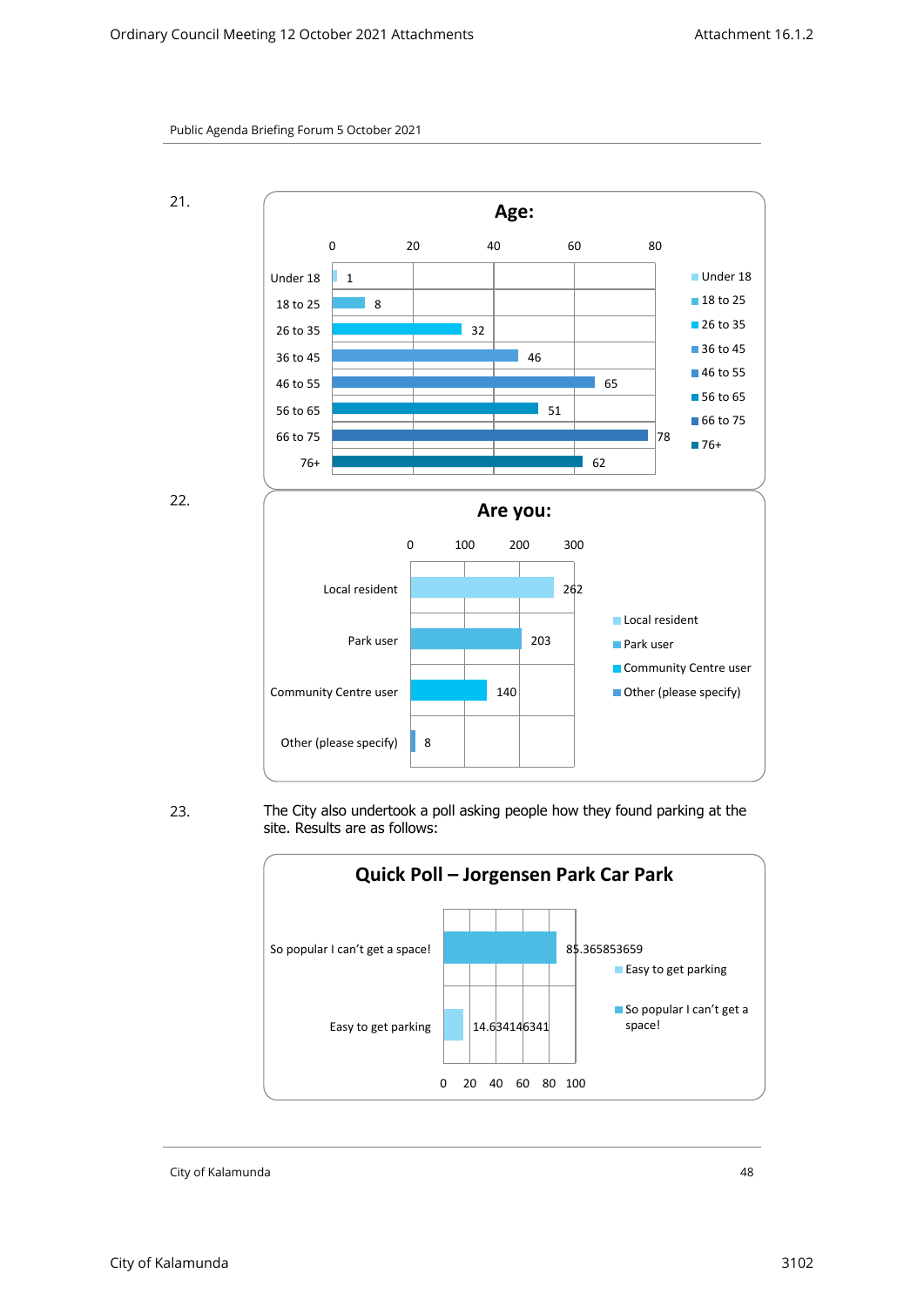



23. The City also undertook a poll asking people how they found parking at the site. Results are as follows:

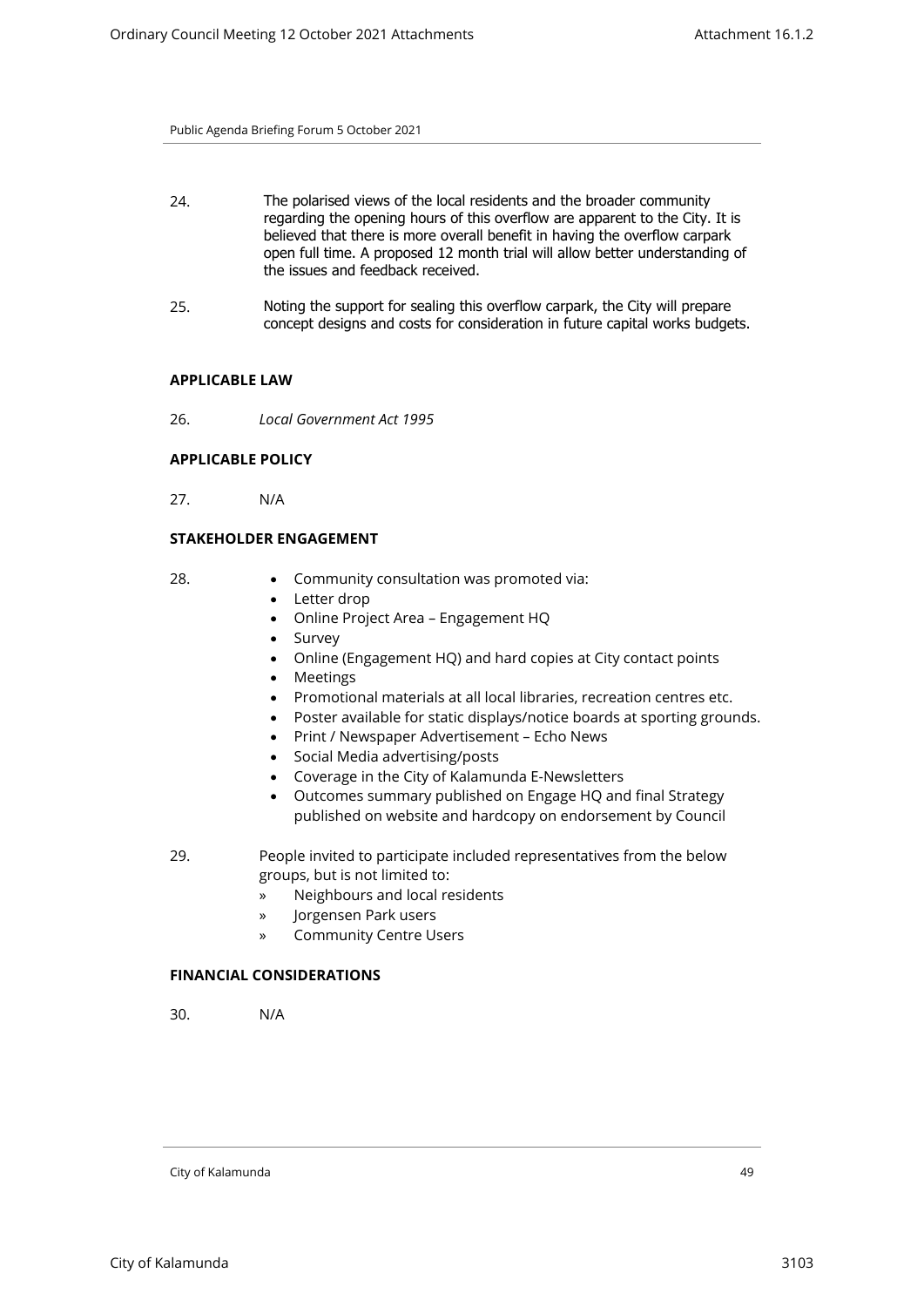- 24. The polarised views of the local residents and the broader community regarding the opening hours of this overflow are apparent to the City. It is believed that there is more overall benefit in having the overflow carpark open full time. A proposed 12 month trial will allow better understanding of the issues and feedback received.
- 25. Noting the support for sealing this overflow carpark, the City will prepare concept designs and costs for consideration in future capital works budgets.

#### **APPLICABLE LAW**

26. *Local Government Act 1995* 

#### **APPLICABLE POLICY**

27. N/A

# **STAKEHOLDER ENGAGEMENT**

- 
- 28. Community consultation was promoted via:
	- Letter drop
	- Online Project Area Engagement HQ
	- Survey
	- Online (Engagement HQ) and hard copies at City contact points
	- Meetings
	- Promotional materials at all local libraries, recreation centres etc.
	- Poster available for static displays/notice boards at sporting grounds.
	- Print / Newspaper Advertisement Echo News
	- Social Media advertising/posts
	- Coverage in the City of Kalamunda E-Newsletters
	- Outcomes summary published on Engage HQ and final Strategy published on website and hardcopy on endorsement by Council
- 29. People invited to participate included representatives from the below groups, but is not limited to:
	- » Neighbours and local residents
	- » Jorgensen Park users
	- » Community Centre Users

#### **FINANCIAL CONSIDERATIONS**

30. N/A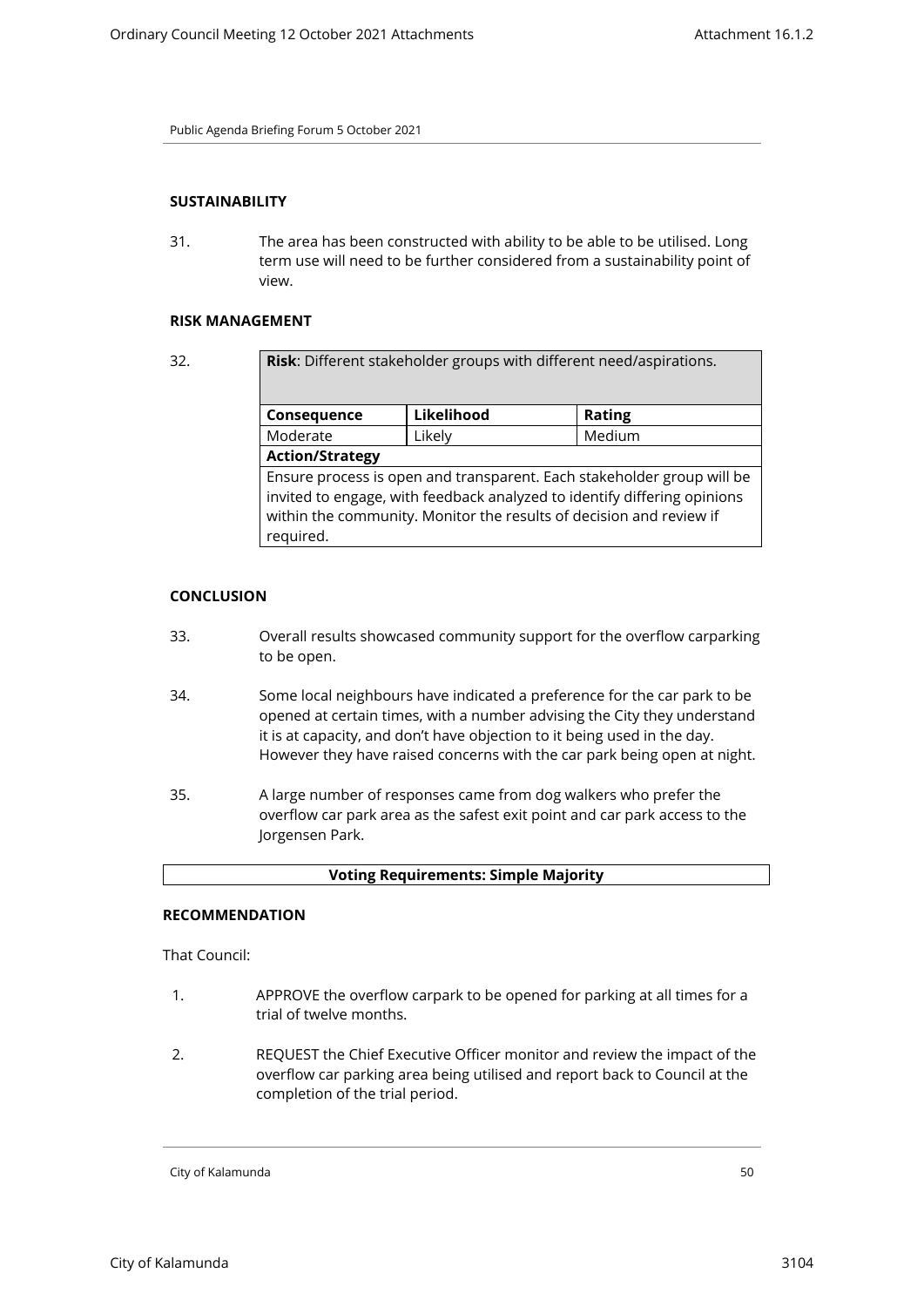# **SUSTAINABILITY**

31. The area has been constructed with ability to be able to be utilised. Long term use will need to be further considered from a sustainability point of view.

# **RISK MANAGEMENT**

| 32. | Risk: Different stakeholder groups with different need/aspirations.                                                                                                                                                                    |            |        |  |  |
|-----|----------------------------------------------------------------------------------------------------------------------------------------------------------------------------------------------------------------------------------------|------------|--------|--|--|
|     | Consequence                                                                                                                                                                                                                            | Likelihood | Rating |  |  |
|     | Moderate                                                                                                                                                                                                                               | Likely     | Medium |  |  |
|     | <b>Action/Strategy</b>                                                                                                                                                                                                                 |            |        |  |  |
|     | Ensure process is open and transparent. Each stakeholder group will be<br>invited to engage, with feedback analyzed to identify differing opinions<br>within the community. Monitor the results of decision and review if<br>required. |            |        |  |  |

# **CONCLUSION**

- 33. Overall results showcased community support for the overflow carparking to be open.
- 34. Some local neighbours have indicated a preference for the car park to be opened at certain times, with a number advising the City they understand it is at capacity, and don't have objection to it being used in the day. However they have raised concerns with the car park being open at night.
- 35. A large number of responses came from dog walkers who prefer the overflow car park area as the safest exit point and car park access to the Jorgensen Park.

| <b>Voting Requirements: Simple Majority</b> |  |  |
|---------------------------------------------|--|--|
|                                             |  |  |

#### **RECOMMENDATION**

That Council:

- 1. APPROVE the overflow carpark to be opened for parking at all times for a trial of twelve months.
- 2. REQUEST the Chief Executive Officer monitor and review the impact of the overflow car parking area being utilised and report back to Council at the completion of the trial period.